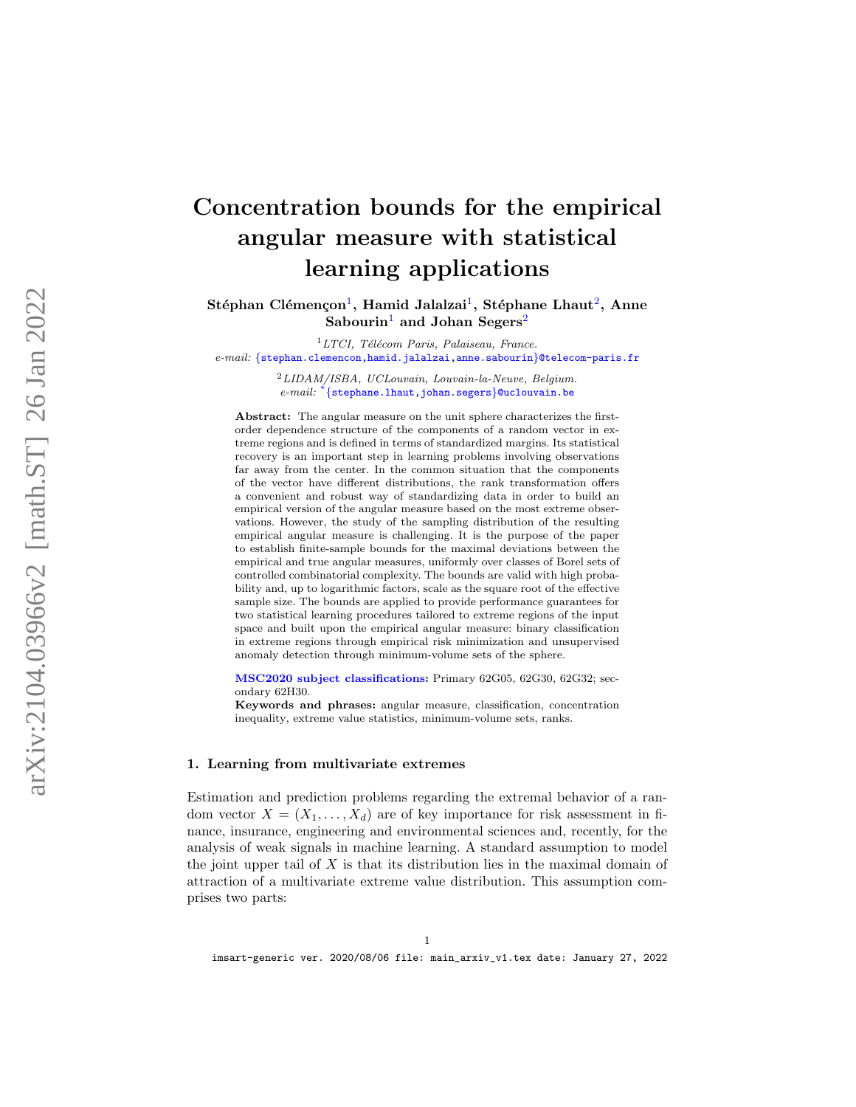# Concentration bounds for the empirical angular measure with statistical learning applications

Stéphan Clémençon $^1,$  $^1,$  $^1,$  Hamid Jalalzai $^1,$  Stéphane Lhaut $^2,$  $^2,$  $^2,$  Anne  ${\rm Sabourin}^1$  ${\rm Sabourin}^1$  and  ${\rm Johan}\ \mathrm{Segers}^2$  ${\rm Johan}\ \mathrm{Segers}^2$ 

 ${}^{1}LTCI$ , Télécom Paris, Palaiseau, France. e-mail: {[stephan.clemencon,hamid.jalalzai,anne.sabourin](mailto:\{stephan.clemencon,hamid.jalalzai,anne.sabourin\}@telecom-paris.fr)}@telecom-paris.fr

> <span id="page-0-1"></span><span id="page-0-0"></span> $^{2}$ LIDAM/ISBA, UCLouvain, Louvain-la-Neuve, Belgium. e-mail:  $*\$ {[stephane.lhaut,johan.segers](mailto:\{stephane.lhaut,johan.segers\}@uclouvain.be)}@uclouvain.be

Abstract: The angular measure on the unit sphere characterizes the firstorder dependence structure of the components of a random vector in extreme regions and is defined in terms of standardized margins. Its statistical recovery is an important step in learning problems involving observations far away from the center. In the common situation that the components of the vector have different distributions, the rank transformation offers a convenient and robust way of standardizing data in order to build an empirical version of the angular measure based on the most extreme observations. However, the study of the sampling distribution of the resulting empirical angular measure is challenging. It is the purpose of the paper to establish finite-sample bounds for the maximal deviations between the empirical and true angular measures, uniformly over classes of Borel sets of controlled combinatorial complexity. The bounds are valid with high probability and, up to logarithmic factors, scale as the square root of the effective sample size. The bounds are applied to provide performance guarantees for two statistical learning procedures tailored to extreme regions of the input space and built upon the empirical angular measure: binary classification in extreme regions through empirical risk minimization and unsupervised anomaly detection through minimum-volume sets of the sphere.

[MSC2020 subject classifications](https://mathscinet.ams.org/mathscinet/msc/msc2020.html): Primary 62G05, 62G30, 62G32; secondary 62H30.

Keywords and phrases: angular measure, classification, concentration inequality, extreme value statistics, minimum-volume sets, ranks.

## 1. Learning from multivariate extremes

Estimation and prediction problems regarding the extremal behavior of a random vector  $X = (X_1, \ldots, X_d)$  are of key importance for risk assessment in finance, insurance, engineering and environmental sciences and, recently, for the analysis of weak signals in machine learning. A standard assumption to model the joint upper tail of  $X$  is that its distribution lies in the maximal domain of attraction of a multivariate extreme value distribution. This assumption comprises two parts: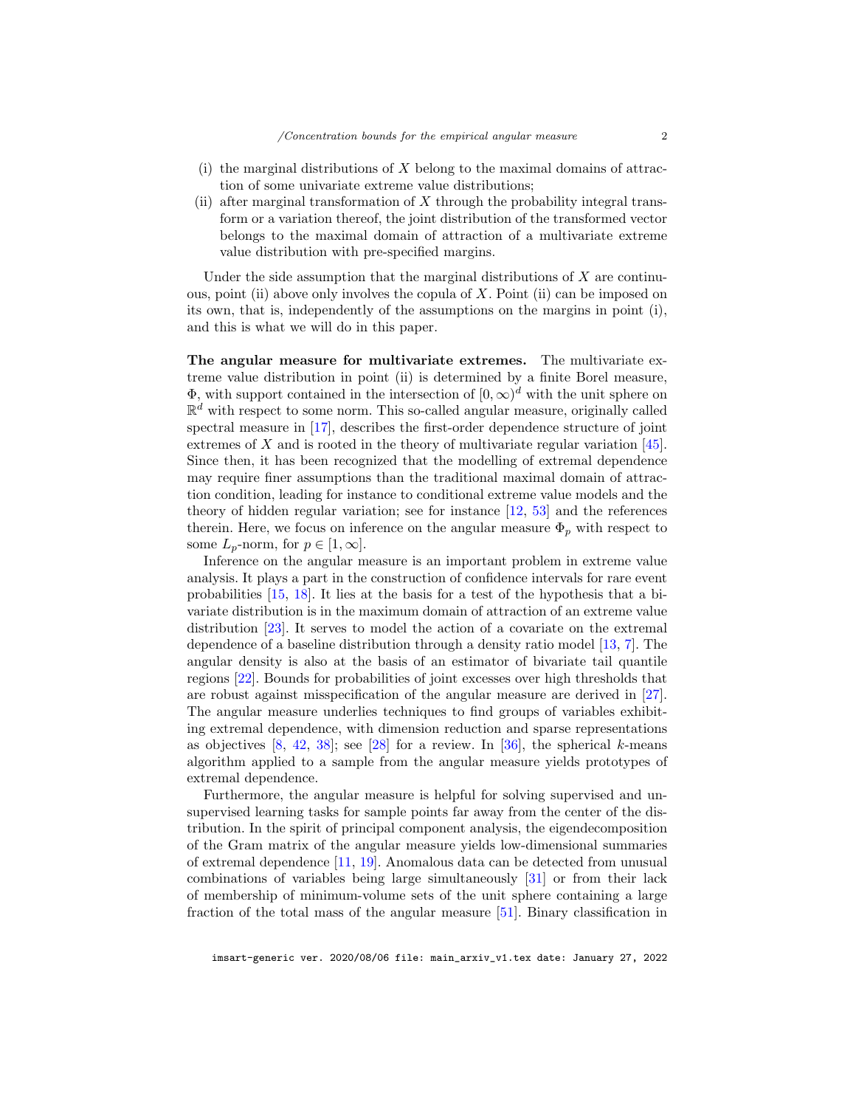- $(i)$  the marginal distributions of X belong to the maximal domains of attraction of some univariate extreme value distributions;
- (ii) after marginal transformation of X through the probability integral transform or a variation thereof, the joint distribution of the transformed vector belongs to the maximal domain of attraction of a multivariate extreme value distribution with pre-specified margins.

Under the side assumption that the marginal distributions of  $X$  are continuous, point (ii) above only involves the copula of  $X$ . Point (ii) can be imposed on its own, that is, independently of the assumptions on the margins in point (i), and this is what we will do in this paper.

The angular measure for multivariate extremes. The multivariate extreme value distribution in point (ii) is determined by a finite Borel measure,  $\Phi$ , with support contained in the intersection of  $[0,\infty)^d$  with the unit sphere on  $\mathbb{R}^d$  with respect to some norm. This so-called angular measure, originally called spectral measure in [\[17\]](#page-27-0), describes the first-order dependence structure of joint extremes of  $X$  and is rooted in the theory of multivariate regular variation  $[45]$ . Since then, it has been recognized that the modelling of extremal dependence may require finer assumptions than the traditional maximal domain of attraction condition, leading for instance to conditional extreme value models and the theory of hidden regular variation; see for instance [\[12,](#page-27-1) [53\]](#page-29-1) and the references therein. Here, we focus on inference on the angular measure  $\Phi_p$  with respect to some  $L_p$ -norm, for  $p \in [1,\infty]$ .

Inference on the angular measure is an important problem in extreme value analysis. It plays a part in the construction of confidence intervals for rare event probabilities [\[15,](#page-27-2) [18\]](#page-27-3). It lies at the basis for a test of the hypothesis that a bivariate distribution is in the maximum domain of attraction of an extreme value distribution [\[23\]](#page-27-4). It serves to model the action of a covariate on the extremal dependence of a baseline distribution through a density ratio model [\[13,](#page-27-5) [7\]](#page-26-0). The angular density is also at the basis of an estimator of bivariate tail quantile regions [\[22\]](#page-27-6). Bounds for probabilities of joint excesses over high thresholds that are robust against misspecification of the angular measure are derived in [\[27\]](#page-28-0). The angular measure underlies techniques to find groups of variables exhibiting extremal dependence, with dimension reduction and sparse representations as objectives  $[8, 42, 38]$  $[8, 42, 38]$  $[8, 42, 38]$  $[8, 42, 38]$ ; see  $[28]$  for a review. In  $[36]$ , the spherical k-means algorithm applied to a sample from the angular measure yields prototypes of extremal dependence.

Furthermore, the angular measure is helpful for solving supervised and unsupervised learning tasks for sample points far away from the center of the distribution. In the spirit of principal component analysis, the eigendecomposition of the Gram matrix of the angular measure yields low-dimensional summaries of extremal dependence [\[11,](#page-27-7) [19\]](#page-27-8). Anomalous data can be detected from unusual combinations of variables being large simultaneously [\[31\]](#page-28-5) or from their lack of membership of minimum-volume sets of the unit sphere containing a large fraction of the total mass of the angular measure [\[51\]](#page-29-2). Binary classification in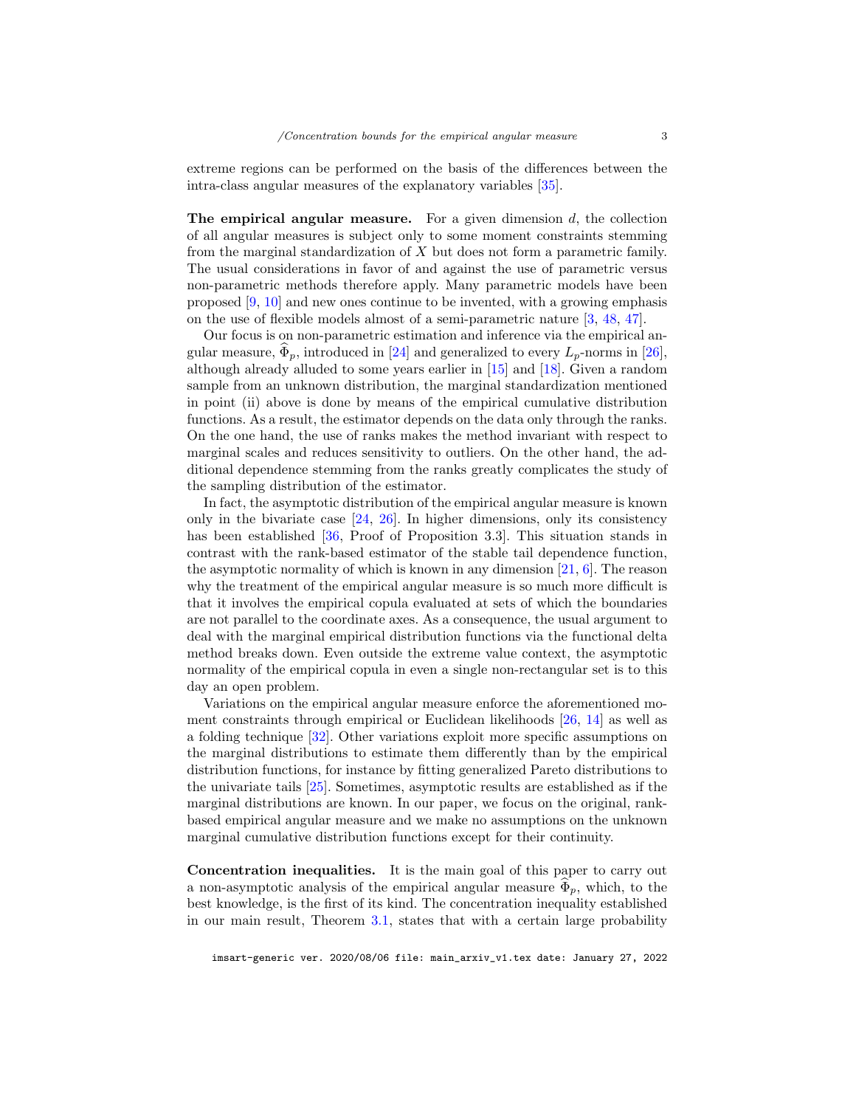extreme regions can be performed on the basis of the differences between the intra-class angular measures of the explanatory variables [\[35\]](#page-28-6).

The empirical angular measure. For a given dimension  $d$ , the collection of all angular measures is subject only to some moment constraints stemming from the marginal standardization of  $X$  but does not form a parametric family. The usual considerations in favor of and against the use of parametric versus non-parametric methods therefore apply. Many parametric models have been proposed [\[9,](#page-27-9) [10\]](#page-27-10) and new ones continue to be invented, with a growing emphasis on the use of flexible models almost of a semi-parametric nature [\[3,](#page-26-2) [48,](#page-29-3) [47\]](#page-29-4).

Our focus is on non-parametric estimation and inference via the empirical angular measure,  $\Phi_p$ , introduced in [\[24\]](#page-27-11) and generalized to every  $L_p$ -norms in [\[26\]](#page-27-12), although already alluded to some years earlier in [\[15\]](#page-27-2) and [\[18\]](#page-27-3). Given a random sample from an unknown distribution, the marginal standardization mentioned in point (ii) above is done by means of the empirical cumulative distribution functions. As a result, the estimator depends on the data only through the ranks. On the one hand, the use of ranks makes the method invariant with respect to marginal scales and reduces sensitivity to outliers. On the other hand, the additional dependence stemming from the ranks greatly complicates the study of the sampling distribution of the estimator.

In fact, the asymptotic distribution of the empirical angular measure is known only in the bivariate case  $[24, 26]$  $[24, 26]$ . In higher dimensions, only its consistency has been established [\[36,](#page-28-4) Proof of Proposition 3.3]. This situation stands in contrast with the rank-based estimator of the stable tail dependence function, the asymptotic normality of which is known in any dimension  $[21, 6]$  $[21, 6]$ . The reason why the treatment of the empirical angular measure is so much more difficult is that it involves the empirical copula evaluated at sets of which the boundaries are not parallel to the coordinate axes. As a consequence, the usual argument to deal with the marginal empirical distribution functions via the functional delta method breaks down. Even outside the extreme value context, the asymptotic normality of the empirical copula in even a single non-rectangular set is to this day an open problem.

Variations on the empirical angular measure enforce the aforementioned moment constraints through empirical or Euclidean likelihoods [\[26,](#page-27-12) [14\]](#page-27-14) as well as a folding technique [\[32\]](#page-28-7). Other variations exploit more specific assumptions on the marginal distributions to estimate them differently than by the empirical distribution functions, for instance by fitting generalized Pareto distributions to the univariate tails [\[25\]](#page-27-15). Sometimes, asymptotic results are established as if the marginal distributions are known. In our paper, we focus on the original, rankbased empirical angular measure and we make no assumptions on the unknown marginal cumulative distribution functions except for their continuity.

Concentration inequalities. It is the main goal of this paper to carry out a non-asymptotic analysis of the empirical angular measure  $\Phi_p$ , which, to the best knowledge, is the first of its kind. The concentration inequality established in our main result, Theorem [3.1,](#page-10-0) states that with a certain large probability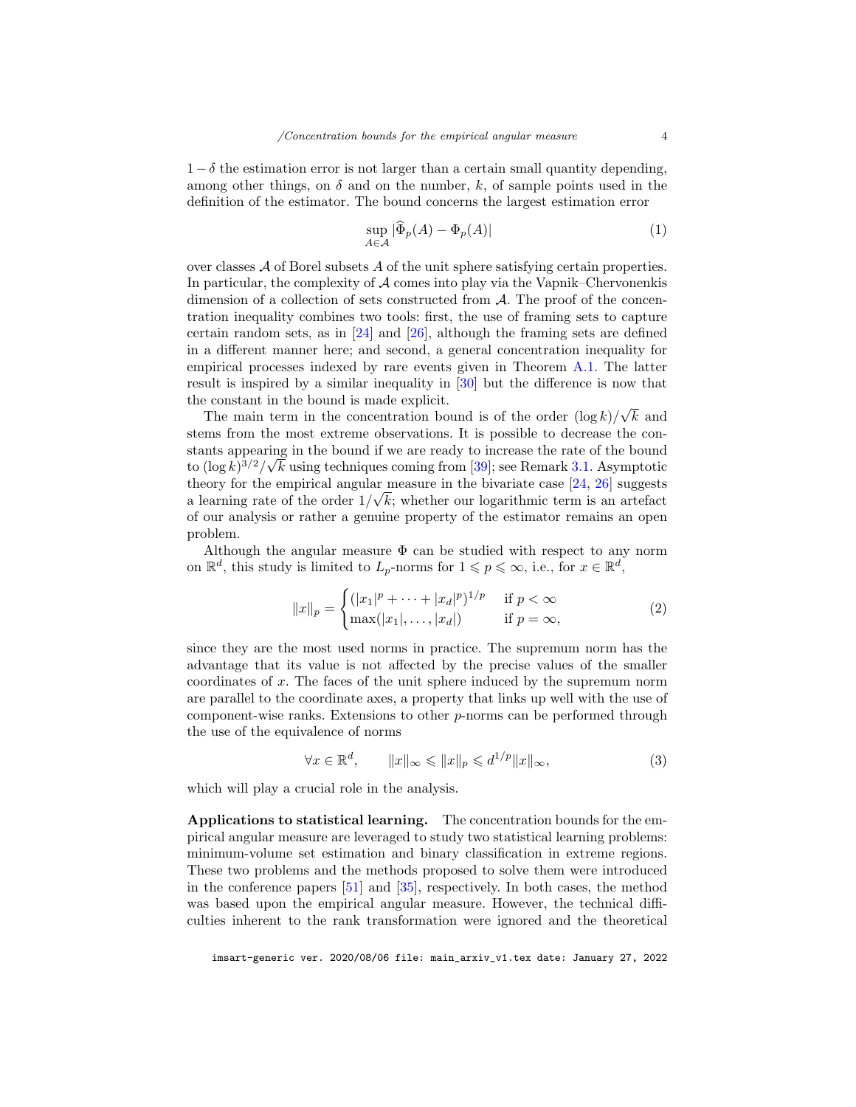$1-\delta$  the estimation error is not larger than a certain small quantity depending, among other things, on  $\delta$  and on the number, k, of sample points used in the definition of the estimator. The bound concerns the largest estimation error

<span id="page-3-1"></span>
$$
\sup_{A \in \mathcal{A}} |\widehat{\Phi}_p(A) - \Phi_p(A)| \tag{1}
$$

over classes  $A$  of Borel subsets A of the unit sphere satisfying certain properties. In particular, the complexity of  $A$  comes into play via the Vapnik–Chervonenkis dimension of a collection of sets constructed from A. The proof of the concentration inequality combines two tools: first, the use of framing sets to capture certain random sets, as in [\[24\]](#page-27-11) and [\[26\]](#page-27-12), although the framing sets are defined in a different manner here; and second, a general concentration inequality for empirical processes indexed by rare events given in Theorem [A.1.](#page-24-0) The latter result is inspired by a similar inequality in [\[30\]](#page-28-8) but the difference is now that the constant in the bound is made explicit. √

The main term in the concentration bound is of the order  $(\log k)/$ k and stems from the most extreme observations. It is possible to decrease the constants appearing in the bound if we are ready to increase the rate of the bound to  $(\log k)^{3/2}/\sqrt{k}$  using techniques coming from [\[39\]](#page-28-9); see Remark [3.1.](#page-11-0) Asymptotic theory for the empirical angular measure in the bivariate case  $[24, 26]$  $[24, 26]$  suggests a learning rate of the order  $1/\sqrt{k}$ ; whether our logarithmic term is an artefact of our analysis or rather a genuine property of the estimator remains an open problem.

Although the angular measure  $\Phi$  can be studied with respect to any norm on  $\mathbb{R}^d$ , this study is limited to  $L_p$ -norms for  $1 \leqslant p \leqslant \infty$ , i.e., for  $x \in \mathbb{R}^d$ ,

<span id="page-3-0"></span>
$$
||x||_p = \begin{cases} (|x_1|^p + \dots + |x_d|^p)^{1/p} & \text{if } p < \infty \\ \max(|x_1|, \dots, |x_d|) & \text{if } p = \infty, \end{cases}
$$
 (2)

since they are the most used norms in practice. The supremum norm has the advantage that its value is not affected by the precise values of the smaller coordinates of x. The faces of the unit sphere induced by the supremum norm are parallel to the coordinate axes, a property that links up well with the use of component-wise ranks. Extensions to other p-norms can be performed through the use of the equivalence of norms

<span id="page-3-2"></span>
$$
\forall x \in \mathbb{R}^d, \qquad \|x\|_{\infty} \leqslant \|x\|_p \leqslant d^{1/p} \|x\|_{\infty}, \tag{3}
$$

which will play a crucial role in the analysis.

Applications to statistical learning. The concentration bounds for the empirical angular measure are leveraged to study two statistical learning problems: minimum-volume set estimation and binary classification in extreme regions. These two problems and the methods proposed to solve them were introduced in the conference papers [\[51\]](#page-29-2) and [\[35\]](#page-28-6), respectively. In both cases, the method was based upon the empirical angular measure. However, the technical difficulties inherent to the rank transformation were ignored and the theoretical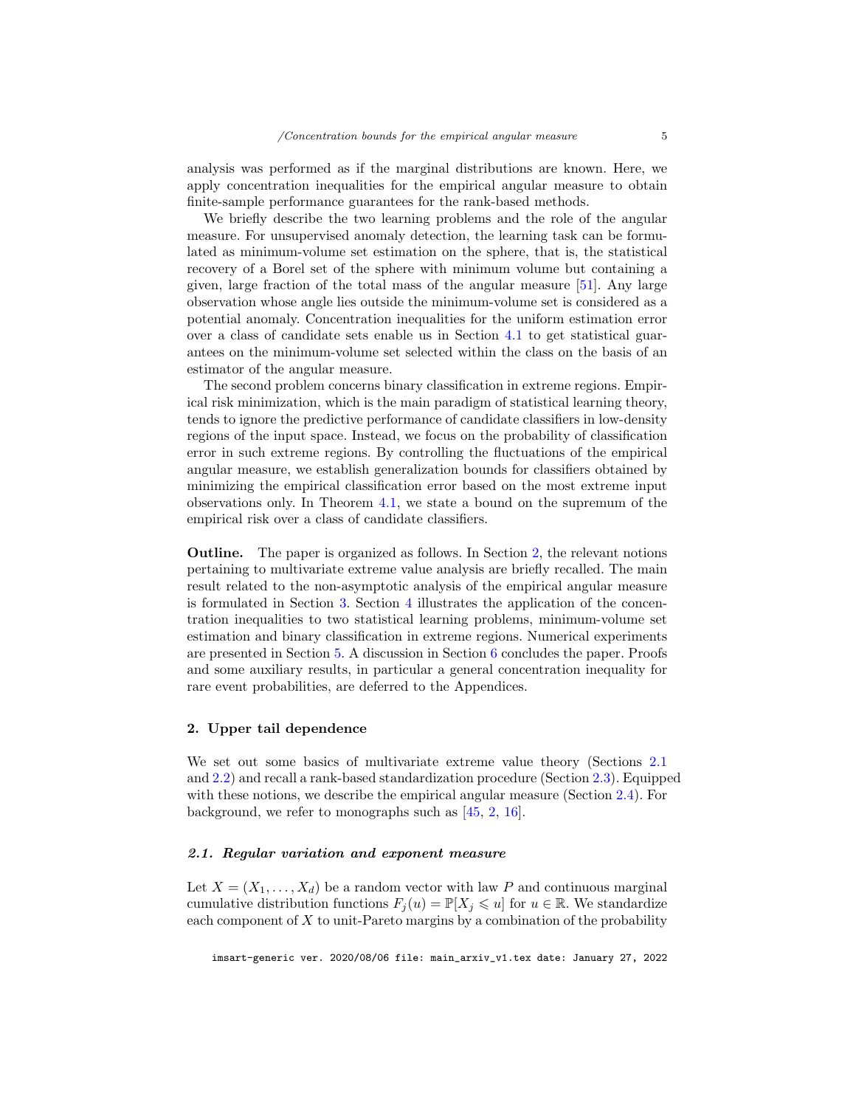analysis was performed as if the marginal distributions are known. Here, we apply concentration inequalities for the empirical angular measure to obtain finite-sample performance guarantees for the rank-based methods.

We briefly describe the two learning problems and the role of the angular measure. For unsupervised anomaly detection, the learning task can be formulated as minimum-volume set estimation on the sphere, that is, the statistical recovery of a Borel set of the sphere with minimum volume but containing a given, large fraction of the total mass of the angular measure [\[51\]](#page-29-2). Any large observation whose angle lies outside the minimum-volume set is considered as a potential anomaly. Concentration inequalities for the uniform estimation error over a class of candidate sets enable us in Section [4.1](#page-15-0) to get statistical guarantees on the minimum-volume set selected within the class on the basis of an estimator of the angular measure.

The second problem concerns binary classification in extreme regions. Empirical risk minimization, which is the main paradigm of statistical learning theory, tends to ignore the predictive performance of candidate classifiers in low-density regions of the input space. Instead, we focus on the probability of classification error in such extreme regions. By controlling the fluctuations of the empirical angular measure, we establish generalization bounds for classifiers obtained by minimizing the empirical classification error based on the most extreme input observations only. In Theorem [4.1,](#page-19-0) we state a bound on the supremum of the empirical risk over a class of candidate classifiers.

Outline. The paper is organized as follows. In Section [2,](#page-4-0) the relevant notions pertaining to multivariate extreme value analysis are briefly recalled. The main result related to the non-asymptotic analysis of the empirical angular measure is formulated in Section [3.](#page-7-0) Section [4](#page-14-0) illustrates the application of the concentration inequalities to two statistical learning problems, minimum-volume set estimation and binary classification in extreme regions. Numerical experiments are presented in Section [5.](#page-20-0) A discussion in Section [6](#page-23-0) concludes the paper. Proofs and some auxiliary results, in particular a general concentration inequality for rare event probabilities, are deferred to the Appendices.

# <span id="page-4-0"></span>2. Upper tail dependence

We set out some basics of multivariate extreme value theory (Sections [2.1](#page-4-1) and [2.2\)](#page-5-0) and recall a rank-based standardization procedure (Section [2.3\)](#page-6-0). Equipped with these notions, we describe the empirical angular measure (Section [2.4\)](#page-7-1). For background, we refer to monographs such as [\[45,](#page-29-0) [2,](#page-26-4) [16\]](#page-27-16).

# <span id="page-4-1"></span>2.1. Regular variation and exponent measure

Let  $X = (X_1, \ldots, X_d)$  be a random vector with law P and continuous marginal cumulative distribution functions  $F_i(u) = \mathbb{P}[X_i \leq u]$  for  $u \in \mathbb{R}$ . We standardize each component of  $X$  to unit-Pareto margins by a combination of the probability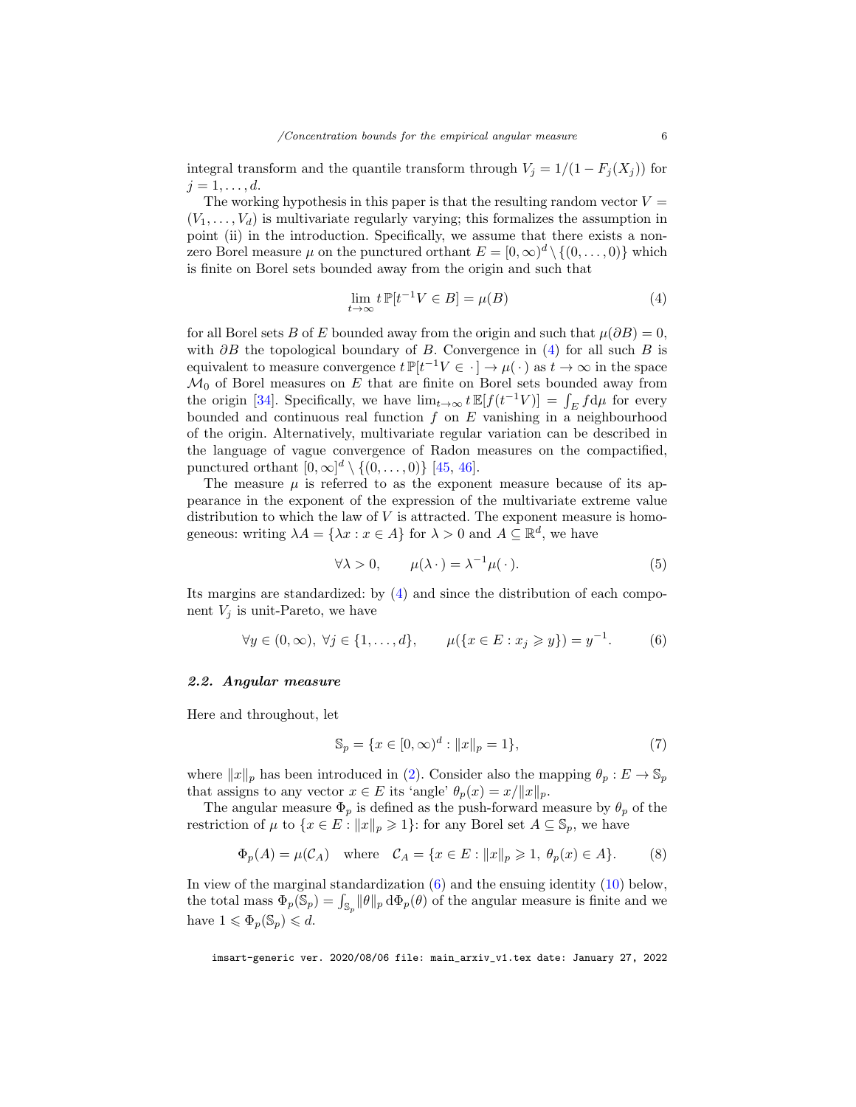integral transform and the quantile transform through  $V_j = 1/(1 - F_j(X_j))$  for  $j=1,\ldots,d.$ 

The working hypothesis in this paper is that the resulting random vector  $V =$  $(V_1, \ldots, V_d)$  is multivariate regularly varying; this formalizes the assumption in point (ii) in the introduction. Specifically, we assume that there exists a nonzero Borel measure  $\mu$  on the punctured orthant  $E = [0, \infty)^d \setminus \{(0, \ldots, 0)\}\$  which is finite on Borel sets bounded away from the origin and such that

<span id="page-5-1"></span>
$$
\lim_{t \to \infty} t \, \mathbb{P}[t^{-1}V \in B] = \mu(B) \tag{4}
$$

for all Borel sets B of E bounded away from the origin and such that  $\mu(\partial B) = 0$ , with  $\partial B$  the topological boundary of B. Convergence in [\(4\)](#page-5-1) for all such B is equivalent to measure convergence  $t \mathbb{P}[t^{-1}V \in \cdot] \to \mu(\cdot)$  as  $t \to \infty$  in the space  $\mathcal{M}_0$  of Borel measures on  $E$  that are finite on Borel sets bounded away from the origin [\[34\]](#page-28-10). Specifically, we have  $\lim_{t\to\infty} t \mathbb{E}[f(t^{-1}V)] = \int_E f d\mu$  for every bounded and continuous real function  $f$  on  $E$  vanishing in a neighbourhood of the origin. Alternatively, multivariate regular variation can be described in the language of vague convergence of Radon measures on the compactified, punctured orthant  $[0,\infty]^d \setminus \{(0,\ldots,0)\}\$  [\[45,](#page-29-0) [46\]](#page-29-5).

The measure  $\mu$  is referred to as the exponent measure because of its appearance in the exponent of the expression of the multivariate extreme value distribution to which the law of  $V$  is attracted. The exponent measure is homogeneous: writing  $\lambda A = {\lambda x : x \in A}$  for  $\lambda > 0$  and  $A \subseteq \mathbb{R}^d$ , we have

<span id="page-5-3"></span>
$$
\forall \lambda > 0, \qquad \mu(\lambda \cdot) = \lambda^{-1} \mu(\cdot). \tag{5}
$$

Its margins are standardized: by [\(4\)](#page-5-1) and since the distribution of each component  $V_i$  is unit-Pareto, we have

<span id="page-5-2"></span>
$$
\forall y \in (0, \infty), \ \forall j \in \{1, \dots, d\}, \qquad \mu(\{x \in E : x_j \geq y\}) = y^{-1}.
$$
 (6)

## <span id="page-5-0"></span>2.2. Angular measure

Here and throughout, let

<span id="page-5-5"></span>
$$
\mathbb{S}_p = \{ x \in [0, \infty)^d : ||x||_p = 1 \},\tag{7}
$$

where  $||x||_p$  has been introduced in [\(2\)](#page-3-0). Consider also the mapping  $\theta_p : E \to \mathbb{S}_p$ that assigns to any vector  $x \in E$  its 'angle'  $\theta_p(x) = x/||x||_p$ .

The angular measure  $\Phi_p$  is defined as the push-forward measure by  $\theta_p$  of the restriction of  $\mu$  to  $\{x \in E : ||x||_p \geqslant 1\}$ : for any Borel set  $A \subseteq \mathbb{S}_p$ , we have

<span id="page-5-4"></span>
$$
\Phi_p(A) = \mu(C_A) \quad \text{where} \quad C_A = \{ x \in E : ||x||_p \geq 1, \ \theta_p(x) \in A \}. \tag{8}
$$

In view of the marginal standardization  $(6)$  and the ensuing identity  $(10)$  below, the total mass  $\Phi_p(\mathbb{S}_p) = \int_{\mathbb{S}_p} ||\theta||_p d\Phi_p(\theta)$  of the angular measure is finite and we have  $1 \leqslant \Phi_p(\mathbb{S}_p) \leqslant d$ .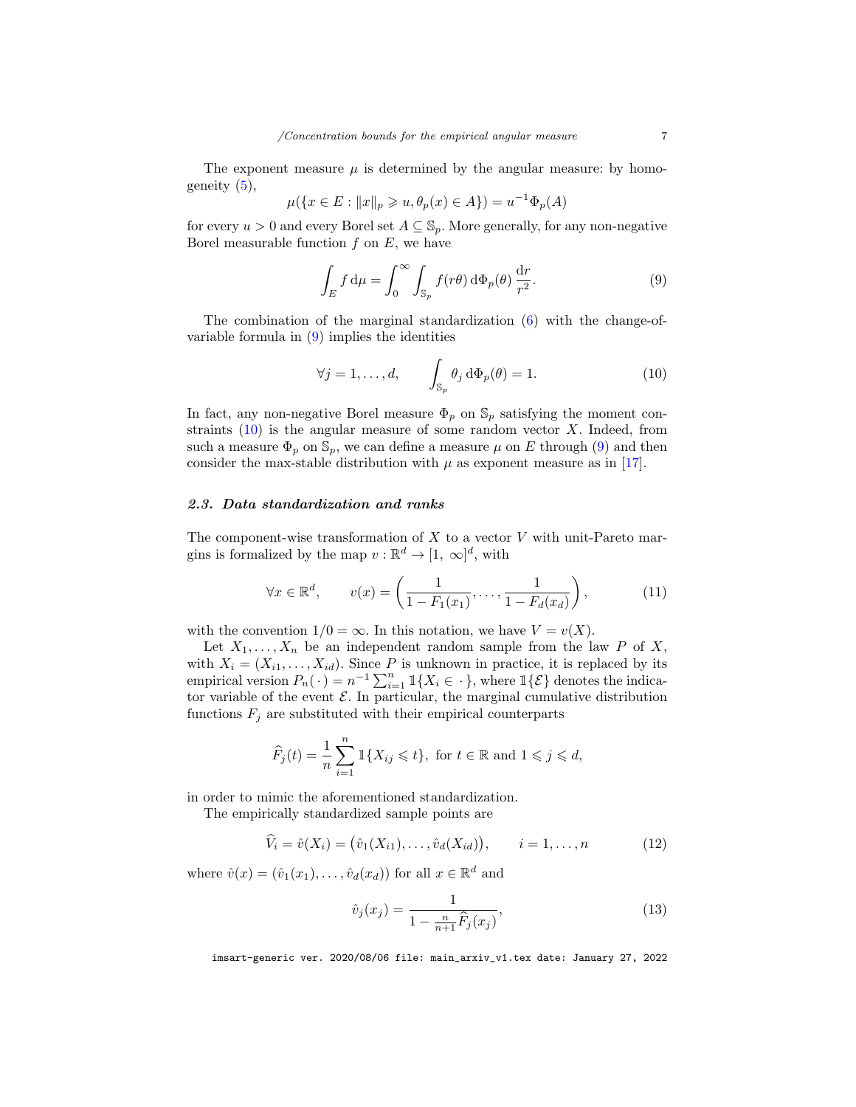The exponent measure  $\mu$  is determined by the angular measure: by homogeneity  $(5)$ ,

$$
\mu({x \in E : ||x||_p \geq u, \theta_p(x) \in A}) = u^{-1} \Phi_p(A)
$$

for every  $u > 0$  and every Borel set  $A \subseteq \mathbb{S}_p$ . More generally, for any non-negative Borel measurable function  $f$  on  $E$ , we have

<span id="page-6-2"></span>
$$
\int_{E} f d\mu = \int_{0}^{\infty} \int_{\mathbb{S}_{p}} f(r\theta) d\Phi_{p}(\theta) \frac{dr}{r^{2}}.
$$
\n(9)

The combination of the marginal standardization [\(6\)](#page-5-2) with the change-ofvariable formula in [\(9\)](#page-6-2) implies the identities

<span id="page-6-1"></span>
$$
\forall j = 1, \dots, d, \qquad \int_{\mathbb{S}_p} \theta_j \, d\Phi_p(\theta) = 1. \tag{10}
$$

In fact, any non-negative Borel measure  $\Phi_p$  on  $\mathbb{S}_p$  satisfying the moment constraints  $(10)$  is the angular measure of some random vector X. Indeed, from such a measure  $\Phi_p$  on  $\mathbb{S}_p$ , we can define a measure  $\mu$  on E through [\(9\)](#page-6-2) and then consider the max-stable distribution with  $\mu$  as exponent measure as in [\[17\]](#page-27-0).

## <span id="page-6-0"></span>2.3. Data standardization and ranks

The component-wise transformation of  $X$  to a vector  $V$  with unit-Pareto margins is formalized by the map  $v : \mathbb{R}^d \to [1, \infty]^d$ , with

<span id="page-6-5"></span>
$$
\forall x \in \mathbb{R}^d, \qquad v(x) = \left(\frac{1}{1 - F_1(x_1)}, \dots, \frac{1}{1 - F_d(x_d)}\right),\tag{11}
$$

with the convention  $1/0 = \infty$ . In this notation, we have  $V = v(X)$ .

Let  $X_1, \ldots, X_n$  be an independent random sample from the law P of X, with  $X_i = (X_{i1}, \ldots, X_{id})$ . Since P is unknown in practice, it is replaced by its empirical version  $P_n(\cdot) = n^{-1} \sum_{i=1}^n \mathbb{1}\{X_i \in \cdot\}$ , where  $\mathbb{1}\{\mathcal{E}\}$  denotes the indicator variable of the event  $\mathcal E$ . In particular, the marginal cumulative distribution functions  $F_j$  are substituted with their empirical counterparts

$$
\widehat{F}_j(t) = \frac{1}{n} \sum_{i=1}^n \mathbbm{1}\{X_{ij} \leq t\}, \text{ for } t \in \mathbb{R} \text{ and } 1 \leq j \leq d,
$$

in order to mimic the aforementioned standardization.

The empirically standardized sample points are

<span id="page-6-4"></span>
$$
\widehat{V}_i = \widehat{v}(X_i) = (\widehat{v}_1(X_{i1}), \dots, \widehat{v}_d(X_{id})), \qquad i = 1, \dots, n
$$
\n(12)

where  $\hat{v}(x) = (\hat{v}_1(x_1), \dots, \hat{v}_d(x_d))$  for all  $x \in \mathbb{R}^d$  and

<span id="page-6-3"></span>
$$
\hat{v}_j(x_j) = \frac{1}{1 - \frac{n}{n+1}\hat{F}_j(x_j)},
$$
\n(13)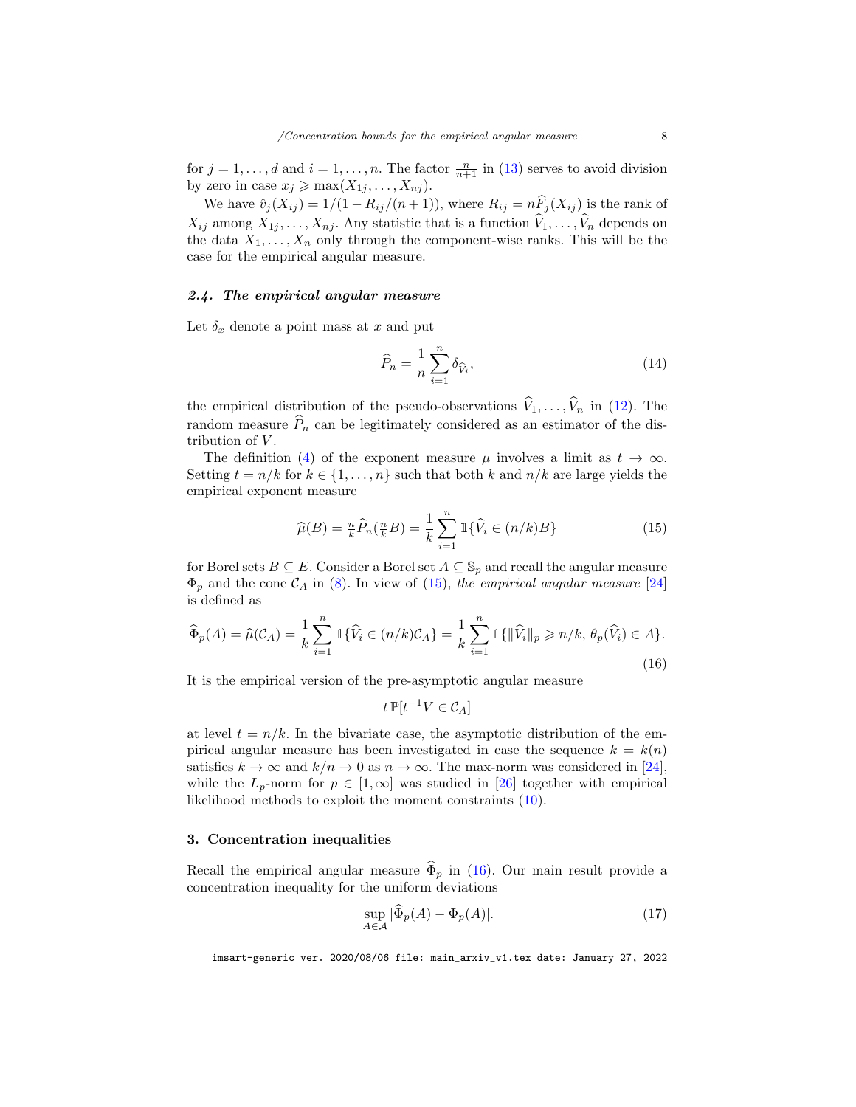for  $j = 1, ..., d$  and  $i = 1, ..., n$ . The factor  $\frac{n}{n+1}$  in [\(13\)](#page-6-3) serves to avoid division by zero in case  $x_j \geq \max(X_{1j}, \ldots, X_{nj}).$ 

We have  $\hat{v}_j(X_{ij}) = 1/(1 - R_{ij}/(n+1))$ , where  $R_{ij} = n\hat{F}_j(X_{ij})$  is the rank of  $X_{ij}$  among  $X_{1j}, \ldots, X_{nj}$ . Any statistic that is a function  $\widehat{V}_1, \ldots, \widehat{V}_n$  depends on the data  $X_1, \ldots, X_n$  only through the component-wise ranks. This will be the case for the empirical angular measure.

## <span id="page-7-1"></span>2.4. The empirical angular measure

Let  $\delta_x$  denote a point mass at x and put

<span id="page-7-4"></span>
$$
\widehat{P}_n = \frac{1}{n} \sum_{i=1}^n \delta_{\widehat{V}_i},\tag{14}
$$

the empirical distribution of the pseudo-observations  $\hat{V}_1, \ldots, \hat{V}_n$  in [\(12\)](#page-6-4). The random measure  $\hat{P}_n$  can be legitimately considered as an estimator of the distribution of  $V$ .

The definition [\(4\)](#page-5-1) of the exponent measure  $\mu$  involves a limit as  $t \to \infty$ . Setting  $t = n/k$  for  $k \in \{1, ..., n\}$  such that both k and  $n/k$  are large yields the empirical exponent measure

<span id="page-7-2"></span>
$$
\widehat{\mu}(B) = \frac{n}{k}\widehat{P}_n(\frac{n}{k}B) = \frac{1}{k}\sum_{i=1}^n \mathbb{1}\{\widehat{V}_i \in (n/k)B\}
$$
\n(15)

for Borel sets  $B \subseteq E$ . Consider a Borel set  $A \subseteq \mathbb{S}_p$  and recall the angular measure  $\Phi_p$  and the cone  $\mathcal{C}_A$  in [\(8\)](#page-5-4). In view of [\(15\)](#page-7-2), the empirical angular measure [\[24\]](#page-27-11) is defined as

<span id="page-7-3"></span>
$$
\widehat{\Phi}_p(A) = \widehat{\mu}(C_A) = \frac{1}{k} \sum_{i=1}^n \mathbb{1}\{\widehat{V}_i \in (n/k)C_A\} = \frac{1}{k} \sum_{i=1}^n \mathbb{1}\{\|\widehat{V}_i\|_p \ge n/k, \theta_p(\widehat{V}_i) \in A\}.
$$
\n(16)

It is the empirical version of the pre-asymptotic angular measure

$$
t\,\mathbb{P}[t^{-1}V\in\mathcal{C}_A]
$$

at level  $t = n/k$ . In the bivariate case, the asymptotic distribution of the empirical angular measure has been investigated in case the sequence  $k = k(n)$ satisfies  $k \to \infty$  and  $k/n \to 0$  as  $n \to \infty$ . The max-norm was considered in [\[24\]](#page-27-11), while the  $L_p$ -norm for  $p \in [1,\infty]$  was studied in [\[26\]](#page-27-12) together with empirical likelihood methods to exploit the moment constraints [\(10\)](#page-6-1).

## <span id="page-7-0"></span>3. Concentration inequalities

Recall the empirical angular measure  $\widehat{\Phi}_p$  in [\(16\)](#page-7-3). Our main result provide a concentration inequality for the uniform deviations

<span id="page-7-5"></span>
$$
\sup_{A \in \mathcal{A}} |\widehat{\Phi}_p(A) - \Phi_p(A)|. \tag{17}
$$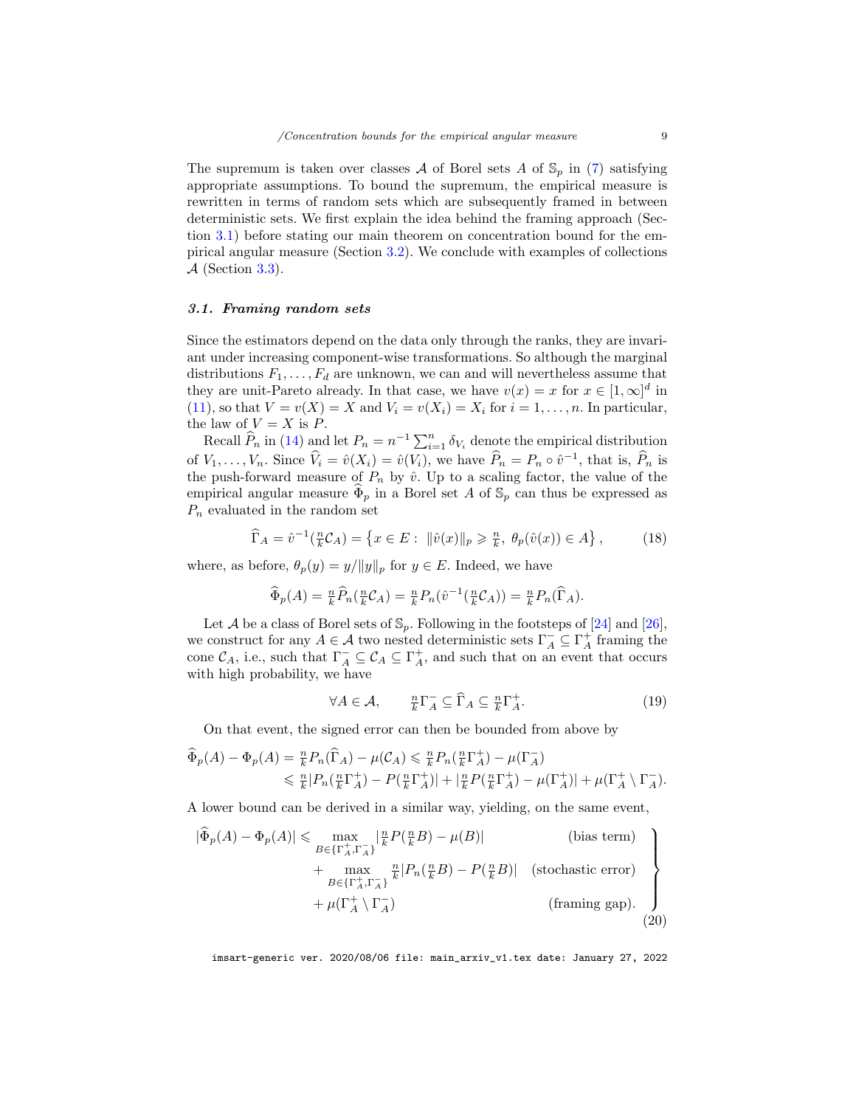The supremum is taken over classes A of Borel sets A of  $\mathcal{S}_p$  in [\(7\)](#page-5-5) satisfying appropriate assumptions. To bound the supremum, the empirical measure is rewritten in terms of random sets which are subsequently framed in between deterministic sets. We first explain the idea behind the framing approach (Section [3.1\)](#page-8-0) before stating our main theorem on concentration bound for the empirical angular measure (Section [3.2\)](#page-9-0). We conclude with examples of collections  $A$  (Section [3.3\)](#page-12-0).

## <span id="page-8-0"></span>3.1. Framing random sets

Since the estimators depend on the data only through the ranks, they are invariant under increasing component-wise transformations. So although the marginal distributions  $F_1, \ldots, F_d$  are unknown, we can and will nevertheless assume that they are unit-Pareto already. In that case, we have  $v(x) = x$  for  $x \in [1, \infty]^d$  in [\(11\)](#page-6-5), so that  $V = v(X) = X$  and  $V_i = v(X_i) = X_i$  for  $i = 1, ..., n$ . In particular, the law of  $V = X$  is P.

Recall  $\widehat{P}_n$  in [\(14\)](#page-7-4) and let  $P_n = n^{-1} \sum_{i=1}^n \delta_{V_i}$  denote the empirical distribution of  $V_1, \ldots, V_n$ . Since  $\widehat{V}_i = \hat{v}(X_i) = \hat{v}(V_i)$ , we have  $\widehat{P}_n = P_n \circ \hat{v}^{-1}$ , that is,  $\widehat{P}_n$  is the push-forward measure of  $P_n$  by  $\hat{v}$ . Up to a scaling factor, the value of the empirical angular measure  $\widehat{\Phi}_p$  in a Borel set A of  $\mathbb{S}_p$  can thus be expressed as  $P_n$  evaluated in the random set

$$
\widehat{\Gamma}_A = \widehat{v}^{-1}(\frac{n}{k}\mathcal{C}_A) = \left\{ x \in E : \ \|\widehat{v}(x)\|_p \geq \frac{n}{k}, \ \theta_p(\widehat{v}(x)) \in A \right\},\tag{18}
$$

where, as before,  $\theta_p(y) = y/||y||_p$  for  $y \in E$ . Indeed, we have

$$
\widehat{\Phi}_p(A) = \frac{n}{k} \widehat{P}_n(\frac{n}{k} \mathcal{C}_A) = \frac{n}{k} P_n(\widehat{v}^{-1}(\frac{n}{k} \mathcal{C}_A)) = \frac{n}{k} P_n(\widehat{\Gamma}_A).
$$

Let A be a class of Borel sets of  $\mathbb{S}_p$ . Following in the footsteps of [\[24\]](#page-27-11) and [\[26\]](#page-27-12), we construct for any  $A \in \mathcal{A}$  two nested deterministic sets  $\Gamma_A^- \subseteq \Gamma_A^+$  framing the cone  $\mathcal{C}_A$ , i.e., such that  $\Gamma_A^- \subseteq \mathcal{C}_A \subseteq \Gamma_A^+$ , and such that on an event that occurs with high probability, we have

<span id="page-8-1"></span>
$$
\forall A \in \mathcal{A}, \qquad \frac{n}{k} \Gamma_A^- \subseteq \widehat{\Gamma}_A \subseteq \frac{n}{k} \Gamma_A^+.
$$
 (19)

On that event, the signed error can then be bounded from above by

$$
\begin{split} \widehat{\Phi}_p(A) - \Phi_p(A) &= \tfrac{n}{k} P_n(\widehat{\Gamma}_A) - \mu(C_A) \leq \tfrac{n}{k} P_n(\tfrac{n}{k}\Gamma_A^+) - \mu(\Gamma_A^-) \\ &\leq \tfrac{n}{k} |P_n(\tfrac{n}{k}\Gamma_A^+) - P(\tfrac{n}{k}\Gamma_A^+) | + |\tfrac{n}{k} P(\tfrac{n}{k}\Gamma_A^+) - \mu(\Gamma_A^+) | + \mu(\Gamma_A^+ \setminus \Gamma_A^-). \end{split}
$$

A lower bound can be derived in a similar way, yielding, on the same event,

<span id="page-8-2"></span>
$$
|\widehat{\Phi}_p(A) - \Phi_p(A)| \le \max_{B \in \{\Gamma_A^+, \Gamma_A^-\}} |\frac{n}{k} P(\frac{n}{k}B) - \mu(B)| \qquad \text{(bias term)}
$$
  
+ 
$$
\max_{B \in \{\Gamma_A^+, \Gamma_A^-\}} \frac{n}{k} |P_n(\frac{n}{k}B) - P(\frac{n}{k}B)| \qquad \text{(stochastic error)}
$$
  
+ 
$$
\mu(\Gamma_A^+ \setminus \Gamma_A^-) \qquad \text{(framing gap).} \qquad \text{(20)}
$$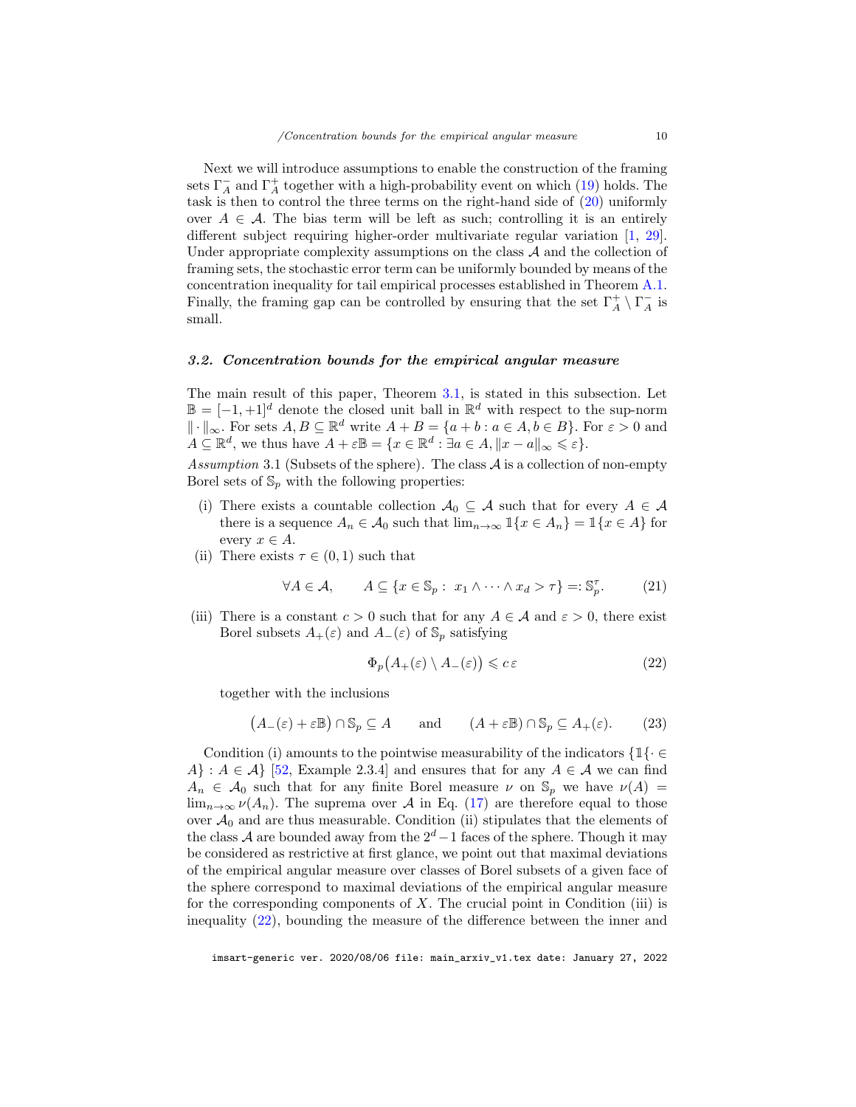Next we will introduce assumptions to enable the construction of the framing sets  $\Gamma_A^-$  and  $\Gamma_A^+$  together with a high-probability event on which [\(19\)](#page-8-1) holds. The task is then to control the three terms on the right-hand side of [\(20\)](#page-8-2) uniformly over  $A \in \mathcal{A}$ . The bias term will be left as such; controlling it is an entirely different subject requiring higher-order multivariate regular variation [\[1,](#page-26-5) [29\]](#page-28-11). Under appropriate complexity assumptions on the class  $A$  and the collection of framing sets, the stochastic error term can be uniformly bounded by means of the concentration inequality for tail empirical processes established in Theorem [A.1.](#page-24-0) Finally, the framing gap can be controlled by ensuring that the set  $\Gamma^+_{A} \setminus \Gamma^-_{A}$  is small.

# <span id="page-9-0"></span>3.2. Concentration bounds for the empirical angular measure

The main result of this paper, Theorem [3.1,](#page-10-0) is stated in this subsection. Let  $\mathbb{B} = [-1, +1]^d$  denote the closed unit ball in  $\mathbb{R}^d$  with respect to the sup-norm  $\|\cdot\|_{\infty}$ . For sets  $A, B \subseteq \mathbb{R}^d$  write  $A + B = \{a + b : a \in A, b \in B\}$ . For  $\varepsilon > 0$  and  $A \subseteq \mathbb{R}^d$ , we thus have  $A + \varepsilon \mathbb{B} = \{x \in \mathbb{R}^d : \exists a \in A, \|x - a\|_{\infty} \leqslant \varepsilon\}.$ 

<span id="page-9-2"></span>Assumption 3.1 (Subsets of the sphere). The class  $A$  is a collection of non-empty Borel sets of  $\mathbb{S}_p$  with the following properties:

- (i) There exists a countable collection  $A_0 \subseteq A$  such that for every  $A \in A$ there is a sequence  $A_n \in \mathcal{A}_0$  such that  $\lim_{n \to \infty} \mathbb{1}\{x \in A_n\} = \mathbb{1}\{x \in A\}$  for every  $x \in A$ .
- (ii) There exists  $\tau \in (0,1)$  such that

<span id="page-9-3"></span>
$$
\forall A \in \mathcal{A}, \qquad A \subseteq \{x \in \mathbb{S}_p : x_1 \wedge \dots \wedge x_d > \tau\} =: \mathbb{S}_p^{\tau}.
$$
 (21)

(iii) There is a constant  $c > 0$  such that for any  $A \in \mathcal{A}$  and  $\varepsilon > 0$ , there exist Borel subsets  $A_+(\varepsilon)$  and  $A_-(\varepsilon)$  of  $\mathbb{S}_p$  satisfying

<span id="page-9-1"></span>
$$
\Phi_p(A_+(\varepsilon) \setminus A_-(\varepsilon)) \leqslant c \,\varepsilon \tag{22}
$$

together with the inclusions

<span id="page-9-4"></span>
$$
(A_{-}(\varepsilon) + \varepsilon \mathbb{B}) \cap \mathbb{S}_p \subseteq A
$$
 and  $(A + \varepsilon \mathbb{B}) \cap \mathbb{S}_p \subseteq A_{+}(\varepsilon).$  (23)

Condition (i) amounts to the pointwise measurability of the indicators  $\{1\} \in$ A} :  $A \in \mathcal{A}$  [\[52,](#page-29-6) Example 2.3.4] and ensures that for any  $A \in \mathcal{A}$  we can find  $A_n \in \mathcal{A}_0$  such that for any finite Borel measure  $\nu$  on  $\mathbb{S}_p$  we have  $\nu(A) =$  $\lim_{n\to\infty}\nu(A_n)$ . The suprema over A in Eq. [\(17\)](#page-7-5) are therefore equal to those over  $A_0$  and are thus measurable. Condition (ii) stipulates that the elements of the class A are bounded away from the  $2^d-1$  faces of the sphere. Though it may be considered as restrictive at first glance, we point out that maximal deviations of the empirical angular measure over classes of Borel subsets of a given face of the sphere correspond to maximal deviations of the empirical angular measure for the corresponding components of  $X$ . The crucial point in Condition (iii) is inequality [\(22\)](#page-9-1), bounding the measure of the difference between the inner and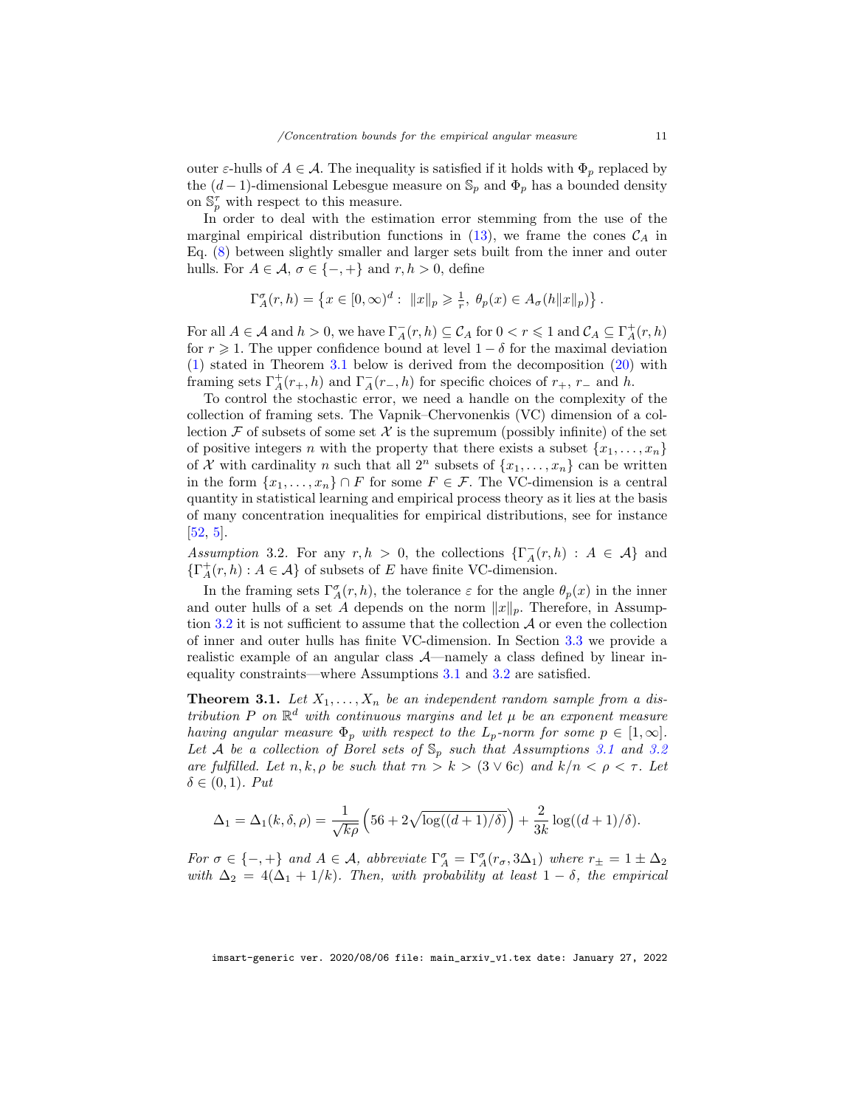outer  $\varepsilon$ -hulls of  $A \in \mathcal{A}$ . The inequality is satisfied if it holds with  $\Phi_p$  replaced by the  $(d-1)$ -dimensional Lebesgue measure on  $\mathbb{S}_p$  and  $\Phi_p$  has a bounded density on  $\mathbb{S}_p^{\tau}$  with respect to this measure.

In order to deal with the estimation error stemming from the use of the marginal empirical distribution functions in [\(13\)](#page-6-3), we frame the cones  $\mathcal{C}_A$  in Eq. [\(8\)](#page-5-4) between slightly smaller and larger sets built from the inner and outer hulls. For  $A \in \mathcal{A}$ ,  $\sigma \in \{-, +\}$  and  $r, h > 0$ , define

$$
\Gamma_A^{\sigma}(r,h) = \left\{ x \in [0,\infty)^d: \ \|x\|_p \geqslant \frac{1}{r}, \ \theta_p(x) \in A_{\sigma}(h||x||_p) \right\}.
$$

For all  $A \in \mathcal{A}$  and  $h > 0$ , we have  $\Gamma_A^-(r, h) \subseteq \mathcal{C}_A$  for  $0 < r \leq 1$  and  $\mathcal{C}_A \subseteq \Gamma_A^+(r, h)$ for  $r \geqslant 1$ . The upper confidence bound at level  $1 - \delta$  for the maximal deviation [\(1\)](#page-3-1) stated in Theorem [3.1](#page-10-0) below is derived from the decomposition [\(20\)](#page-8-2) with framing sets  $\Gamma_A^+(r_+,h)$  and  $\Gamma_A^-(r_-,h)$  for specific choices of  $r_+$ ,  $r_-$  and  $h$ .

To control the stochastic error, we need a handle on the complexity of the collection of framing sets. The Vapnik–Chervonenkis (VC) dimension of a collection  $\mathcal F$  of subsets of some set  $\mathcal X$  is the supremum (possibly infinite) of the set of positive integers n with the property that there exists a subset  $\{x_1, \ldots, x_n\}$ of X with cardinality n such that all  $2^n$  subsets of  $\{x_1, \ldots, x_n\}$  can be written in the form  $\{x_1, \ldots, x_n\} \cap F$  for some  $F \in \mathcal{F}$ . The VC-dimension is a central quantity in statistical learning and empirical process theory as it lies at the basis of many concentration inequalities for empirical distributions, see for instance [\[52,](#page-29-6) [5\]](#page-26-6).

<span id="page-10-1"></span>Assumption 3.2. For any  $r, h > 0$ , the collections  $\{\Gamma_A^-(r, h) : A \in \mathcal{A}\}\$ and  $\{\Gamma_A^+(r, h): A \in \mathcal{A}\}\$  of subsets of E have finite VC-dimension.

In the framing sets  $\Gamma_A^{\sigma}(r, h)$ , the tolerance  $\varepsilon$  for the angle  $\theta_p(x)$  in the inner and outer hulls of a set A depends on the norm  $||x||_p$ . Therefore, in Assump-tion [3.2](#page-10-1) it is not sufficient to assume that the collection  $A$  or even the collection of inner and outer hulls has finite VC-dimension. In Section [3.3](#page-12-0) we provide a realistic example of an angular class A—namely a class defined by linear inequality constraints—where Assumptions [3.1](#page-9-2) and [3.2](#page-10-1) are satisfied.

<span id="page-10-0"></span>**Theorem 3.1.** Let  $X_1, \ldots, X_n$  be an independent random sample from a distribution P on  $\mathbb{R}^d$  with continuous margins and let  $\mu$  be an exponent measure having angular measure  $\Phi_p$  with respect to the  $L_p$ -norm for some  $p \in [1,\infty]$ . Let A be a collection of Borel sets of  $\mathbb{S}_p$  such that Assumptions [3.1](#page-9-2) and [3.2](#page-10-1) are fulfilled. Let  $n, k, \rho$  be such that  $\tau n > k > (3 \vee 6c)$  and  $k/n < \rho < \tau$ . Let  $\delta \in (0,1)$ . Put

$$
\Delta_1 = \Delta_1(k, \delta, \rho) = \frac{1}{\sqrt{k\rho}} \left( 56 + 2\sqrt{\log((d+1)/\delta)} \right) + \frac{2}{3k} \log((d+1)/\delta).
$$

For  $\sigma \in \{-,+\}$  and  $A \in \mathcal{A}$ , abbreviate  $\Gamma^{\sigma}_{A} = \Gamma^{\sigma}_{A}(r_{\sigma}, 3\Delta_1)$  where  $r_{\pm} = 1 \pm \Delta_2$ with  $\Delta_2 = 4(\Delta_1 + 1/k)$ . Then, with probability at least  $1 - \delta$ , the empirical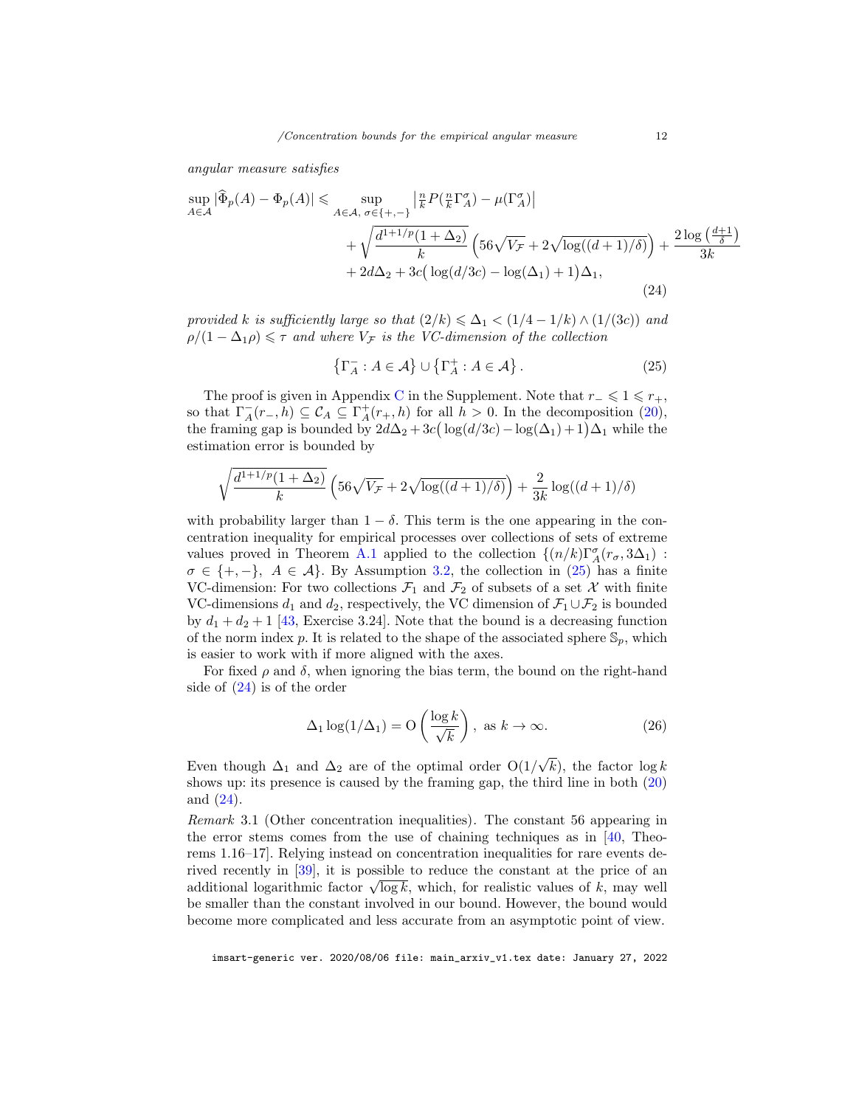angular measure satisfies

<span id="page-11-2"></span>
$$
\sup_{A \in \mathcal{A}} |\widehat{\Phi}_p(A) - \Phi_p(A)| \leq \sup_{A \in \mathcal{A}, \sigma \in \{+, -\}} \left| \frac{n}{k} P(\frac{n}{k} \Gamma_A^{\sigma}) - \mu(\Gamma_A^{\sigma}) \right|
$$
  
+  $\sqrt{\frac{d^{1+1/p}(1 + \Delta_2)}{k}} \left( 56\sqrt{V_{\mathcal{F}}} + 2\sqrt{\log((d+1)/\delta)} \right) + \frac{2 \log(\frac{d+1}{\delta})}{3k}$   
+  $2d\Delta_2 + 3c \left( \log(d/3c) - \log(\Delta_1) + 1 \right) \Delta_1,$  (24)

provided k is sufficiently large so that  $(2/k) \leq \Delta_1 < (1/4 - 1/k) \wedge (1/(3c))$  and  $\rho/(1 - \Delta_1 \rho) \leq \tau$  and where  $V_{\mathcal{F}}$  is the VC-dimension of the collection

<span id="page-11-1"></span>
$$
\{\Gamma_A^- : A \in \mathcal{A}\} \cup \{\Gamma_A^+ : A \in \mathcal{A}\}.
$$
 (25)

The proof is given in Appendix [C](#page-31-0) in the Supplement. Note that  $r_-\leqslant 1\leqslant r_+$ , so that  $\Gamma_A^-(r_-, \bar{h}) \subseteq C_A \subseteq \Gamma_A^+(r_+, \bar{h})$  for all  $\bar{h} > 0$ . In the decomposition [\(20\)](#page-8-2), the framing gap is bounded by  $2d\Delta_2 + 3c(\log(d/3c) - \log(\Delta_1) + 1)\Delta_1$  while the estimation error is bounded by

$$
\sqrt{\frac{d^{1+1/p}(1+\Delta_2)}{k}} \left(56\sqrt{V_{\mathcal{F}}} + 2\sqrt{\log((d+1)/\delta)}\right) + \frac{2}{3k} \log((d+1)/\delta)
$$

with probability larger than  $1 - \delta$ . This term is the one appearing in the concentration inequality for empirical processes over collections of sets of extreme values proved in Theorem [A.1](#page-24-0) applied to the collection  $\{(n/k)\Gamma^{\sigma}_A(r_{\sigma},3\Delta_1)\,:\,$  $\sigma \in \{+, -\}, \ A \in \mathcal{A}\}.$  By Assumption [3.2,](#page-10-1) the collection in [\(25\)](#page-11-1) has a finite VC-dimension: For two collections  $\mathcal{F}_1$  and  $\mathcal{F}_2$  of subsets of a set X with finite VC-dimensions  $d_1$  and  $d_2$ , respectively, the VC dimension of  $\mathcal{F}_1 \cup \mathcal{F}_2$  is bounded by  $d_1 + d_2 + 1$  [\[43,](#page-28-12) Exercise 3.24]. Note that the bound is a decreasing function of the norm index p. It is related to the shape of the associated sphere  $\mathbb{S}_p$ , which is easier to work with if more aligned with the axes.

For fixed  $\rho$  and  $\delta$ , when ignoring the bias term, the bound on the right-hand side of [\(24\)](#page-11-2) is of the order

$$
\Delta_1 \log(1/\Delta_1) = O\left(\frac{\log k}{\sqrt{k}}\right), \text{ as } k \to \infty. \tag{26}
$$

Even though  $\Delta_1$  and  $\Delta_2$  are of the optimal order O(1/ √  $(k)$ , the factor  $\log k$ shows up: its presence is caused by the framing gap, the third line in both [\(20\)](#page-8-2) and [\(24\)](#page-11-2).

<span id="page-11-0"></span>Remark 3.1 (Other concentration inequalities). The constant 56 appearing in the error stems comes from the use of chaining techniques as in [\[40,](#page-28-13) Theorems 1.16–17]. Relying instead on concentration inequalities for rare events derived recently in [\[39\]](#page-28-9), it is possible to reduce the constant at the price of an rived recently in [39], it is possible to reduce the constant at the price of an additional logarithmic factor  $\sqrt{\log k}$ , which, for realistic values of k, may well be smaller than the constant involved in our bound. However, the bound would become more complicated and less accurate from an asymptotic point of view.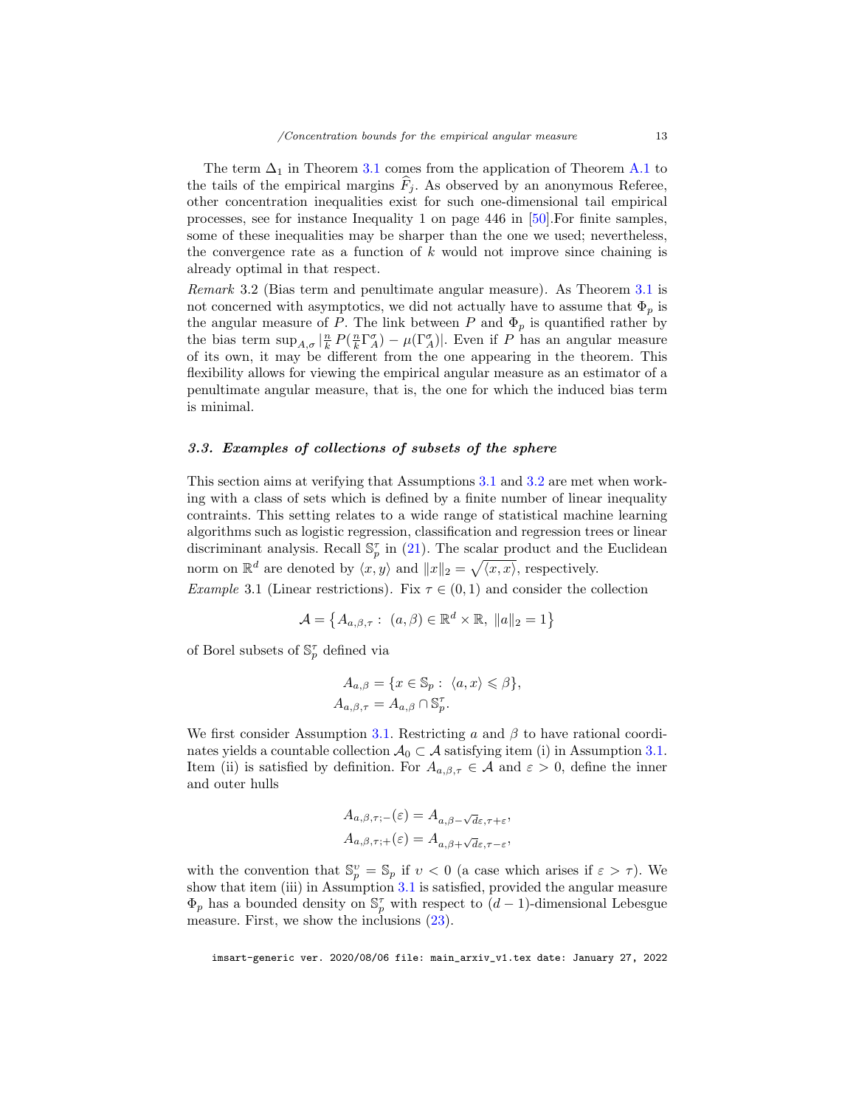The term  $\Delta_1$  in Theorem [3.1](#page-10-0) comes from the application of Theorem [A.1](#page-24-0) to the tails of the empirical margins  $\tilde{F}_j$ . As observed by an anonymous Referee, other concentration inequalities exist for such one-dimensional tail empirical processes, see for instance Inequality 1 on page 446 in [\[50\]](#page-29-7).For finite samples, some of these inequalities may be sharper than the one we used; nevertheless, the convergence rate as a function of  $k$  would not improve since chaining is already optimal in that respect.

Remark 3.2 (Bias term and penultimate angular measure). As Theorem [3.1](#page-10-0) is not concerned with asymptotics, we did not actually have to assume that  $\Phi_p$  is the angular measure of P. The link between P and  $\Phi_p$  is quantified rather by the bias term  $\sup_{A,\sigma} |\frac{n}{k} P(\frac{n}{k} \Gamma_A^{\sigma}) - \mu(\Gamma_A^{\sigma})|$ . Even if P has an angular measure of its own, it may be different from the one appearing in the theorem. This flexibility allows for viewing the empirical angular measure as an estimator of a penultimate angular measure, that is, the one for which the induced bias term is minimal.

## <span id="page-12-0"></span>3.3. Examples of collections of subsets of the sphere

This section aims at verifying that Assumptions [3.1](#page-9-2) and [3.2](#page-10-1) are met when working with a class of sets which is defined by a finite number of linear inequality contraints. This setting relates to a wide range of statistical machine learning algorithms such as logistic regression, classification and regression trees or linear discriminant analysis. Recall  $\mathbb{S}_p^{\tau}$  in [\(21\)](#page-9-3). The scalar product and the Euclidean norm on  $\mathbb{R}^d$  are denoted by  $\langle x, y \rangle$  and  $||x||_2 = \sqrt{\langle x, x \rangle}$ , respectively.

<span id="page-12-1"></span>Example 3.1 (Linear restrictions). Fix  $\tau \in (0,1)$  and consider the collection

$$
\mathcal{A} = \left\{ A_{a,\beta,\tau} : (a,\beta) \in \mathbb{R}^d \times \mathbb{R}, \|a\|_2 = 1 \right\}
$$

of Borel subsets of  $\mathbb{S}_p^{\tau}$  defined via

$$
A_{a,\beta} = \{x \in \mathbb{S}_p : \langle a, x \rangle \leq \beta\},\newline A_{a,\beta,\tau} = A_{a,\beta} \cap \mathbb{S}_p^{\tau}.
$$

We first consider Assumption [3.1.](#page-9-2) Restricting a and  $\beta$  to have rational coordinates yields a countable collection  $\mathcal{A}_0 \subset \mathcal{A}$  satisfying item (i) in Assumption [3.1.](#page-9-2) Item (ii) is satisfied by definition. For  $A_{a,\beta,\tau} \in \mathcal{A}$  and  $\varepsilon > 0$ , define the inner and outer hulls

$$
A_{a,\beta,\tau;-}(\varepsilon) = A_{a,\beta-\sqrt{d}\varepsilon,\tau+\varepsilon},
$$
  

$$
A_{a,\beta,\tau;+}(\varepsilon) = A_{a,\beta+\sqrt{d}\varepsilon,\tau-\varepsilon},
$$

with the convention that  $\mathbb{S}_p^v = \mathbb{S}_p$  if  $v < 0$  (a case which arises if  $\varepsilon > \tau$ ). We show that item (iii) in Assumption [3.1](#page-9-2) is satisfied, provided the angular measure  $\Phi_p$  has a bounded density on  $\mathbb{S}_p^{\tau}$  with respect to  $(d-1)$ -dimensional Lebesgue measure. First, we show the inclusions [\(23\)](#page-9-4).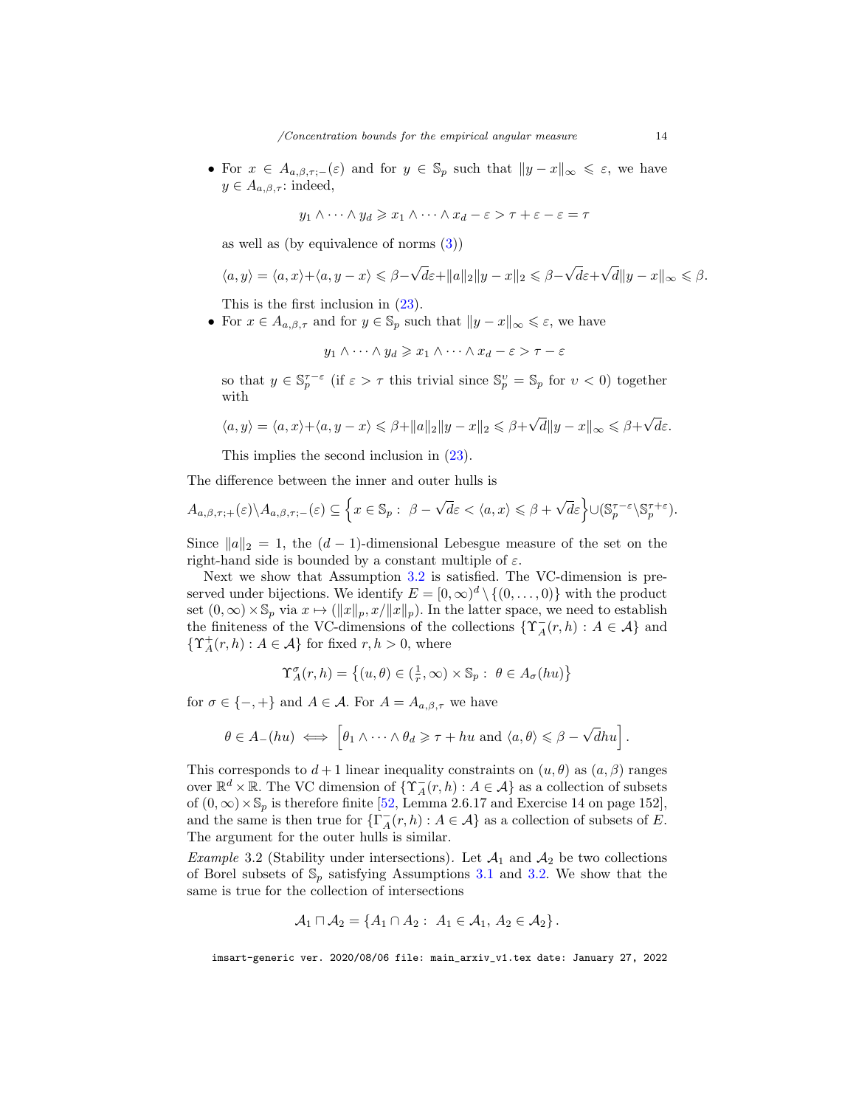• For  $x \in A_{a,\beta,\tau,-}(\varepsilon)$  and for  $y \in \mathbb{S}_p$  such that  $||y-x||_{\infty} \leq \varepsilon$ , we have  $y \in A_{a,\beta,\tau}$ : indeed,

$$
y_1 \wedge \cdots \wedge y_d \geqslant x_1 \wedge \cdots \wedge x_d - \varepsilon > \tau + \varepsilon - \varepsilon = \tau
$$

as well as (by equivalence of norms [\(3\)](#page-3-2))

$$
\langle a, y \rangle = \langle a, x \rangle + \langle a, y - x \rangle \leq \beta - \sqrt{d\varepsilon} + ||a||_2 ||y - x||_2 \leq \beta - \sqrt{d\varepsilon} + \sqrt{d}||y - x||_{\infty} \leq \beta.
$$

This is the first inclusion in [\(23\)](#page-9-4).

• For  $x \in A_{a,\beta,\tau}$  and for  $y \in \mathbb{S}_p$  such that  $||y - x||_{\infty} \leq \varepsilon$ , we have

$$
y_1 \wedge \cdots \wedge y_d \geq x_1 \wedge \cdots \wedge x_d - \varepsilon > \tau - \varepsilon
$$

so that  $y \in \mathbb{S}_p^{\tau-\varepsilon}$  (if  $\varepsilon > \tau$  this trivial since  $\mathbb{S}_p^v = \mathbb{S}_p$  for  $v < 0$ ) together with

$$
\langle a, y \rangle = \langle a, x \rangle + \langle a, y - x \rangle \le \beta + ||a||_2 ||y - x||_2 \le \beta + \sqrt{d} ||y - x||_{\infty} \le \beta + \sqrt{d} \varepsilon.
$$

This implies the second inclusion in [\(23\)](#page-9-4).

The difference between the inner and outer hulls is

$$
A_{a,\beta,\tau;+}(\varepsilon)\setminus A_{a,\beta,\tau;-}(\varepsilon)\subseteq \left\{x\in\mathbb{S}_p:\ \beta-\sqrt{d}\varepsilon\lt\langle a,x\rangle\leqslant\beta+\sqrt{d}\varepsilon\right\}\cup(\mathbb{S}_p^{\tau-\varepsilon}\setminus\mathbb{S}_p^{\tau+\varepsilon}).
$$

Since  $||a||_2 = 1$ , the  $(d - 1)$ -dimensional Lebesgue measure of the set on the right-hand side is bounded by a constant multiple of  $\varepsilon$ .

Next we show that Assumption [3.2](#page-10-1) is satisfied. The VC-dimension is preserved under bijections. We identify  $E = [0, \infty)^d \setminus \{(0, \ldots, 0)\}\$  with the product set  $(0, \infty) \times \mathbb{S}_p$  via  $x \mapsto (\|x\|_p, x/\|x\|_p)$ . In the latter space, we need to establish the finiteness of the VC-dimensions of the collections  $\{ \Upsilon_A^-(r, h) : A \in \mathcal{A} \}$  and  $\{\Upsilon_A^+(r, h) : A \in \mathcal{A}\}\$ for fixed  $r, h > 0$ , where

$$
\Upsilon_A^{\sigma}(r,h) = \left\{(u,\theta) \in (\frac{1}{r},\infty) \times \mathbb{S}_p : \ \theta \in A_{\sigma}(hu)\right\}
$$

for  $\sigma \in \{-, +\}$  and  $A \in \mathcal{A}$ . For  $A = A_{a,\beta,\tau}$  we have

$$
\theta \in A_{-}(hu) \iff \left[\theta_1 \wedge \cdots \wedge \theta_d \geq \tau + hu \text{ and } \langle a, \theta \rangle \leq \beta - \sqrt{d}hu\right].
$$

This corresponds to  $d+1$  linear inequality constraints on  $(u, \theta)$  as  $(a, \beta)$  ranges over  $\mathbb{R}^d \times \mathbb{R}$ . The VC dimension of  $\{\Upsilon_A(r, h) : A \in \mathcal{A}\}\)$  as a collection of subsets of  $(0, \infty) \times \mathbb{S}_p$  is therefore finite [\[52,](#page-29-6) Lemma 2.6.17 and Exercise 14 on page 152], and the same is then true for  $\{\Gamma^-_A(r, h) : A \in \mathcal{A}\}\)$  as a collection of subsets of  $E$ . The argument for the outer hulls is similar.

<span id="page-13-0"></span>*Example* 3.2 (Stability under intersections). Let  $\mathcal{A}_1$  and  $\mathcal{A}_2$  be two collections of Borel subsets of  $\mathbb{S}_p$  satisfying Assumptions [3.1](#page-9-2) and [3.2.](#page-10-1) We show that the same is true for the collection of intersections

$$
\mathcal{A}_1 \sqcap \mathcal{A}_2 = \{A_1 \cap A_2: A_1 \in \mathcal{A}_1, A_2 \in \mathcal{A}_2\}.
$$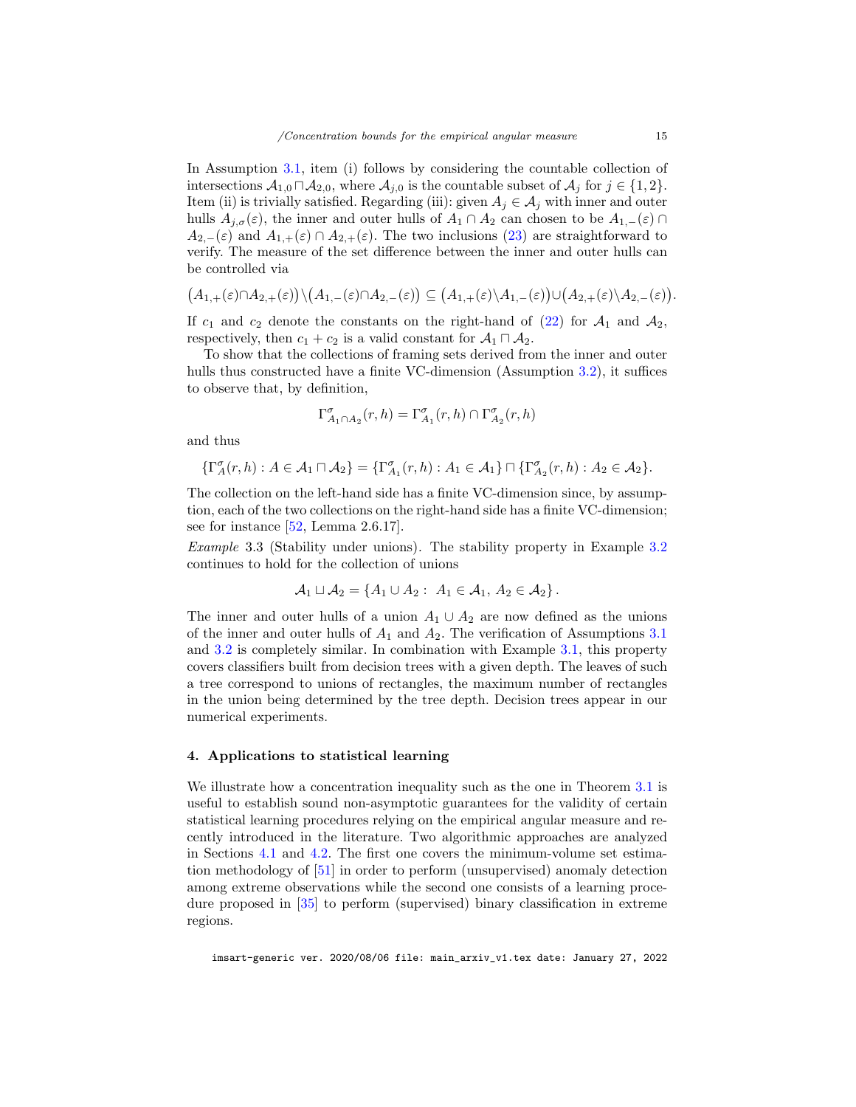In Assumption [3.1,](#page-9-2) item (i) follows by considering the countable collection of intersections  $A_{1,0} \sqcap A_{2,0}$ , where  $A_{j,0}$  is the countable subset of  $A_j$  for  $j \in \{1,2\}$ . Item (ii) is trivially satisfied. Regarding (iii): given  $A_j \in \mathcal{A}_j$  with inner and outer hulls  $A_{j,\sigma}(\varepsilon)$ , the inner and outer hulls of  $A_1 \cap A_2$  can chosen to be  $A_{1,-}(\varepsilon) \cap A_1$  $A_{2,-}(\varepsilon)$  and  $A_{1,+}(\varepsilon) \cap A_{2,+}(\varepsilon)$ . The two inclusions [\(23\)](#page-9-4) are straightforward to verify. The measure of the set difference between the inner and outer hulls can be controlled via

$$
(A_{1,+}(\varepsilon) \cap A_{2,+}(\varepsilon)) \setminus (A_{1,-}(\varepsilon) \cap A_{2,-}(\varepsilon)) \subseteq (A_{1,+}(\varepsilon) \setminus A_{1,-}(\varepsilon)) \cup (A_{2,+}(\varepsilon) \setminus A_{2,-}(\varepsilon)).
$$

If  $c_1$  and  $c_2$  denote the constants on the right-hand of [\(22\)](#page-9-1) for  $\mathcal{A}_1$  and  $\mathcal{A}_2$ , respectively, then  $c_1 + c_2$  is a valid constant for  $\mathcal{A}_1 \sqcap \mathcal{A}_2$ .

To show that the collections of framing sets derived from the inner and outer hulls thus constructed have a finite VC-dimension (Assumption [3.2\)](#page-10-1), it suffices to observe that, by definition,

$$
\Gamma_{A_1\cap A_2}^\sigma(r,h)=\Gamma_{A_1}^\sigma(r,h)\cap \Gamma_{A_2}^\sigma(r,h)
$$

and thus

$$
\{\Gamma_A^{\sigma}(r,h):A\in \mathcal{A}_1\sqcap \mathcal{A}_2\}=\{\Gamma_{A_1}^{\sigma}(r,h):A_1\in \mathcal{A}_1\}\sqcap \{\Gamma_{A_2}^{\sigma}(r,h):A_2\in \mathcal{A}_2\}.
$$

The collection on the left-hand side has a finite VC-dimension since, by assumption, each of the two collections on the right-hand side has a finite VC-dimension; see for instance [\[52,](#page-29-6) Lemma 2.6.17].

Example 3.3 (Stability under unions). The stability property in Example [3.2](#page-13-0) continues to hold for the collection of unions

$$
\mathcal{A}_1 \sqcup \mathcal{A}_2 = \{A_1 \cup A_2 : A_1 \in \mathcal{A}_1, A_2 \in \mathcal{A}_2\}.
$$

The inner and outer hulls of a union  $A_1 \cup A_2$  are now defined as the unions of the inner and outer hulls of  $A_1$  and  $A_2$ . The verification of Assumptions [3.1](#page-9-2) and [3.2](#page-10-1) is completely similar. In combination with Example [3.1,](#page-12-1) this property covers classifiers built from decision trees with a given depth. The leaves of such a tree correspond to unions of rectangles, the maximum number of rectangles in the union being determined by the tree depth. Decision trees appear in our numerical experiments.

## <span id="page-14-0"></span>4. Applications to statistical learning

We illustrate how a concentration inequality such as the one in Theorem [3.1](#page-10-0) is useful to establish sound non-asymptotic guarantees for the validity of certain statistical learning procedures relying on the empirical angular measure and recently introduced in the literature. Two algorithmic approaches are analyzed in Sections [4.1](#page-15-0) and [4.2.](#page-16-0) The first one covers the minimum-volume set estimation methodology of [\[51\]](#page-29-2) in order to perform (unsupervised) anomaly detection among extreme observations while the second one consists of a learning procedure proposed in [\[35\]](#page-28-6) to perform (supervised) binary classification in extreme regions.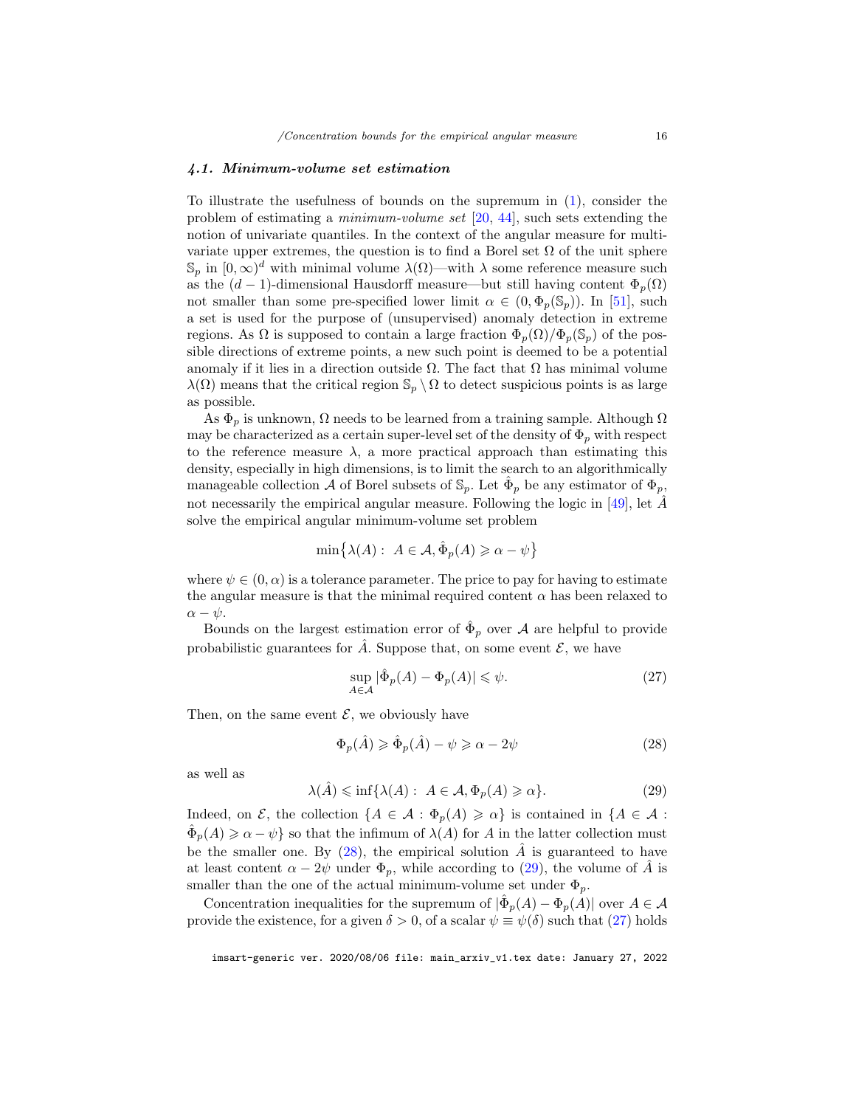#### <span id="page-15-0"></span>4.1. Minimum-volume set estimation

To illustrate the usefulness of bounds on the supremum in [\(1\)](#page-3-1), consider the problem of estimating a minimum-volume set [\[20,](#page-27-17) [44\]](#page-28-14), such sets extending the notion of univariate quantiles. In the context of the angular measure for multivariate upper extremes, the question is to find a Borel set  $\Omega$  of the unit sphere  $\mathbb{S}_p$  in  $[0,\infty)^d$  with minimal volume  $\lambda(\Omega)$ —with  $\lambda$  some reference measure such as the  $(d-1)$ -dimensional Hausdorff measure—but still having content  $\Phi_p(\Omega)$ not smaller than some pre-specified lower limit  $\alpha \in (0, \Phi_n(\mathbb{S}_n))$ . In [\[51\]](#page-29-2), such a set is used for the purpose of (unsupervised) anomaly detection in extreme regions. As  $\Omega$  is supposed to contain a large fraction  $\Phi_p(\Omega)/\Phi_p(\mathbb{S}_p)$  of the possible directions of extreme points, a new such point is deemed to be a potential anomaly if it lies in a direction outside  $\Omega$ . The fact that  $\Omega$  has minimal volume  $\lambda(\Omega)$  means that the critical region  $\mathbb{S}_p \setminus \Omega$  to detect suspicious points is as large as possible.

As  $\Phi_p$  is unknown,  $\Omega$  needs to be learned from a training sample. Although  $\Omega$ may be characterized as a certain super-level set of the density of  $\Phi_p$  with respect to the reference measure  $\lambda$ , a more practical approach than estimating this density, especially in high dimensions, is to limit the search to an algorithmically manageable collection  $\mathcal A$  of Borel subsets of  $\mathbb S_p$ . Let  $\hat{\Phi}_p$  be any estimator of  $\Phi_p$ , not necessarily the empirical angular measure. Following the logic in [\[49\]](#page-29-8), let  $\ddot{A}$ solve the empirical angular minimum-volume set problem

$$
\min\{\lambda(A): A \in \mathcal{A}, \hat{\Phi}_p(A) \geq \alpha - \psi\}
$$

where  $\psi \in (0, \alpha)$  is a tolerance parameter. The price to pay for having to estimate the angular measure is that the minimal required content  $\alpha$  has been relaxed to  $\alpha - \psi$ .

Bounds on the largest estimation error of  $\hat{\Phi}_p$  over A are helpful to provide probabilistic guarantees for  $\hat{A}$ . Suppose that, on some event  $\mathcal{E}$ , we have

<span id="page-15-3"></span>
$$
\sup_{A \in \mathcal{A}} |\hat{\Phi}_p(A) - \Phi_p(A)| \le \psi.
$$
 (27)

Then, on the same event  $\mathcal{E}$ , we obviously have

<span id="page-15-1"></span>
$$
\Phi_p(\hat{A}) \ge \hat{\Phi}_p(\hat{A}) - \psi \ge \alpha - 2\psi \tag{28}
$$

as well as

<span id="page-15-2"></span>
$$
\lambda(\hat{A}) \le \inf \{ \lambda(A) : A \in \mathcal{A}, \Phi_p(A) \ge \alpha \}. \tag{29}
$$

Indeed, on  $\mathcal{E}$ , the collection  $\{A \in \mathcal{A} : \Phi_p(A) \geq \alpha\}$  is contained in  $\{A \in \mathcal{A} : \Phi_p(A) \geq \alpha\}$  $\hat{\Phi}_p(A) \geq \alpha - \psi$  so that the infimum of  $\lambda(A)$  for A in the latter collection must be the smaller one. By  $(28)$ , the empirical solution  $\hat{A}$  is guaranteed to have at least content  $\alpha - 2\psi$  under  $\Phi_p$ , while according to [\(29\)](#page-15-2), the volume of  $\hat{A}$  is smaller than the one of the actual minimum-volume set under  $\Phi_p$ .

Concentration inequalities for the supremum of  $|\hat{\Phi}_p(A) - \Phi_p(A)|$  over  $A \in \mathcal{A}$ provide the existence, for a given  $\delta > 0$ , of a scalar  $\psi \equiv \psi(\delta)$  such that [\(27\)](#page-15-3) holds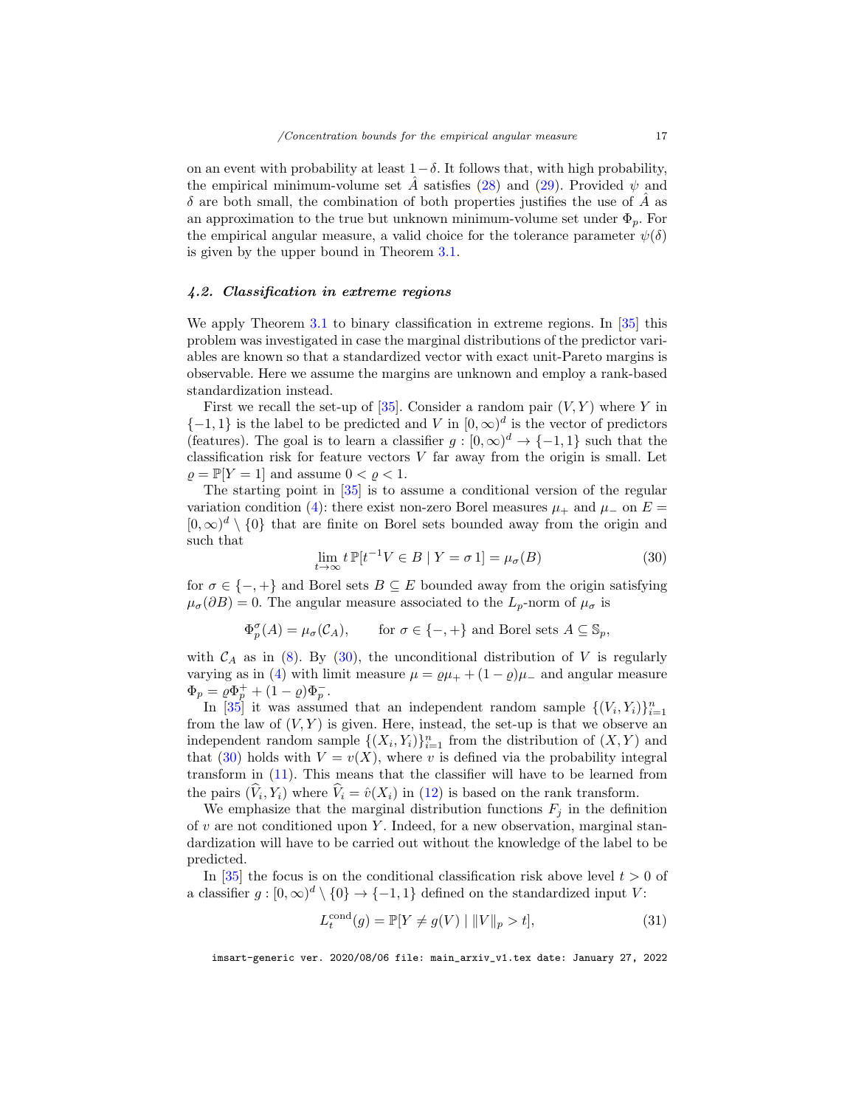on an event with probability at least  $1-\delta$ . It follows that, with high probability, the empirical minimum-volume set  $\tilde{A}$  satisfies [\(28\)](#page-15-1) and [\(29\)](#page-15-2). Provided  $\psi$  and  $\delta$  are both small, the combination of both properties justifies the use of A as an approximation to the true but unknown minimum-volume set under  $\Phi_p$ . For the empirical angular measure, a valid choice for the tolerance parameter  $\psi(\delta)$ is given by the upper bound in Theorem [3.1.](#page-10-0)

# <span id="page-16-0"></span>4.2. Classification in extreme regions

We apply Theorem [3.1](#page-10-0) to binary classification in extreme regions. In [\[35\]](#page-28-6) this problem was investigated in case the marginal distributions of the predictor variables are known so that a standardized vector with exact unit-Pareto margins is observable. Here we assume the margins are unknown and employ a rank-based standardization instead.

First we recall the set-up of  $[35]$ . Consider a random pair  $(V, Y)$  where Y in  $\{-1,1\}$  is the label to be predicted and V in  $[0,\infty)^d$  is the vector of predictors (features). The goal is to learn a classifier  $g : [0, \infty)^d \to \{-1, 1\}$  such that the classification risk for feature vectors  $V$  far away from the origin is small. Let  $\rho = \mathbb{P}[Y = 1]$  and assume  $0 < \rho < 1$ .

The starting point in [\[35\]](#page-28-6) is to assume a conditional version of the regular variation condition [\(4\)](#page-5-1): there exist non-zero Borel measures  $\mu_+$  and  $\mu_-$  on  $E =$  $[0, \infty)^d \setminus \{0\}$  that are finite on Borel sets bounded away from the origin and such that

<span id="page-16-1"></span>
$$
\lim_{t \to \infty} t \, \mathbb{P}[t^{-1}V \in B \mid Y = \sigma 1] = \mu_{\sigma}(B) \tag{30}
$$

for  $\sigma \in \{-,+\}$  and Borel sets  $B \subseteq E$  bounded away from the origin satisfying  $\mu_{\sigma}(\partial B) = 0$ . The angular measure associated to the  $L_p$ -norm of  $\mu_{\sigma}$  is

$$
\Phi_p^{\sigma}(A) = \mu_{\sigma}(\mathcal{C}_A), \quad \text{for } \sigma \in \{-,+\} \text{ and Borel sets } A \subseteq \mathbb{S}_p,
$$

with  $C_A$  as in [\(8\)](#page-5-4). By [\(30\)](#page-16-1), the unconditional distribution of V is regularly varying as in [\(4\)](#page-5-1) with limit measure  $\mu = \rho \mu_{+} + (1 - \rho) \mu_{-}$  and angular measure  $\Phi_p = \rho \Phi_p^+ + (1 - \rho) \Phi_p^-$ .

In [\[35\]](#page-28-6) it was assumed that an independent random sample  $\{(V_i, Y_i)\}_{i=1}^n$ from the law of  $(V, Y)$  is given. Here, instead, the set-up is that we observe an independent random sample  $\{(X_i,Y_i)\}_{i=1}^n$  from the distribution of  $(X,Y)$  and that [\(30\)](#page-16-1) holds with  $V = v(X)$ , where v is defined via the probability integral transform in [\(11\)](#page-6-5). This means that the classifier will have to be learned from the pairs  $(V_i, Y_i)$  where  $V_i = \hat{v}(X_i)$  in [\(12\)](#page-6-4) is based on the rank transform.

We emphasize that the marginal distribution functions  $F_i$  in the definition of  $v$  are not conditioned upon  $Y$ . Indeed, for a new observation, marginal standardization will have to be carried out without the knowledge of the label to be predicted.

In [\[35\]](#page-28-6) the focus is on the conditional classification risk above level  $t > 0$  of a classifier  $g : [0, \infty)^d \setminus \{0\} \to \{-1, 1\}$  defined on the standardized input V:

<span id="page-16-2"></span>
$$
L_t^{\text{cond}}(g) = \mathbb{P}[Y \neq g(V) \mid ||V||_p > t],\tag{31}
$$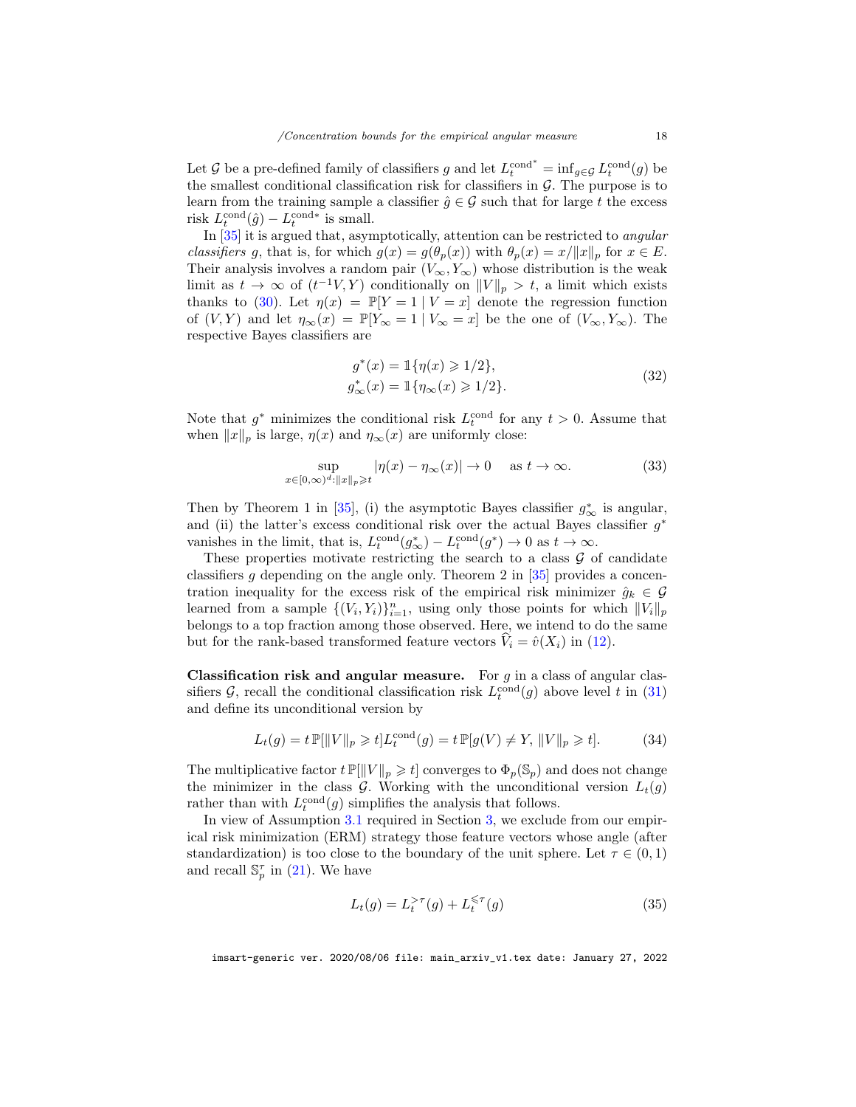Let G be a pre-defined family of classifiers g and let  $L_t^{\text{cond}^*} = \inf_{g \in \mathcal{G}} L_t^{\text{cond}}(g)$  be the smallest conditional classification risk for classifiers in  $\mathcal{G}$ . The purpose is to learn from the training sample a classifier  $\hat{g} \in \mathcal{G}$  such that for large t the excess risk  $L_t^{\text{cond}}(\hat{g}) - L_t^{\text{cond}*}$  is small.

In [\[35\]](#page-28-6) it is argued that, asymptotically, attention can be restricted to angular classifiers g, that is, for which  $g(x) = g(\theta_p(x))$  with  $\theta_p(x) = x/||x||_p$  for  $x \in E$ . Their analysis involves a random pair  $(V_{\infty}, Y_{\infty})$  whose distribution is the weak limit as  $t \to \infty$  of  $(t^{-1}V, Y)$  conditionally on  $||V||_p > t$ , a limit which exists thanks to [\(30\)](#page-16-1). Let  $\eta(x) = \mathbb{P}[Y = 1 | V = x]$  denote the regression function of  $(V, Y)$  and let  $\eta_{\infty}(x) = \mathbb{P}[Y_{\infty} = 1 | V_{\infty} = x]$  be the one of  $(V_{\infty}, Y_{\infty})$ . The respective Bayes classifiers are

<span id="page-17-2"></span>
$$
g^*(x) = \mathbb{1}\{\eta(x) \geq 1/2\},
$$
  
\n
$$
g^*_{\infty}(x) = \mathbb{1}\{\eta_{\infty}(x) \geq 1/2\}.
$$
\n(32)

Note that  $g^*$  minimizes the conditional risk  $L_t^{\text{cond}}$  for any  $t > 0$ . Assume that when  $||x||_p$  is large,  $\eta(x)$  and  $\eta_\infty(x)$  are uniformly close:

<span id="page-17-1"></span>
$$
\sup_{x \in [0,\infty)^d: \|x\|_p \geqslant t} |\eta(x) - \eta_\infty(x)| \to 0 \quad \text{ as } t \to \infty.
$$
 (33)

Then by Theorem 1 in [\[35\]](#page-28-6), (i) the asymptotic Bayes classifier  $g^*_{\infty}$  is angular, and (ii) the latter's excess conditional risk over the actual Bayes classifier  $g^*$ vanishes in the limit, that is,  $L_t^{\text{cond}}(g_{\infty}^*) - L_t^{\text{cond}}(g^*) \to 0$  as  $t \to \infty$ .

These properties motivate restricting the search to a class  $\mathcal G$  of candidate classifiers g depending on the angle only. Theorem 2 in  $[35]$  provides a concentration inequality for the excess risk of the empirical risk minimizer  $\hat{g}_k \in \mathcal{G}$ learned from a sample  $\{(V_i, Y_i)\}_{i=1}^n$ , using only those points for which  $||V_i||_p$ belongs to a top fraction among those observed. Here, we intend to do the same but for the rank-based transformed feature vectors  $V_i = \hat{v}(X_i)$  in [\(12\)](#page-6-4).

**Classification risk and angular measure.** For  $g$  in a class of angular classifiers  $\mathcal{G}$ , recall the conditional classification risk  $L_t^{\text{cond}}(g)$  above level t in [\(31\)](#page-16-2) and define its unconditional version by

<span id="page-17-3"></span>
$$
L_t(g) = t \mathbb{P}[\|V\|_p \ge t] L_t^{\text{cond}}(g) = t \mathbb{P}[g(V) \ne Y, \|V\|_p \ge t]. \tag{34}
$$

The multiplicative factor  $t \mathbb{P}[\|V\|_p \geq t]$  converges to  $\Phi_p(\mathbb{S}_p)$  and does not change the minimizer in the class  $G$ . Working with the unconditional version  $L_t(g)$ rather than with  $L_t^{\text{cond}}(g)$  simplifies the analysis that follows.

In view of Assumption [3.1](#page-9-2) required in Section [3,](#page-7-0) we exclude from our empirical risk minimization (ERM) strategy those feature vectors whose angle (after standardization) is too close to the boundary of the unit sphere. Let  $\tau \in (0,1)$ and recall  $\mathbb{S}_p^{\tau}$  in [\(21\)](#page-9-3). We have

<span id="page-17-0"></span>
$$
L_t(g) = L_t^{>\tau}(g) + L_t^{\leqslant \tau}(g)
$$
\n(35)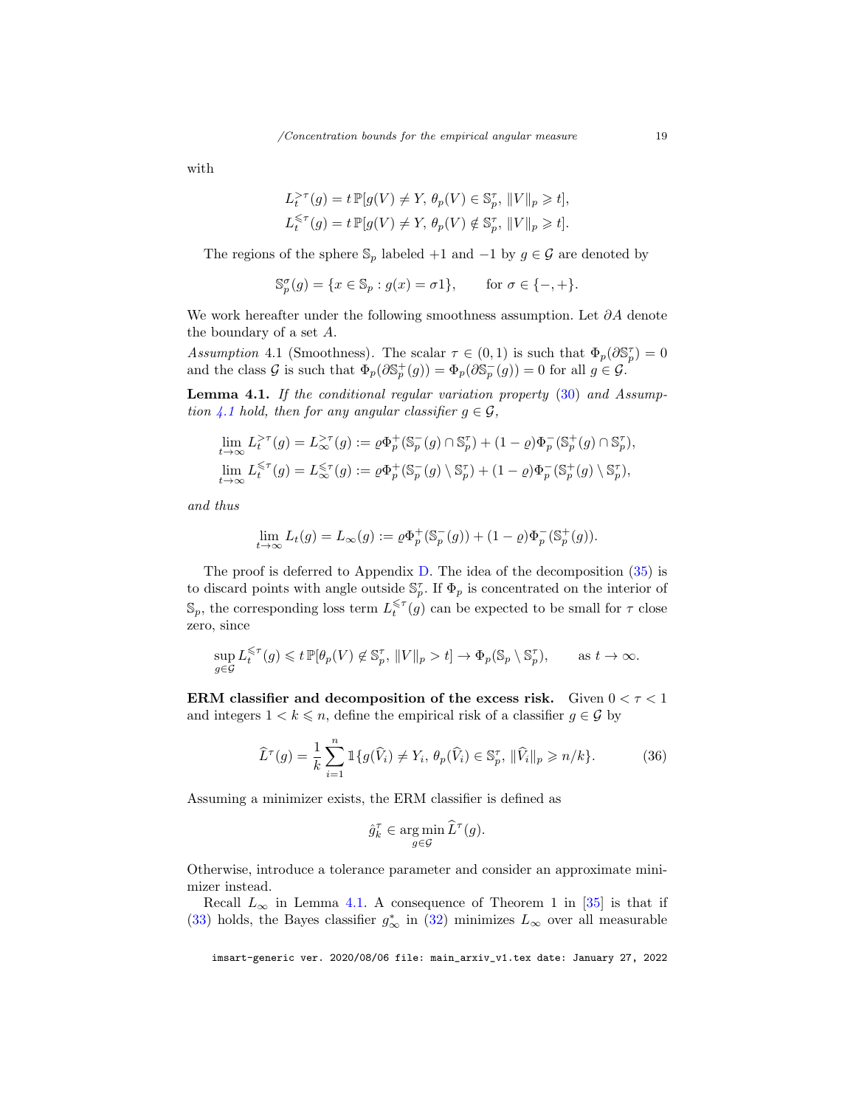with

$$
L_t^{\geq \tau}(g) = t \mathbb{P}[g(V) \neq Y, \theta_p(V) \in \mathbb{S}_p^{\tau}, ||V||_p \geq t],
$$
  

$$
L_t^{\leq \tau}(g) = t \mathbb{P}[g(V) \neq Y, \theta_p(V) \notin \mathbb{S}_p^{\tau}, ||V||_p \geq t].
$$

The regions of the sphere  $\mathbb{S}_p$  labeled +1 and -1 by  $g \in \mathcal{G}$  are denoted by

$$
\mathbb{S}_p^{\sigma}(g) = \{ x \in \mathbb{S}_p : g(x) = \sigma \mathbf{1} \}, \quad \text{for } \sigma \in \{-, +\}.
$$

We work hereafter under the following smoothness assumption. Let ∂A denote the boundary of a set A.

<span id="page-18-0"></span>Assumption 4.1 (Smoothness). The scalar  $\tau \in (0,1)$  is such that  $\Phi_p(\partial \mathbb{S}_p^{\tau}) = 0$ and the class G is such that  $\Phi_p(\partial \mathbb{S}_p^+(g)) = \Phi_p(\partial \mathbb{S}_p^-(g)) = 0$  for all  $g \in \mathcal{G}$ .

<span id="page-18-1"></span>Lemma 4.1. If the conditional regular variation property [\(30\)](#page-16-1) and Assump-tion [4.1](#page-18-0) hold, then for any angular classifier  $g \in \mathcal{G}$ ,

$$
\begin{aligned} &\lim_{t\to\infty}L_t^{>\tau}(g)=L_{\infty}^{>\tau}(g):=\varrho\Phi_p^+(\mathbb{S}_p^-(g)\cap\mathbb{S}_p^{\tau})+(1-\varrho)\Phi_p^-(\mathbb{S}_p^+(g)\cap\mathbb{S}_p^{\tau}),\\ &\lim_{t\to\infty}L_t^{\leqslant\tau}(g)=L_{\infty}^{\leqslant\tau}(g):=\varrho\Phi_p^+(\mathbb{S}_p^-(g)\setminus\mathbb{S}_p^{\tau})+(1-\varrho)\Phi_p^-(\mathbb{S}_p^+(g)\setminus\mathbb{S}_p^{\tau}), \end{aligned}
$$

and thus

$$
\lim_{t \to \infty} L_t(g) = L_{\infty}(g) := \rho \Phi_p^+(\mathbb{S}_p^-(g)) + (1 - \rho) \Phi_p^-(\mathbb{S}_p^+(g)).
$$

The proof is deferred to Appendix [D.](#page-36-0) The idea of the decomposition [\(35\)](#page-17-0) is to discard points with angle outside  $\mathbb{S}_p^{\tau}$ . If  $\Phi_p$  is concentrated on the interior of  $\mathbb{S}_p$ , the corresponding loss term  $L_t^{\leqslant \tau}(g)$  can be expected to be small for  $\tau$  close zero, since

$$
\sup_{g \in \mathcal{G}} L_t^{\leq \tau}(g) \leq t \, \mathbb{P}[\theta_p(V) \notin \mathbb{S}_p^{\tau}, \, \|V\|_p > t] \to \Phi_p(\mathbb{S}_p \setminus \mathbb{S}_p^{\tau}), \qquad \text{as } t \to \infty.
$$

ERM classifier and decomposition of the excess risk. Given  $0 < \tau < 1$ and integers  $1 < k \leq n$ , define the empirical risk of a classifier  $g \in \mathcal{G}$  by

<span id="page-18-2"></span>
$$
\widehat{L}^{\tau}(g) = \frac{1}{k} \sum_{i=1}^{n} \mathbb{1}\{g(\widehat{V}_{i}) \neq Y_{i}, \theta_{p}(\widehat{V}_{i}) \in \mathbb{S}_{p}^{\tau}, \|\widehat{V}_{i}\|_{p} \geqslant n/k\}.
$$
 (36)

Assuming a minimizer exists, the ERM classifier is defined as

$$
\hat{g}_k^{\tau} \in \argmin_{g \in \mathcal{G}} \widehat{L}^{\tau}(g).
$$

Otherwise, introduce a tolerance parameter and consider an approximate minimizer instead.

Recall  $L_{\infty}$  in Lemma [4.1.](#page-18-1) A consequence of Theorem 1 in [\[35\]](#page-28-6) is that if [\(33\)](#page-17-1) holds, the Bayes classifier  $g^*_{\infty}$  in [\(32\)](#page-17-2) minimizes  $L_{\infty}$  over all measurable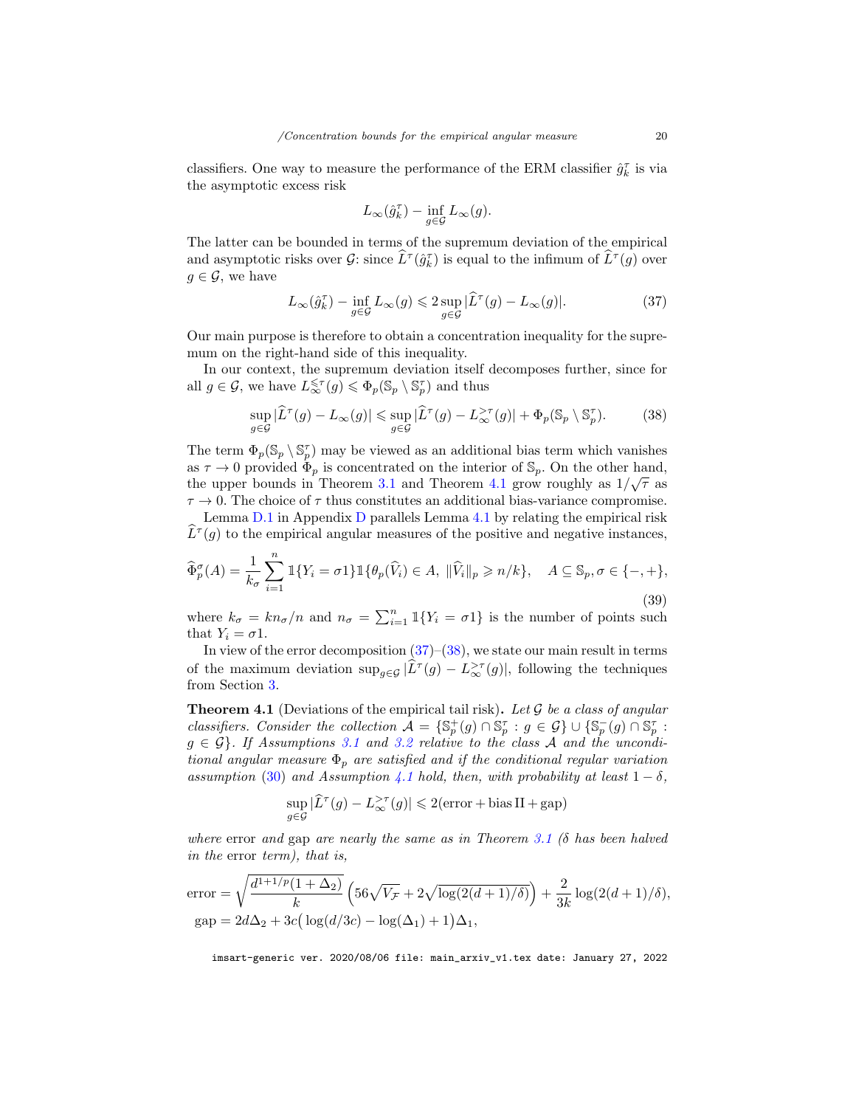classifiers. One way to measure the performance of the ERM classifier  $\hat{g}_k^{\tau}$  is via the asymptotic excess risk

$$
L_\infty(\hat{g}_k^\tau) - \inf_{g \in \mathcal{G}} L_\infty(g).
$$

The latter can be bounded in terms of the supremum deviation of the empirical and asymptotic risks over  $\mathcal{G}$ : since  $\widehat{L}^{\tau}(\hat{g}_k^{\tau})$  is equal to the infimum of  $\widehat{L}^{\tau}(g)$  over  $g \in \mathcal{G}$ , we have

<span id="page-19-1"></span>
$$
L_{\infty}(\hat{g}_k^{\tau}) - \inf_{g \in \mathcal{G}} L_{\infty}(g) \leq 2 \sup_{g \in \mathcal{G}} |\widehat{L}^{\tau}(g) - L_{\infty}(g)|. \tag{37}
$$

Our main purpose is therefore to obtain a concentration inequality for the supremum on the right-hand side of this inequality.

In our context, the supremum deviation itself decomposes further, since for all  $g \in \mathcal{G}$ , we have  $L^{\leqslant \tau}_{\infty}(g) \leqslant \Phi_p(\mathbb{S}_p \setminus \mathbb{S}_p^{\tau})$  and thus

<span id="page-19-2"></span>
$$
\sup_{g \in \mathcal{G}} |\widehat{L}^{\tau}(g) - L_{\infty}(g)| \leq \sup_{g \in \mathcal{G}} |\widehat{L}^{\tau}(g) - L_{\infty}^{> \tau}(g)| + \Phi_{p}(\mathbb{S}_{p} \setminus \mathbb{S}_{p}^{\tau}). \tag{38}
$$

The term  $\Phi_p(\mathbb{S}_p \setminus \mathbb{S}_p^{\tau})$  may be viewed as an additional bias term which vanishes as  $\tau \to 0$  provided  $\Phi_p$  is concentrated on the interior of  $\mathbb{S}_p$ . On the other hand, the upper bounds in Theorem [3.1](#page-10-0) and Theorem [4.1](#page-19-0) grow roughly as  $1/\sqrt{\tau}$  as  $\tau \to 0$ . The choice of  $\tau$  thus constitutes an additional bias-variance compromise.

Lemma [D.1](#page-37-0) in Appendix [D](#page-36-0) parallels Lemma [4.1](#page-18-1) by relating the empirical risk  $\widehat{L}^{\tau}(g)$  to the empirical angular measures of the positive and negative instances,

<span id="page-19-3"></span>
$$
\widehat{\Phi}_p^{\sigma}(A) = \frac{1}{k_{\sigma}} \sum_{i=1}^n \mathbb{1}\{Y_i = \sigma \mathbb{1}\} \mathbb{1}\{\theta_p(\widehat{V}_i) \in A, \|\widehat{V}_i\|_p \ge n/k\}, \quad A \subseteq \mathbb{S}_p, \sigma \in \{-, +\},
$$
\n(39)

where  $k_{\sigma} = kn_{\sigma}/n$  and  $n_{\sigma} = \sum_{i=1}^{n} \mathbb{1}\{Y_i = \sigma 1\}$  is the number of points such that  $Y_i = \sigma 1$ .

In view of the error decomposition  $(37)$ – $(38)$ , we state our main result in terms of the maximum deviation  $\sup_{g \in \mathcal{G}} |\widetilde{L}^{\tau}(g) - L_{\infty}^{>\tau}(g)|$ , following the techniques from Section [3.](#page-7-0)

<span id="page-19-0"></span>**Theorem 4.1** (Deviations of the empirical tail risk). Let  $G$  be a class of angular classifiers. Consider the collection  $\mathcal{A} = \{ \mathbb{S}_p^+(g) \cap \mathbb{S}_p^{\tau} : g \in \mathcal{G} \} \cup \{ \mathbb{S}_p^-(g) \cap \mathbb{S}_p^{\tau} : g \in \mathcal{A} \}$  $g \in \mathcal{G}$ . If Assumptions [3.1](#page-9-2) and [3.2](#page-10-1) relative to the class A and the unconditional angular measure  $\Phi_p$  are satisfied and if the conditional regular variation assumption [\(30\)](#page-16-1) and Assumption [4.1](#page-18-0) hold, then, with probability at least  $1 - \delta$ ,

$$
\sup_{g \in \mathcal{G}} |\widehat{L}^{\tau}(g) - L^{\geq \tau}_{\infty}(g)| \leq 2(\text{error} + \text{bias II} + \text{gap})
$$

where error and gap are nearly the same as in Theorem [3.1](#page-10-0) ( $\delta$  has been halved in the error term), that is,

error = 
$$
\sqrt{\frac{d^{1+1/p}(1+\Delta_2)}{k}} \left(56\sqrt{V_{\mathcal{F}}} + 2\sqrt{\log(2(d+1)/\delta)}\right) + \frac{2}{3k}\log(2(d+1)/\delta),
$$
  
gap =  $2d\Delta_2 + 3c\left(\log(d/3c) - \log(\Delta_1) + 1\right)\Delta_1$ ,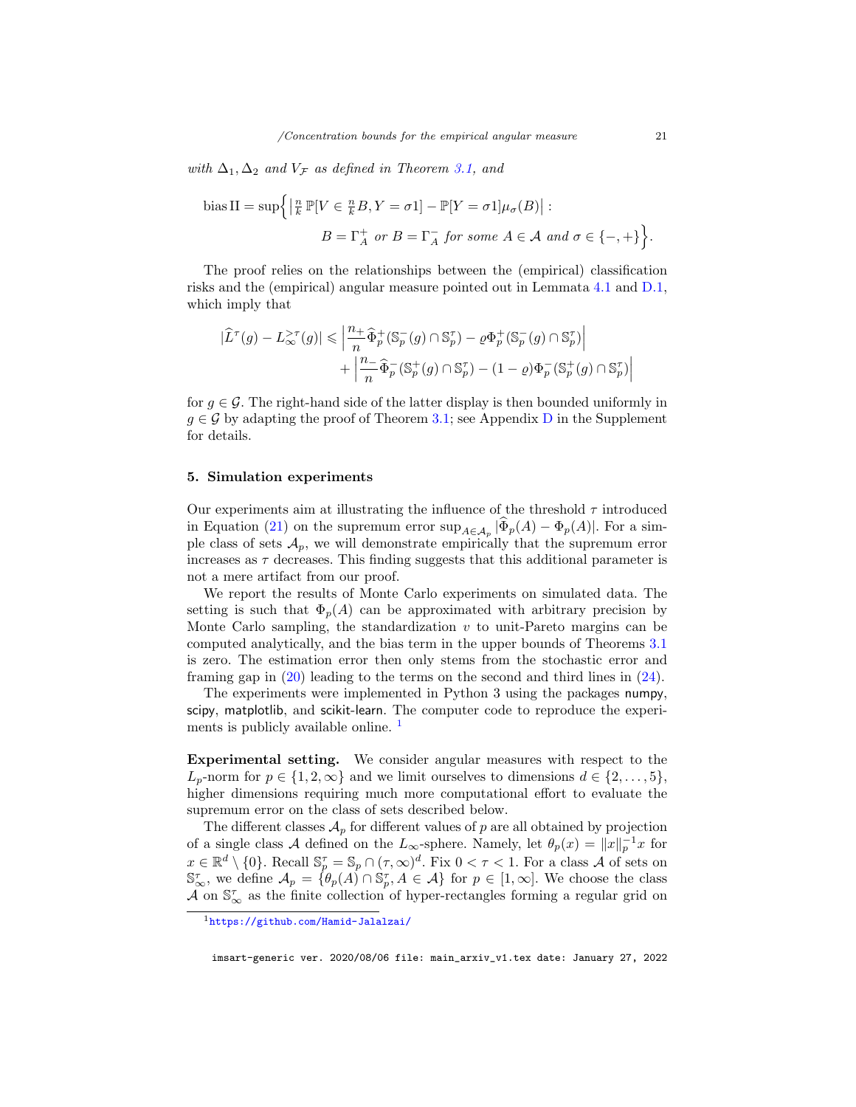with  $\Delta_1, \Delta_2$  and  $V_{\mathcal{F}}$  as defined in Theorem [3.1,](#page-10-0) and

bias II = 
$$
\sup \{ \left| \frac{n}{k} \mathbb{P}[V \in \frac{n}{k}B, Y = \sigma 1] - \mathbb{P}[Y = \sigma 1] \mu_{\sigma}(B) \right| :
$$
  
  $B = \Gamma_A^+$  or  $B = \Gamma_A^-$  for some  $A \in \mathcal{A}$  and  $\sigma \in \{-, +\} \}.$ 

The proof relies on the relationships between the (empirical) classification risks and the (empirical) angular measure pointed out in Lemmata [4.1](#page-18-1) and [D.1,](#page-37-0) which imply that

$$
\begin{aligned} |\widehat{L}^\tau(g)-L^{\gt,\tau}_\infty(g)|\leqslant \Big|\frac{n_+}{n}\widehat{\Phi}^+_p(\mathbb{S}^-_p(g)\cap\mathbb{S}^\tau_p)-\varrho\Phi^+_p(\mathbb{S}^-_p(g)\cap\mathbb{S}^\tau_p)\Big|\\ &\qquad+\Big|\frac{n_-\}{n}\widehat{\Phi}^-_p(\mathbb{S}^+_p(g)\cap\mathbb{S}^\tau_p)-(1-\varrho)\Phi^-_p(\mathbb{S}^+_p(g)\cap\mathbb{S}^\tau_p)\Big| \end{aligned}
$$

for  $q \in \mathcal{G}$ . The right-hand side of the latter display is then bounded uniformly in  $g \in \mathcal{G}$  by adapting the proof of Theorem [3.1;](#page-10-0) see Appendix [D](#page-36-0) in the Supplement for details.

## <span id="page-20-0"></span>5. Simulation experiments

Our experiments aim at illustrating the influence of the threshold  $\tau$  introduced in Equation [\(21\)](#page-9-3) on the supremum error  $\sup_{A \in \mathcal{A}_p} |\Phi_p(A) - \Phi_p(A)|$ . For a simple class of sets  $\mathcal{A}_p$ , we will demonstrate empirically that the supremum error increases as  $\tau$  decreases. This finding suggests that this additional parameter is not a mere artifact from our proof.

We report the results of Monte Carlo experiments on simulated data. The setting is such that  $\Phi_n(A)$  can be approximated with arbitrary precision by Monte Carlo sampling, the standardization  $v$  to unit-Pareto margins can be computed analytically, and the bias term in the upper bounds of Theorems [3.1](#page-10-0) is zero. The estimation error then only stems from the stochastic error and framing gap in [\(20\)](#page-8-2) leading to the terms on the second and third lines in [\(24\)](#page-11-2).

The experiments were implemented in Python 3 using the packages numpy, scipy, matplotlib, and scikit-learn. The computer code to reproduce the experi-ments is publicly available online.<sup>[1](#page-20-1)</sup>

Experimental setting. We consider angular measures with respect to the  $L_p$ -norm for  $p \in \{1, 2, \infty\}$  and we limit ourselves to dimensions  $d \in \{2, \ldots, 5\}$ , higher dimensions requiring much more computational effort to evaluate the supremum error on the class of sets described below.

The different classes  $\mathcal{A}_p$  for different values of p are all obtained by projection of a single class A defined on the L<sub>∞</sub>-sphere. Namely, let  $\theta_p(x) = ||x||_p^{-1}x$  for  $x \in \mathbb{R}^d \setminus \{0\}$ . Recall  $\mathbb{S}_p^{\tau} = \mathbb{S}_p \cap (\tau, \infty)^d$ . Fix  $0 < \tau < 1$ . For a class A of sets on  $\mathbb{S}_{\infty}^{\tau}$ , we define  $\mathcal{A}_p = \{ \theta_p(A) \cap \mathbb{S}_p^{\tau}, A \in \mathcal{A} \}$  for  $p \in [1, \infty]$ . We choose the class  $\tilde{\mathcal{A}}$  on  $\mathbb{S}_{\infty}^{\tau}$  as the finite collection of hyper-rectangles forming a regular grid on

<span id="page-20-1"></span><sup>1</sup><https://github.com/Hamid-Jalalzai/>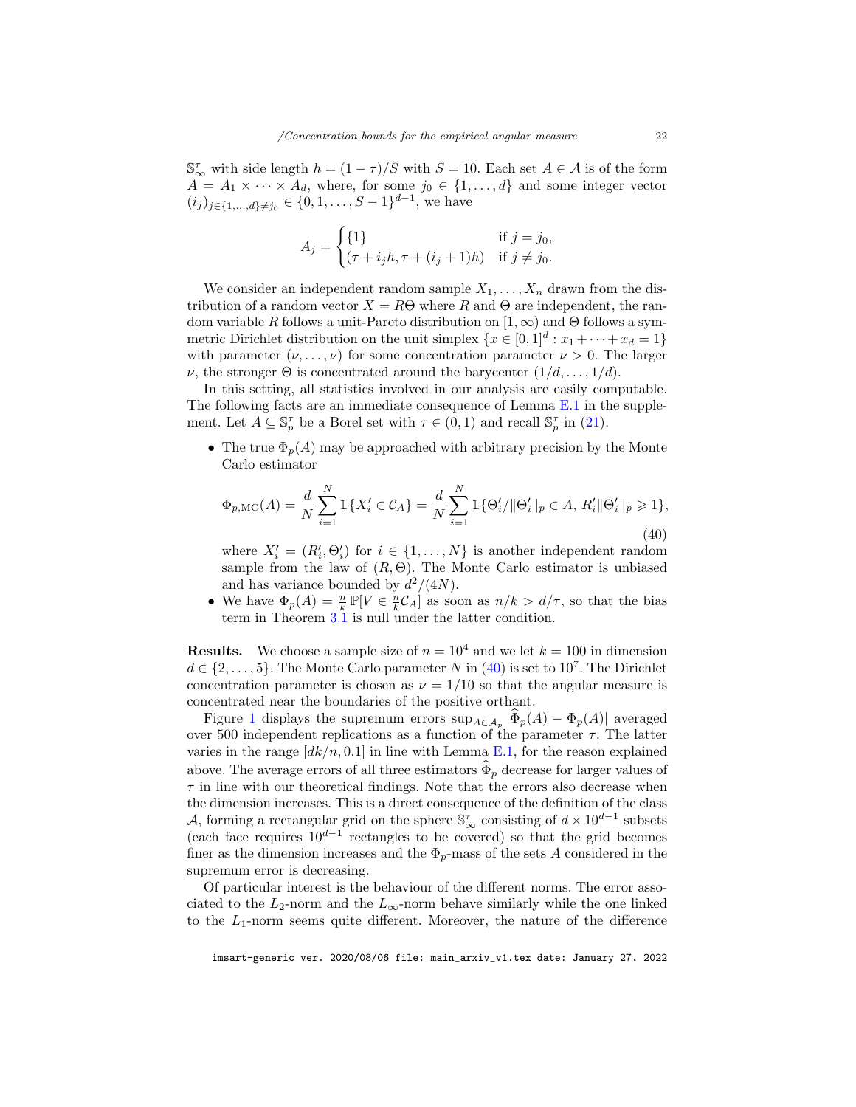$\mathbb{S}_{\infty}^{\tau}$  with side length  $h = (1 - \tau)/S$  with  $S = 10$ . Each set  $A \in \mathcal{A}$  is of the form  $A = A_1 \times \cdots \times A_d$ , where, for some  $j_0 \in \{1, \ldots, d\}$  and some integer vector  $(i_j)_{j\in\{1,\ldots,d\}\neq j_0} \in \{0,1,\ldots,S-1\}^{d-1}$ , we have

$$
A_j = \begin{cases} \{1\} & \text{if } j = j_0, \\ (\tau + i_j h, \tau + (i_j + 1)h) & \text{if } j \neq j_0. \end{cases}
$$

We consider an independent random sample  $X_1, \ldots, X_n$  drawn from the distribution of a random vector  $X = R\Theta$  where R and  $\Theta$  are independent, the random variable R follows a unit-Pareto distribution on  $[1,\infty)$  and  $\Theta$  follows a symmetric Dirichlet distribution on the unit simplex  $\{x \in [0,1]^d : x_1 + \cdots + x_d = 1\}$ with parameter  $(\nu, \ldots, \nu)$  for some concentration parameter  $\nu > 0$ . The larger  $ν$ , the stronger  $Θ$  is concentrated around the barycenter  $(1/d, \ldots, 1/d)$ .

In this setting, all statistics involved in our analysis are easily computable. The following facts are an immediate consequence of Lemma [E.1](#page-40-0) in the supplement. Let  $A \subseteq \mathbb{S}_p^{\tau}$  be a Borel set with  $\tau \in (0,1)$  and recall  $\mathbb{S}_p^{\tau}$  in [\(21\)](#page-9-3).

• The true  $\Phi_p(A)$  may be approached with arbitrary precision by the Monte Carlo estimator

<span id="page-21-0"></span>
$$
\Phi_{p,\text{MC}}(A) = \frac{d}{N} \sum_{i=1}^{N} \mathbb{1}\{X_i' \in \mathcal{C}_A\} = \frac{d}{N} \sum_{i=1}^{N} \mathbb{1}\{\Theta_i'/\|\Theta_i'\|_p \in A, R_i'\|\Theta_i'\|_p \ge 1\},\tag{40}
$$

where  $X'_{i} = (R'_{i}, \Theta'_{i})$  for  $i \in \{1, ..., N\}$  is another independent random sample from the law of  $(R, \Theta)$ . The Monte Carlo estimator is unbiased and has variance bounded by  $d^2/(4N)$ .

• We have  $\Phi_p(A) = \frac{n}{k} \mathbb{P}[V \in \frac{n}{k} C_A]$  as soon as  $n/k > d/\tau$ , so that the bias term in Theorem [3.1](#page-10-0) is null under the latter condition.

**Results.** We choose a sample size of  $n = 10^4$  and we let  $k = 100$  in dimension  $d \in \{2, \ldots, 5\}$ . The Monte Carlo parameter N in  $(40)$  is set to  $10^7$ . The Dirichlet concentration parameter is chosen as  $\nu = 1/10$  so that the angular measure is concentrated near the boundaries of the positive orthant.

Figure [1](#page-22-0) displays the supremum errors  $\sup_{A \in \mathcal{A}_p} |\Phi_p(A) - \Phi_p(A)|$  averaged over 500 independent replications as a function of the parameter  $\tau$ . The latter varies in the range  $\left[dk/n, 0.1\right]$  in line with Lemma [E.1,](#page-40-0) for the reason explained above. The average errors of all three estimators  $\hat{\Phi}_p$  decrease for larger values of  $\tau$  in line with our theoretical findings. Note that the errors also decrease when the dimension increases. This is a direct consequence of the definition of the class A, forming a rectangular grid on the sphere  $\mathbb{S}^{\tau}_{\infty}$  consisting of  $d \times 10^{d-1}$  subsets (each face requires  $10^{d-1}$  rectangles to be covered) so that the grid becomes finer as the dimension increases and the  $\Phi_p$ -mass of the sets A considered in the supremum error is decreasing.

Of particular interest is the behaviour of the different norms. The error associated to the  $L_2$ -norm and the  $L_{\infty}$ -norm behave similarly while the one linked to the  $L_1$ -norm seems quite different. Moreover, the nature of the difference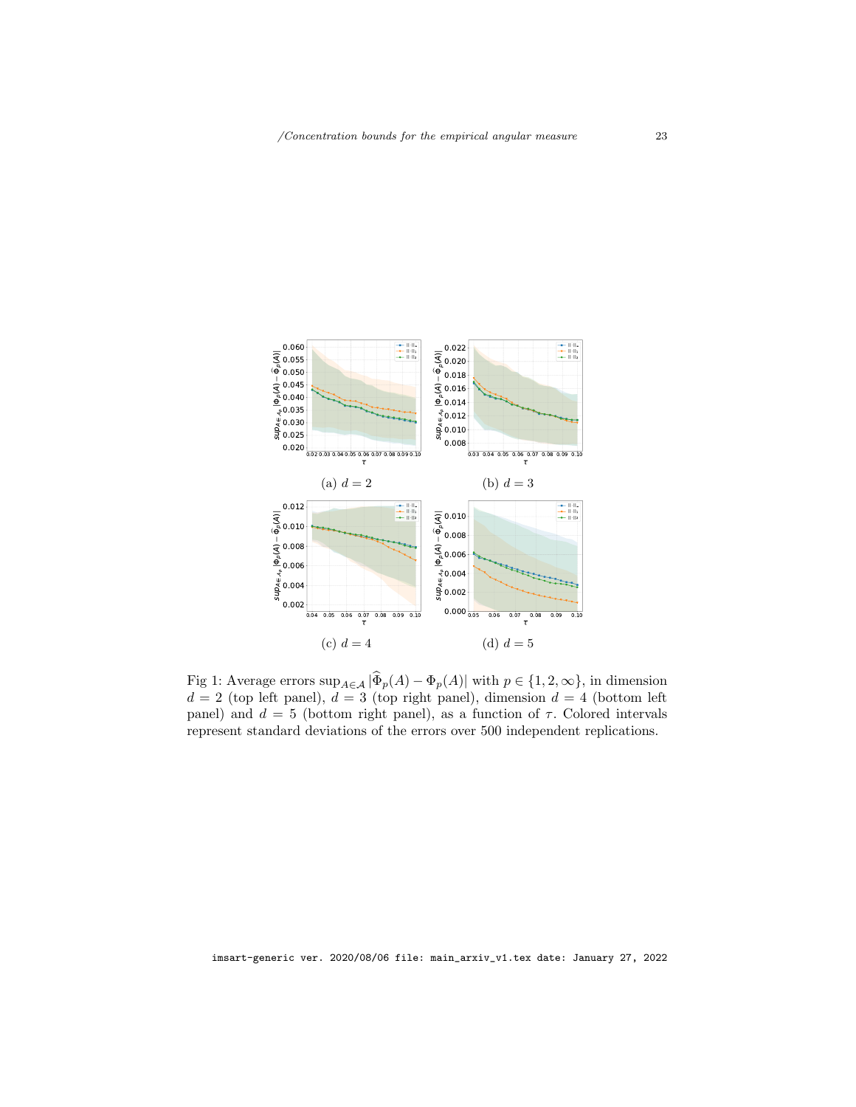<span id="page-22-0"></span>

Fig 1: Average errors  $\sup_{A \in \mathcal{A}} |\Phi_p(A) - \Phi_p(A)|$  with  $p \in \{1, 2, \infty\}$ , in dimension  $d = 2$  (top left panel),  $d = 3$  (top right panel), dimension  $d = 4$  (bottom left panel) and  $d = 5$  (bottom right panel), as a function of  $\tau$ . Colored intervals represent standard deviations of the errors over 500 independent replications.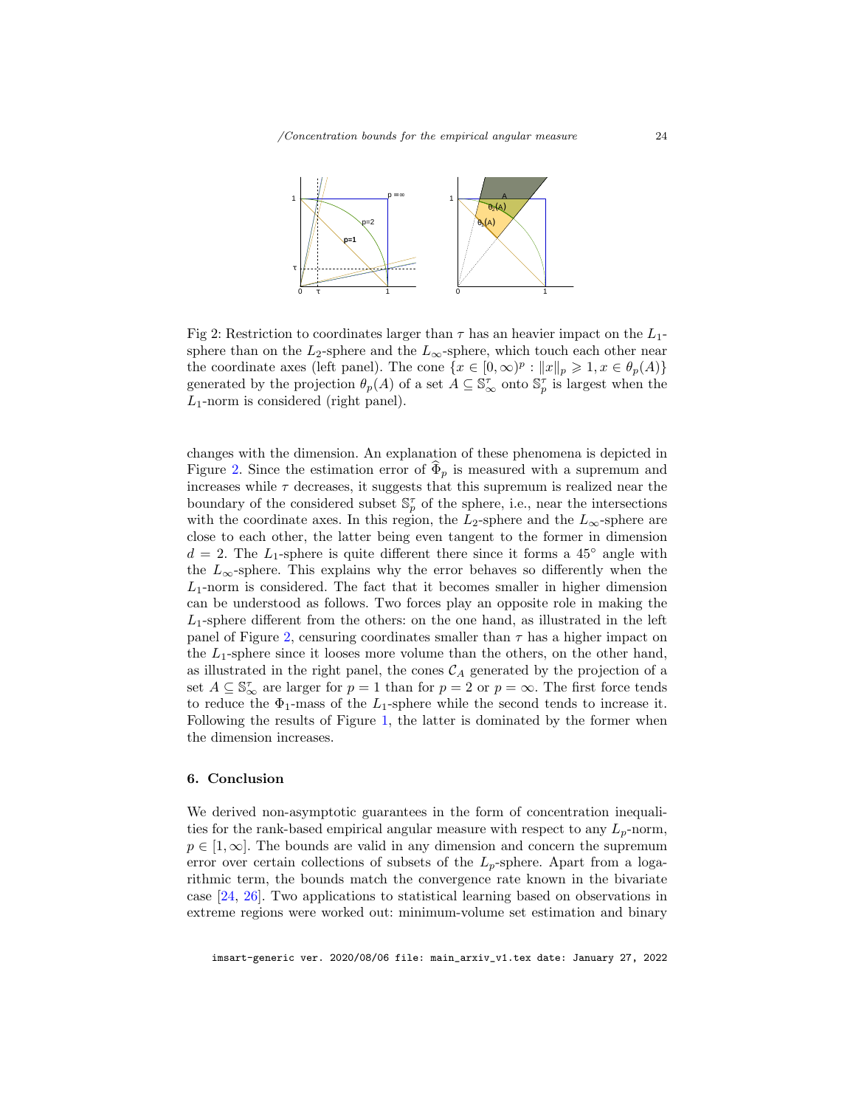<span id="page-23-1"></span>

Fig 2: Restriction to coordinates larger than  $\tau$  has an heavier impact on the  $L_1$ sphere than on the  $L_2$ -sphere and the  $L_{\infty}$ -sphere, which touch each other near the coordinate axes (left panel). The cone  $\{x \in [0, \infty)^p : ||x||_p \geq 1, x \in \theta_p(A)\}\$ generated by the projection  $\theta_p(A)$  of a set  $A \subseteq \mathbb{S}_{\infty}^{\tau}$  onto  $\mathbb{S}_{p}^{\tau}$  is largest when the  $L_1$ -norm is considered (right panel).

changes with the dimension. An explanation of these phenomena is depicted in Figure [2.](#page-23-1) Since the estimation error of  $\Phi_p$  is measured with a supremum and increases while  $\tau$  decreases, it suggests that this supremum is realized near the boundary of the considered subset  $\mathbb{S}_p^{\tau}$  of the sphere, i.e., near the intersections with the coordinate axes. In this region, the  $L_2$ -sphere and the  $L_{\infty}$ -sphere are close to each other, the latter being even tangent to the former in dimension  $d = 2$ . The L<sub>1</sub>-sphere is quite different there since it forms a 45<sup>°</sup> angle with the  $L_{\infty}$ -sphere. This explains why the error behaves so differently when the  $L_1$ -norm is considered. The fact that it becomes smaller in higher dimension can be understood as follows. Two forces play an opposite role in making the  $L_1$ -sphere different from the others: on the one hand, as illustrated in the left panel of Figure [2,](#page-23-1) censuring coordinates smaller than  $\tau$  has a higher impact on the  $L_1$ -sphere since it looses more volume than the others, on the other hand, as illustrated in the right panel, the cones  $C_A$  generated by the projection of a set  $A \subseteq \mathbb{S}_{\infty}^{\tau}$  are larger for  $p = 1$  than for  $p = 2$  or  $p = \infty$ . The first force tends to reduce the  $\Phi_1$ -mass of the  $L_1$ -sphere while the second tends to increase it. Following the results of Figure [1,](#page-22-0) the latter is dominated by the former when the dimension increases.

## <span id="page-23-0"></span>6. Conclusion

We derived non-asymptotic guarantees in the form of concentration inequalities for the rank-based empirical angular measure with respect to any  $L_p$ -norm,  $p \in [1,\infty]$ . The bounds are valid in any dimension and concern the supremum error over certain collections of subsets of the  $L_p$ -sphere. Apart from a logarithmic term, the bounds match the convergence rate known in the bivariate case [\[24,](#page-27-11) [26\]](#page-27-12). Two applications to statistical learning based on observations in extreme regions were worked out: minimum-volume set estimation and binary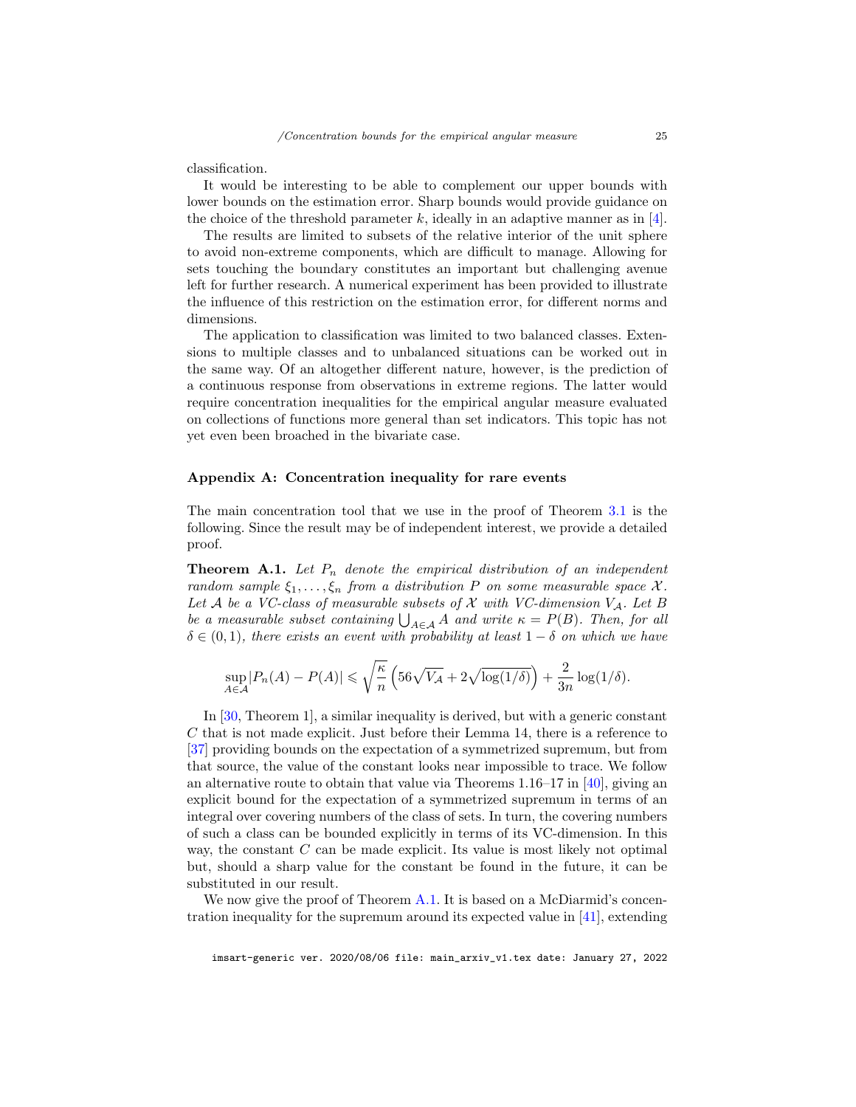classification.

It would be interesting to be able to complement our upper bounds with lower bounds on the estimation error. Sharp bounds would provide guidance on the choice of the threshold parameter k, ideally in an adaptive manner as in  $[4]$ .

The results are limited to subsets of the relative interior of the unit sphere to avoid non-extreme components, which are difficult to manage. Allowing for sets touching the boundary constitutes an important but challenging avenue left for further research. A numerical experiment has been provided to illustrate the influence of this restriction on the estimation error, for different norms and dimensions.

The application to classification was limited to two balanced classes. Extensions to multiple classes and to unbalanced situations can be worked out in the same way. Of an altogether different nature, however, is the prediction of a continuous response from observations in extreme regions. The latter would require concentration inequalities for the empirical angular measure evaluated on collections of functions more general than set indicators. This topic has not yet even been broached in the bivariate case.

## Appendix A: Concentration inequality for rare events

The main concentration tool that we use in the proof of Theorem [3.1](#page-10-0) is the following. Since the result may be of independent interest, we provide a detailed proof.

<span id="page-24-0"></span>**Theorem A.1.** Let  $P_n$  denote the empirical distribution of an independent random sample  $\xi_1, \ldots, \xi_n$  from a distribution P on some measurable space X. Let A be a VC-class of measurable subsets of X with VC-dimension  $V_A$ . Let B be a measurable subset containing  $\bigcup_{A \in \mathcal{A}} A$  and write  $\kappa = P(B)$ . Then, for all  $\delta \in (0,1)$ , there exists an event with probability at least  $1-\delta$  on which we have

$$
\sup_{A \in \mathcal{A}} |P_n(A) - P(A)| \leqslant \sqrt{\frac{\kappa}{n}} \left( 56\sqrt{V_{\mathcal{A}}} + 2\sqrt{\log(1/\delta)} \right) + \frac{2}{3n} \log(1/\delta).
$$

In [\[30,](#page-28-8) Theorem 1], a similar inequality is derived, but with a generic constant C that is not made explicit. Just before their Lemma 14, there is a reference to [\[37\]](#page-28-15) providing bounds on the expectation of a symmetrized supremum, but from that source, the value of the constant looks near impossible to trace. We follow an alternative route to obtain that value via Theorems 1.16–17 in [\[40\]](#page-28-13), giving an explicit bound for the expectation of a symmetrized supremum in terms of an integral over covering numbers of the class of sets. In turn, the covering numbers of such a class can be bounded explicitly in terms of its VC-dimension. In this way, the constant C can be made explicit. Its value is most likely not optimal but, should a sharp value for the constant be found in the future, it can be substituted in our result.

We now give the proof of Theorem [A.1.](#page-24-0) It is based on a McDiarmid's concentration inequality for the supremum around its expected value in [\[41\]](#page-28-16), extending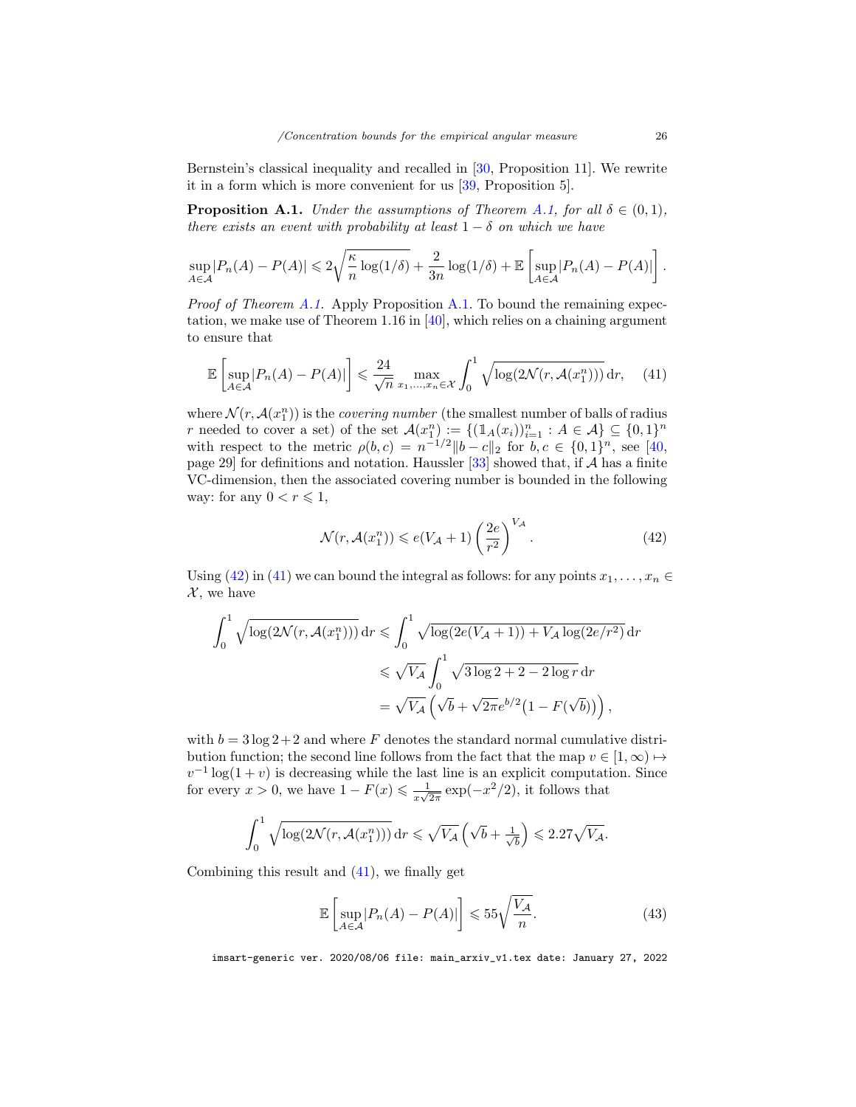Bernstein's classical inequality and recalled in [\[30,](#page-28-8) Proposition 11]. We rewrite it in a form which is more convenient for us [\[39,](#page-28-9) Proposition 5].

<span id="page-25-0"></span>**Proposition A.1.** Under the assumptions of Theorem [A.1,](#page-24-0) for all  $\delta \in (0,1)$ , there exists an event with probability at least  $1 - \delta$  on which we have

$$
\sup_{A \in \mathcal{A}} |P_n(A) - P(A)| \leq 2\sqrt{\frac{\kappa}{n} \log(1/\delta)} + \frac{2}{3n} \log(1/\delta) + \mathbb{E}\left[\sup_{A \in \mathcal{A}} |P_n(A) - P(A)|\right].
$$

*Proof of Theorem [A.1.](#page-25-0)* Apply Proposition A.1. To bound the remaining expectation, we make use of Theorem 1.16 in [\[40\]](#page-28-13), which relies on a chaining argument to ensure that

<span id="page-25-2"></span>
$$
\mathbb{E}\left[\sup_{A\in\mathcal{A}}|P_n(A) - P(A)|\right] \leq \frac{24}{\sqrt{n}} \max_{x_1,\dots,x_n\in\mathcal{X}} \int_0^1 \sqrt{\log(2\mathcal{N}(r,\mathcal{A}(x_1^n)))} \, \mathrm{d}r,\tag{41}
$$

where  $\mathcal{N}(r, \mathcal{A}(x_1^n))$  is the *covering number* (the smallest number of balls of radius r needed to cover a set) of the set  $\mathcal{A}(x_1^n) := \{(\mathbb{1}_A(x_i))_{i=1}^n : A \in \mathcal{A}\} \subseteq \{0,1\}^n$ with respect to the metric  $\rho(b,c) = n^{-1/2} ||b - c||_2$  for  $b, c \in \{0,1\}^n$ , see [\[40,](#page-28-13) page 29] for definitions and notation. Haussler  $[33]$  showed that, if A has a finite VC-dimension, then the associated covering number is bounded in the following way: for any  $0 < r \leq 1$ ,

<span id="page-25-1"></span>
$$
\mathcal{N}(r, \mathcal{A}(x_1^n)) \leqslant e(V_{\mathcal{A}} + 1) \left(\frac{2e}{r^2}\right)^{V_{\mathcal{A}}}.\tag{42}
$$

Using [\(42\)](#page-25-1) in [\(41\)](#page-25-2) we can bound the integral as follows: for any points  $x_1, \ldots, x_n \in$  $\mathcal{X}$ , we have

$$
\int_0^1 \sqrt{\log(2\mathcal{N}(r, \mathcal{A}(x_1^n)))} \, dr \leqslant \int_0^1 \sqrt{\log(2e(V_{\mathcal{A}} + 1)) + V_{\mathcal{A}} \log(2e/r^2)} \, dr
$$
  

$$
\leqslant \sqrt{V_{\mathcal{A}}} \int_0^1 \sqrt{3\log 2 + 2 - 2\log r} \, dr
$$
  

$$
= \sqrt{V_{\mathcal{A}}} \left( \sqrt{b} + \sqrt{2\pi} e^{b/2} \left( 1 - F(\sqrt{b}) \right) \right),
$$

with  $b = 3 \log 2 + 2$  and where F denotes the standard normal cumulative distribution function; the second line follows from the fact that the map  $v \in [1,\infty) \mapsto$  $v^{-1}$  log(1 + v) is decreasing while the last line is an explicit computation. Since for every  $x > 0$ , we have  $1 - F(x) \leq \frac{1}{\sqrt{2}}$  $\frac{1}{x\sqrt{2\pi}}\exp(-x^2/2)$ , it follows that

$$
\int_0^1 \sqrt{\log(2\mathcal{N}(r, \mathcal{A}(x_1^n)))} \, dr \leqslant \sqrt{V_{\mathcal{A}}} \left(\sqrt{b} + \frac{1}{\sqrt{b}}\right) \leqslant 2.27\sqrt{V_{\mathcal{A}}}.
$$

Combining this result and [\(41\)](#page-25-2), we finally get

<span id="page-25-3"></span>
$$
\mathbb{E}\left[\sup_{A\in\mathcal{A}}|P_n(A) - P(A)|\right] \leqslant 55\sqrt{\frac{V_{\mathcal{A}}}{n}}.\tag{43}
$$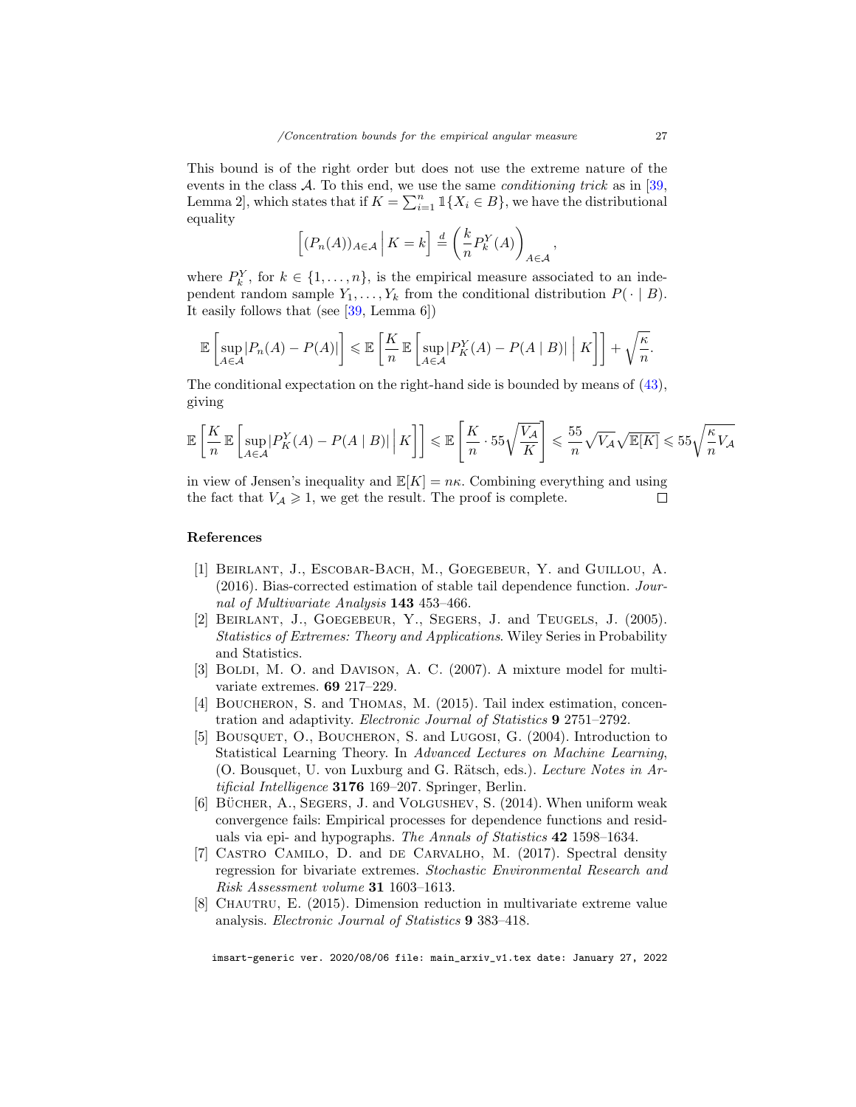This bound is of the right order but does not use the extreme nature of the events in the class  $A$ . To this end, we use the same *conditioning trick* as in [\[39,](#page-28-9)] Lemma 2, which states that if  $K = \sum_{i=1}^{n} \mathbb{1}\{X_i \in B\}$ , we have the distributional equality

$$
\left[ (P_n(A))_{A \in \mathcal{A}} \, \Big| \, K = k \right] \stackrel{d}{=} \left( \frac{k}{n} P_k^Y(A) \right)_{A \in \mathcal{A}}
$$

where  $P_k^Y$ , for  $k \in \{1, ..., n\}$ , is the empirical measure associated to an independent random sample  $Y_1, \ldots, Y_k$  from the conditional distribution  $P(\cdot | B)$ . It easily follows that (see [\[39,](#page-28-9) Lemma 6])

$$
\mathbb{E}\left[\sup_{A\in\mathcal{A}}|P_n(A)-P(A)|\right]\leqslant\mathbb{E}\left[\frac{K}{n}\mathbb{E}\left[\sup_{A\in\mathcal{A}}|P_K^Y(A)-P(A\mid B)|\mid K\right]\right]+\sqrt{\frac{\kappa}{n}}.
$$

The conditional expectation on the right-hand side is bounded by means of [\(43\)](#page-25-3), giving

$$
\mathbb{E}\left[\frac{K}{n}\mathbb{E}\left[\sup_{A\in\mathcal{A}}|P_K^Y(A) - P(A \mid B)|\middle|K\right]\right] \leq \mathbb{E}\left[\frac{K}{n}\cdot 55\sqrt{\frac{V_{\mathcal{A}}}{K}}\right] \leqslant \frac{55}{n}\sqrt{V_{\mathcal{A}}}\sqrt{\mathbb{E}[K]} \leqslant 55\sqrt{\frac{\kappa}{n}V_{\mathcal{A}}}
$$

in view of Jensen's inequality and  $\mathbb{E}[K] = n\kappa$ . Combining everything and using the fact that  $V_A \geq 1$ , we get the result. The proof is complete.  $\Box$ 

## References

- <span id="page-26-5"></span>[1] Beirlant, J., Escobar-Bach, M., Goegebeur, Y. and Guillou, A. (2016). Bias-corrected estimation of stable tail dependence function. Journal of Multivariate Analysis 143 453-466.
- <span id="page-26-4"></span>[2] Beirlant, J., Goegebeur, Y., Segers, J. and Teugels, J. (2005). Statistics of Extremes: Theory and Applications. Wiley Series in Probability and Statistics.
- <span id="page-26-2"></span>[3] BOLDI, M. O. and DAVISON, A. C. (2007). A mixture model for multivariate extremes. 69 217–229.
- <span id="page-26-7"></span>[4] Boucheron, S. and Thomas, M. (2015). Tail index estimation, concentration and adaptivity. Electronic Journal of Statistics 9 2751–2792.
- <span id="page-26-6"></span>[5] BOUSQUET, O., BOUCHERON, S. and LUGOSI, G. (2004). Introduction to Statistical Learning Theory. In Advanced Lectures on Machine Learning, (O. Bousquet, U. von Luxburg and G. Rätsch, eds.). Lecture Notes in  $Ar$ tificial Intelligence 3176 169-207. Springer, Berlin.
- <span id="page-26-3"></span>[6] BÜCHER, A., SEGERS, J. and VOLGUSHEV, S.  $(2014)$ . When uniform weak convergence fails: Empirical processes for dependence functions and residuals via epi- and hypographs. The Annals of Statistics 42 1598–1634.
- <span id="page-26-0"></span>[7] CASTRO CAMILO, D. and DE CARVALHO, M. (2017). Spectral density regression for bivariate extremes. Stochastic Environmental Research and Risk Assessment volume 31 1603–1613.
- <span id="page-26-1"></span>[8] CHAUTRU, E. (2015). Dimension reduction in multivariate extreme value analysis. Electronic Journal of Statistics 9 383–418.

imsart-generic ver. 2020/08/06 file: main\_arxiv\_v1.tex date: January 27, 2022

,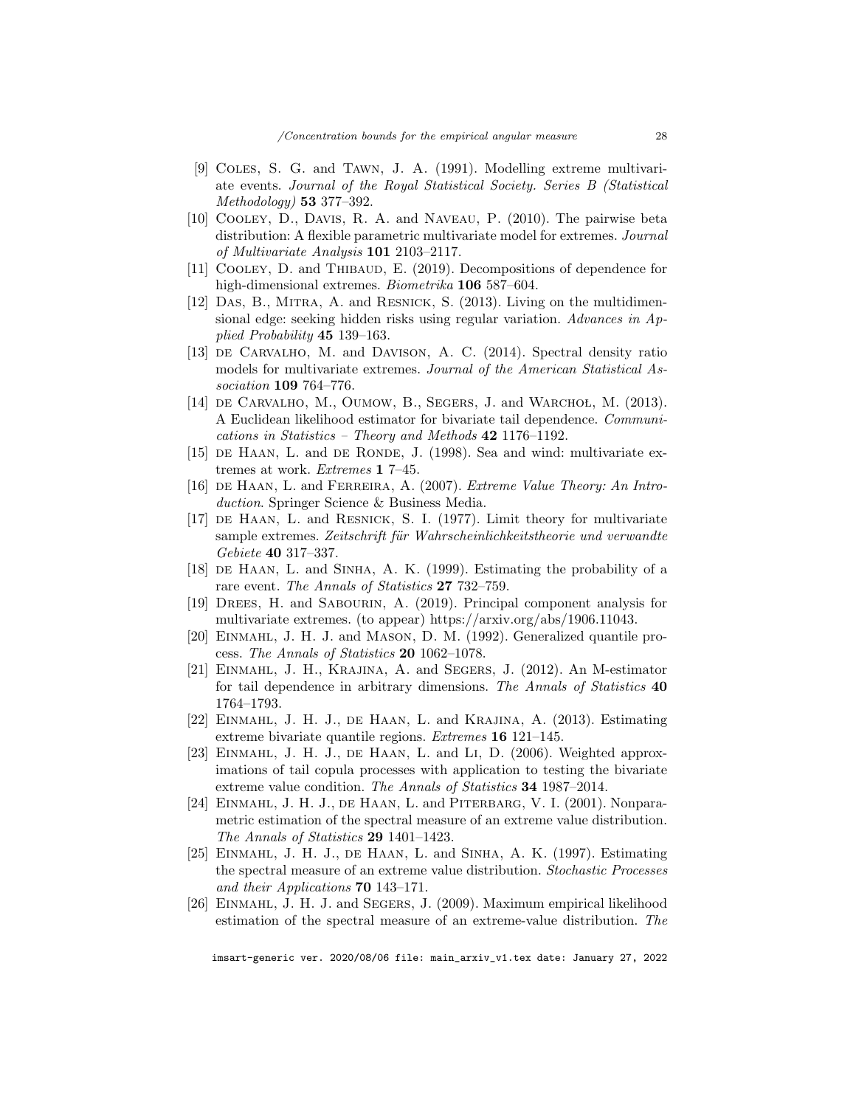- <span id="page-27-9"></span>[9] Coles, S. G. and Tawn, J. A. (1991). Modelling extreme multivariate events. Journal of the Royal Statistical Society. Series B (Statistical Methodology) 53 377–392.
- <span id="page-27-10"></span>[10] Cooley, D., Davis, R. A. and Naveau, P. (2010). The pairwise beta distribution: A flexible parametric multivariate model for extremes. Journal of Multivariate Analysis 101 2103–2117.
- <span id="page-27-7"></span>[11] COOLEY, D. and THIBAUD, E. (2019). Decompositions of dependence for high-dimensional extremes. Biometrika 106 587–604.
- <span id="page-27-1"></span>[12] Das, B., Mitra, A. and Resnick, S. (2013). Living on the multidimensional edge: seeking hidden risks using regular variation. Advances in Applied Probability 45 139–163.
- <span id="page-27-5"></span>[13] DE CARVALHO, M. and DAVISON, A. C. (2014). Spectral density ratio models for multivariate extremes. Journal of the American Statistical Association 109 764–776.
- <span id="page-27-14"></span>[14] DE CARVALHO, M., OUMOW, B., SEGERS, J. and WARCHOL, M.  $(2013)$ . A Euclidean likelihood estimator for bivariate tail dependence. Communications in Statistics – Theory and Methods 42 1176–1192.
- <span id="page-27-2"></span>[15] DE HAAN, L. and DE RONDE, J. (1998). Sea and wind: multivariate extremes at work. Extremes 1 7–45.
- <span id="page-27-16"></span>[16] de Haan, L. and Ferreira, A. (2007). Extreme Value Theory: An Introduction. Springer Science & Business Media.
- <span id="page-27-0"></span>[17] de Haan, L. and Resnick, S. I. (1977). Limit theory for multivariate sample extremes. Zeitschrift für Wahrscheinlichkeitstheorie und verwandte Gebiete 40 317–337.
- <span id="page-27-3"></span>[18] DE HAAN, L. and SINHA, A. K. (1999). Estimating the probability of a rare event. The Annals of Statistics 27 732–759.
- <span id="page-27-8"></span>[19] Drees, H. and Sabourin, A. (2019). Principal component analysis for multivariate extremes. (to appear) https://arxiv.org/abs/1906.11043.
- <span id="page-27-17"></span>[20] EINMAHL, J. H. J. and MASON, D. M. (1992). Generalized quantile process. The Annals of Statistics 20 1062–1078.
- <span id="page-27-13"></span>[21] Einmahl, J. H., Krajina, A. and Segers, J. (2012). An M-estimator for tail dependence in arbitrary dimensions. The Annals of Statistics 40 1764–1793.
- <span id="page-27-6"></span>[22] Einmahl, J. H. J., de Haan, L. and Krajina, A. (2013). Estimating extreme bivariate quantile regions. Extremes 16 121–145.
- <span id="page-27-4"></span>[23] EINMAHL, J. H. J., DE HAAN, L. and LI, D. (2006). Weighted approximations of tail copula processes with application to testing the bivariate extreme value condition. The Annals of Statistics 34 1987–2014.
- <span id="page-27-11"></span>[24] Einmahl, J. H. J., de Haan, L. and Piterbarg, V. I. (2001). Nonparametric estimation of the spectral measure of an extreme value distribution. The Annals of Statistics 29 1401–1423.
- <span id="page-27-15"></span>[25] Einmahl, J. H. J., de Haan, L. and Sinha, A. K. (1997). Estimating the spectral measure of an extreme value distribution. Stochastic Processes and their Applications 70 143–171.
- <span id="page-27-12"></span>[26] Einmahl, J. H. J. and Segers, J. (2009). Maximum empirical likelihood estimation of the spectral measure of an extreme-value distribution. The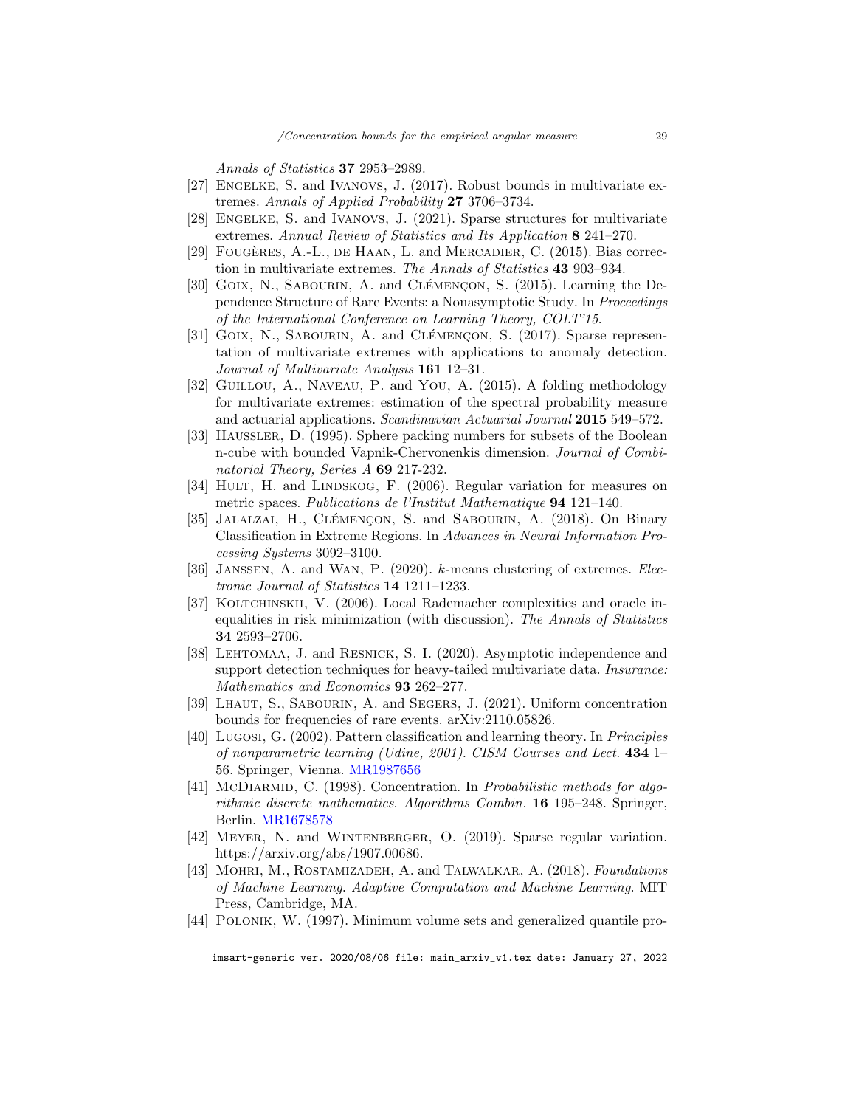Annals of Statistics 37 2953–2989.

- <span id="page-28-0"></span>[27] ENGELKE, S. and IVANOVS, J. (2017). Robust bounds in multivariate extremes. Annals of Applied Probability 27 3706–3734.
- <span id="page-28-3"></span>[28] ENGELKE, S. and IVANOVS, J. (2021). Sparse structures for multivariate extremes. Annual Review of Statistics and Its Application 8 241–270.
- <span id="page-28-11"></span>[29] FOUGÈRES, A.-L., DE HAAN, L. and MERCADIER, C. (2015). Bias correction in multivariate extremes. The Annals of Statistics 43 903–934.
- <span id="page-28-8"></span>[30] GOIX, N., SABOURIN, A. and CLÉMENCON, S. (2015). Learning the Dependence Structure of Rare Events: a Nonasymptotic Study. In Proceedings of the International Conference on Learning Theory, COLT'15.
- <span id="page-28-5"></span>[31] GOIX, N., SABOURIN, A. and CLÉMENCON, S.  $(2017)$ . Sparse representation of multivariate extremes with applications to anomaly detection. Journal of Multivariate Analysis 161 12–31.
- <span id="page-28-7"></span>[32] Guillou, A., Naveau, P. and You, A. (2015). A folding methodology for multivariate extremes: estimation of the spectral probability measure and actuarial applications. Scandinavian Actuarial Journal 2015 549–572.
- <span id="page-28-17"></span>[33] Haussler, D. (1995). Sphere packing numbers for subsets of the Boolean n-cube with bounded Vapnik-Chervonenkis dimension. Journal of Combinatorial Theory, Series A 69 217-232.
- <span id="page-28-10"></span>[34] HULT, H. and LINDSKOG, F. (2006). Regular variation for measures on metric spaces. Publications de l'Institut Mathematique 94 121–140.
- <span id="page-28-6"></span>[35] JALALZAI, H., CLÉMENÇON, S. and SABOURIN, A. (2018). On Binary Classification in Extreme Regions. In Advances in Neural Information Processing Systems 3092–3100.
- <span id="page-28-4"></span>[36] JANSSEN, A. and WAN, P. (2020). k-means clustering of extremes. Electronic Journal of Statistics 14 1211–1233.
- <span id="page-28-15"></span>[37] KOLTCHINSKII, V. (2006). Local Rademacher complexities and oracle inequalities in risk minimization (with discussion). The Annals of Statistics 34 2593–2706.
- <span id="page-28-2"></span>[38] Lehtomaa, J. and Resnick, S. I. (2020). Asymptotic independence and support detection techniques for heavy-tailed multivariate data. *Insurance*: Mathematics and Economics 93 262–277.
- <span id="page-28-9"></span>[39] Lhaut, S., Sabourin, A. and Segers, J. (2021). Uniform concentration bounds for frequencies of rare events. arXiv:2110.05826.
- <span id="page-28-13"></span>[40] Lugosi, G. (2002). Pattern classification and learning theory. In Principles of nonparametric learning (Udine, 2001). CISM Courses and Lect. 434 1– 56. Springer, Vienna. [MR1987656](http://www.ams.org/mathscinet-getitem?mr=1987656)
- <span id="page-28-16"></span>[41] McDIARMID, C. (1998). Concentration. In *Probabilistic methods for algo*rithmic discrete mathematics. Algorithms Combin. 16 195–248. Springer, Berlin. [MR1678578](http://www.ams.org/mathscinet-getitem?mr=1678578)
- <span id="page-28-1"></span>[42] MEYER, N. and WINTENBERGER, O. (2019). Sparse regular variation. https://arxiv.org/abs/1907.00686.
- <span id="page-28-12"></span>[43] MOHRI, M., ROSTAMIZADEH, A. and TALWALKAR, A. (2018). Foundations of Machine Learning. Adaptive Computation and Machine Learning. MIT Press, Cambridge, MA.
- <span id="page-28-14"></span>[44] POLONIK, W. (1997). Minimum volume sets and generalized quantile pro-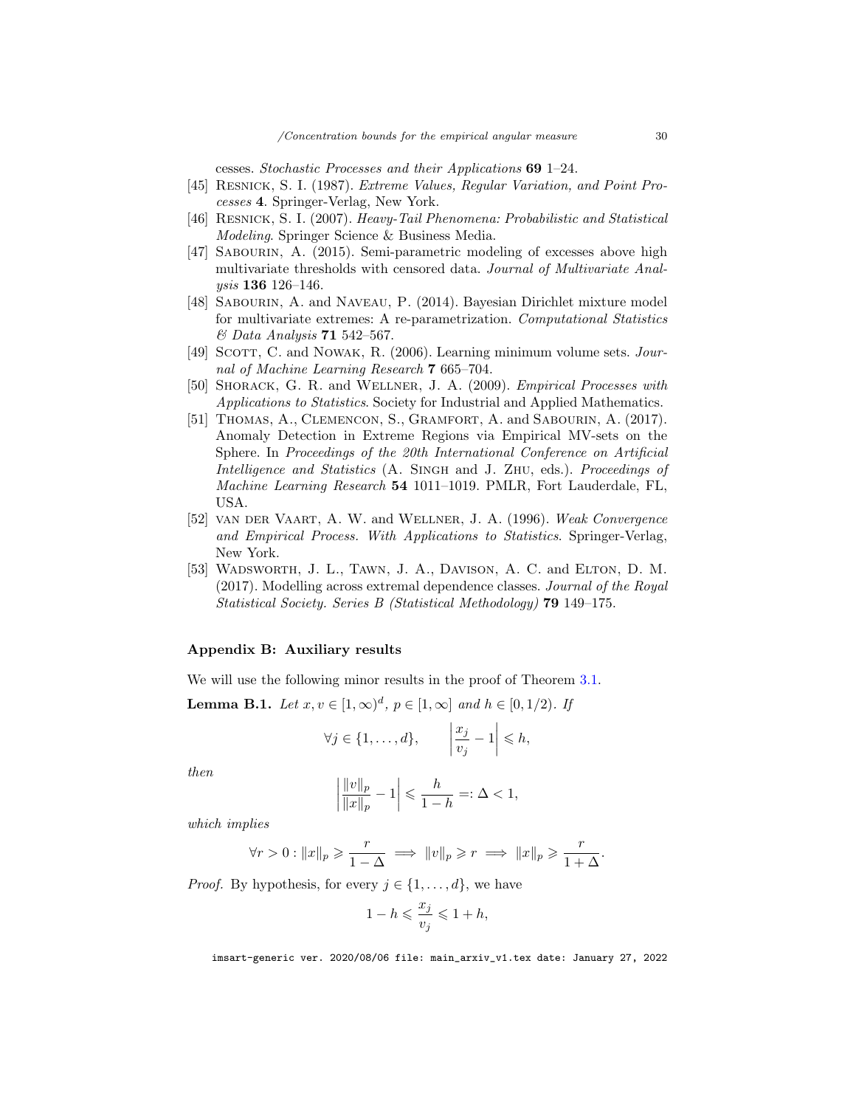cesses. Stochastic Processes and their Applications 69 1–24.

- <span id="page-29-0"></span>[45] Resnick, S. I. (1987). Extreme Values, Regular Variation, and Point Processes 4. Springer-Verlag, New York.
- <span id="page-29-5"></span>[46] Resnick, S. I. (2007). Heavy-Tail Phenomena: Probabilistic and Statistical Modeling. Springer Science & Business Media.
- <span id="page-29-4"></span>[47] SABOURIN, A. (2015). Semi-parametric modeling of excesses above high multivariate thresholds with censored data. Journal of Multivariate Analysis 136 126–146.
- <span id="page-29-3"></span>[48] Sabourin, A. and Naveau, P. (2014). Bayesian Dirichlet mixture model for multivariate extremes: A re-parametrization. Computational Statistics & Data Analysis 71 542–567.
- <span id="page-29-8"></span>[49] SCOTT, C. and NOWAK, R. (2006). Learning minimum volume sets. *Jour*nal of Machine Learning Research 7 665–704.
- <span id="page-29-7"></span>[50] SHORACK, G. R. and WELLNER, J. A. (2009). *Empirical Processes with* Applications to Statistics. Society for Industrial and Applied Mathematics.
- <span id="page-29-2"></span>[51] THOMAS, A., CLEMENCON, S., GRAMFORT, A. and SABOURIN, A. (2017). Anomaly Detection in Extreme Regions via Empirical MV-sets on the Sphere. In Proceedings of the 20th International Conference on Artificial Intelligence and Statistics (A. SINGH and J. ZHU, eds.). Proceedings of Machine Learning Research 54 1011–1019. PMLR, Fort Lauderdale, FL, USA.
- <span id="page-29-6"></span>[52] van der Vaart, A. W. and Wellner, J. A. (1996). Weak Convergence and Empirical Process. With Applications to Statistics. Springer-Verlag, New York.
- <span id="page-29-1"></span>[53] WADSWORTH, J. L., TAWN, J. A., DAVISON, A. C. and ELTON, D. M. (2017). Modelling across extremal dependence classes. Journal of the Royal Statistical Society. Series B (Statistical Methodology) 79 149–175.

# Appendix B: Auxiliary results

We will use the following minor results in the proof of Theorem [3.1.](#page-10-0)

<span id="page-29-9"></span>**Lemma B.1.** Let  $x, v \in [1, \infty)^d$ ,  $p \in [1, \infty]$  and  $h \in [0, 1/2)$ . If

$$
\forall j \in \{1, \ldots, d\}, \qquad \left|\frac{x_j}{v_j} - 1\right| \leq h,
$$

then

$$
\left| \frac{\|v\|_p}{\|x\|_p} - 1 \right| \leqslant \frac{h}{1-h} =: \Delta < 1,
$$

which implies

$$
\forall r > 0 : ||x||_p \geqslant \frac{r}{1-\Delta} \implies ||v||_p \geqslant r \implies ||x||_p \geqslant \frac{r}{1+\Delta}.
$$

*Proof.* By hypothesis, for every  $j \in \{1, \ldots, d\}$ , we have

$$
1-h\leqslant \frac{x_j}{v_j}\leqslant 1+h,
$$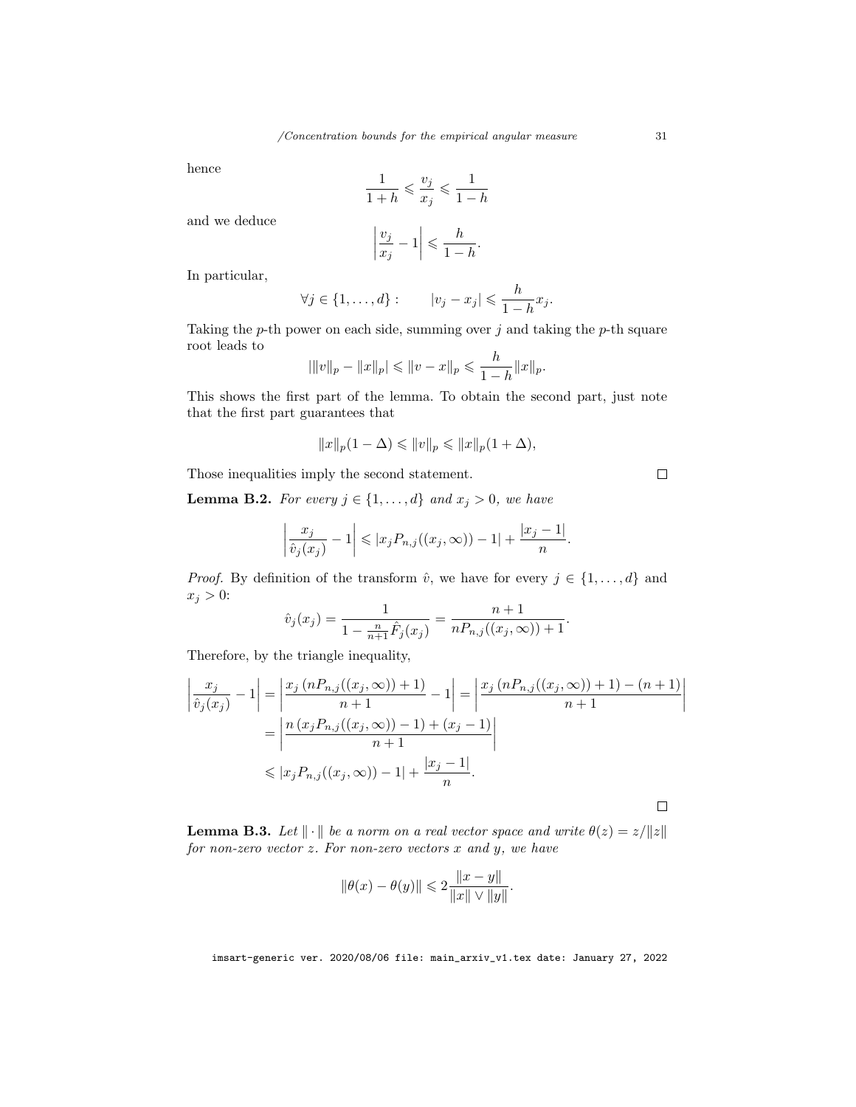hence

$$
\frac{1}{1+h} \leqslant \frac{v_j}{x_j} \leqslant \frac{1}{1-h}
$$

and we deduce

$$
\left|\frac{v_j}{x_j} - 1\right| \leqslant \frac{h}{1 - h}
$$

.

In particular,

$$
\forall j \in \{1, \ldots, d\} : \qquad |v_j - x_j| \leqslant \frac{h}{1 - h} x_j.
$$

Taking the  $p$ -th power on each side, summing over  $j$  and taking the  $p$ -th square root leads to

$$
|\|v\|_p - \|x\|_p| \leqslant \|v - x\|_p \leqslant \frac{h}{1 - h} \|x\|_p.
$$

This shows the first part of the lemma. To obtain the second part, just note that the first part guarantees that

$$
||x||_p(1-\Delta)\leqslant ||v||_p\leqslant ||x||_p(1+\Delta),
$$

Those inequalities imply the second statement.

<span id="page-30-0"></span>**Lemma B.2.** For every  $j \in \{1, ..., d\}$  and  $x_j > 0$ , we have

$$
\left|\frac{x_j}{\hat{v}_j(x_j)}-1\right| \leqslant |x_j P_{n,j}((x_j,\infty))-1|+\frac{|x_j-1|}{n}.
$$

*Proof.* By definition of the transform  $\hat{v}$ , we have for every  $j \in \{1, ..., d\}$  and  $x_j > 0$ :

$$
\hat{v}_j(x_j) = \frac{1}{1 - \frac{n}{n+1}\hat{F}_j(x_j)} = \frac{n+1}{nP_{n,j}((x_j, \infty)) + 1}.
$$

Therefore, by the triangle inequality,

$$
\begin{aligned}\n\left| \frac{x_j}{\hat{v}_j(x_j)} - 1 \right| &= \left| \frac{x_j \left( n P_{n,j}((x_j, \infty)) + 1 \right)}{n+1} - 1 \right| = \left| \frac{x_j \left( n P_{n,j}((x_j, \infty)) + 1 \right) - (n+1)}{n+1} \right| \\
&= \left| \frac{n \left( x_j P_{n,j}((x_j, \infty)) - 1 \right) + (x_j - 1)}{n+1} \right| \\
&\leq |x_j P_{n,j}((x_j, \infty)) - 1| + \frac{|x_j - 1|}{n}.\n\end{aligned}
$$

<span id="page-30-1"></span>**Lemma B.3.** Let  $\|\cdot\|$  be a norm on a real vector space and write  $\theta(z) = z/\|z\|$ for non-zero vector  $z$ . For non-zero vectors  $x$  and  $y$ , we have

$$
\|\theta(x) - \theta(y)\| \leq 2\frac{\|x - y\|}{\|x\| \vee \|y\|}.
$$

imsart-generic ver. 2020/08/06 file: main\_arxiv\_v1.tex date: January 27, 2022

 $\Box$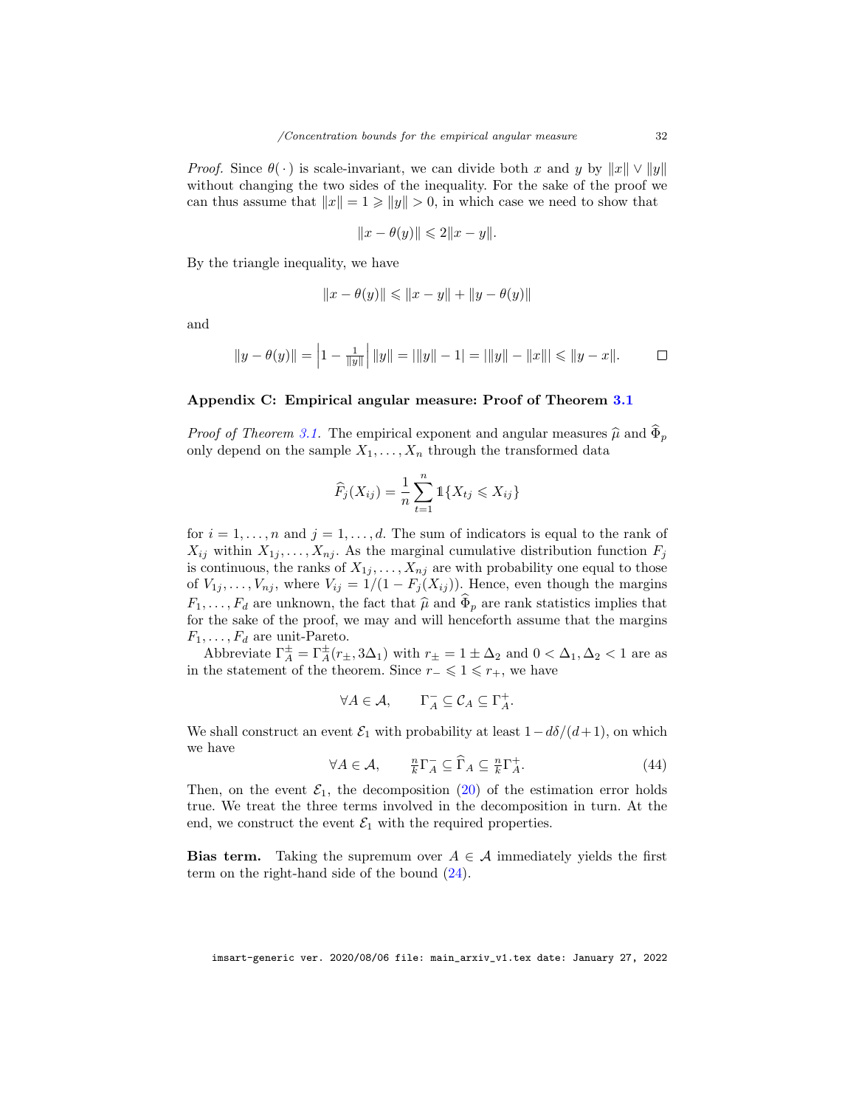*Proof.* Since  $\theta(\cdot)$  is scale-invariant, we can divide both x and y by  $||x|| \vee ||y||$ without changing the two sides of the inequality. For the sake of the proof we can thus assume that  $||x|| = 1 \ge ||y|| > 0$ , in which case we need to show that

$$
||x - \theta(y)|| \leq 2||x - y||.
$$

By the triangle inequality, we have

$$
||x - \theta(y)|| \le ||x - y|| + ||y - \theta(y)||
$$

and

$$
||y - \theta(y)|| = \left|1 - \frac{1}{||y||}\right||y|| = ||y|| - 1| = ||y|| - ||x||| \le ||y - x||.
$$

## <span id="page-31-0"></span>Appendix C: Empirical angular measure: Proof of Theorem [3.1](#page-10-0)

*Proof of Theorem [3.1.](#page-10-0)* The empirical exponent and angular measures  $\hat{\mu}$  and  $\Phi_p$ only depend on the sample  $X_1, \ldots, X_n$  through the transformed data

$$
\widehat{F}_j(X_{ij}) = \frac{1}{n} \sum_{t=1}^n \mathbb{1} \{ X_{tj} \leq X_{ij} \}
$$

for  $i = 1, \ldots, n$  and  $j = 1, \ldots, d$ . The sum of indicators is equal to the rank of  $X_{ij}$  within  $X_{1j}, \ldots, X_{nj}$ . As the marginal cumulative distribution function  $F_j$ is continuous, the ranks of  $X_{1j}, \ldots, X_{nj}$  are with probability one equal to those of  $V_{1j}, \ldots, V_{nj}$ , where  $V_{ij} = 1/(1 - F_j(X_{ij}))$ . Hence, even though the margins  $F_1, \ldots, F_d$  are unknown, the fact that  $\hat{\mu}$  and  $\hat{\Phi}_p$  are rank statistics implies that for the sake of the proof, we may and will henceforth assume that the margins  $F_1, \ldots, F_d$  are unit-Pareto.

Abbreviate  $\Gamma_A^{\pm} = \Gamma_A^{\pm}(r_{\pm}, 3\Delta_1)$  with  $r_{\pm} = 1 \pm \Delta_2$  and  $0 < \Delta_1, \Delta_2 < 1$  are as in the statement of the theorem. Since  $r_-\leqslant 1\leqslant r_+$ , we have

$$
\forall A \in \mathcal{A}, \qquad \Gamma_A^- \subseteq \mathcal{C}_A \subseteq \Gamma_A^+.
$$

We shall construct an event  $\mathcal{E}_1$  with probability at least  $1-d\delta/(d+1)$ , on which we have

<span id="page-31-1"></span>
$$
\forall A \in \mathcal{A}, \qquad \frac{n}{k} \Gamma_A^- \subseteq \widehat{\Gamma}_A \subseteq \frac{n}{k} \Gamma_A^+.
$$
 (44)

Then, on the event  $\mathcal{E}_1$ , the decomposition [\(20\)](#page-8-2) of the estimation error holds true. We treat the three terms involved in the decomposition in turn. At the end, we construct the event  $\mathcal{E}_1$  with the required properties.

**Bias term.** Taking the supremum over  $A \in \mathcal{A}$  immediately yields the first term on the right-hand side of the bound [\(24\)](#page-11-2).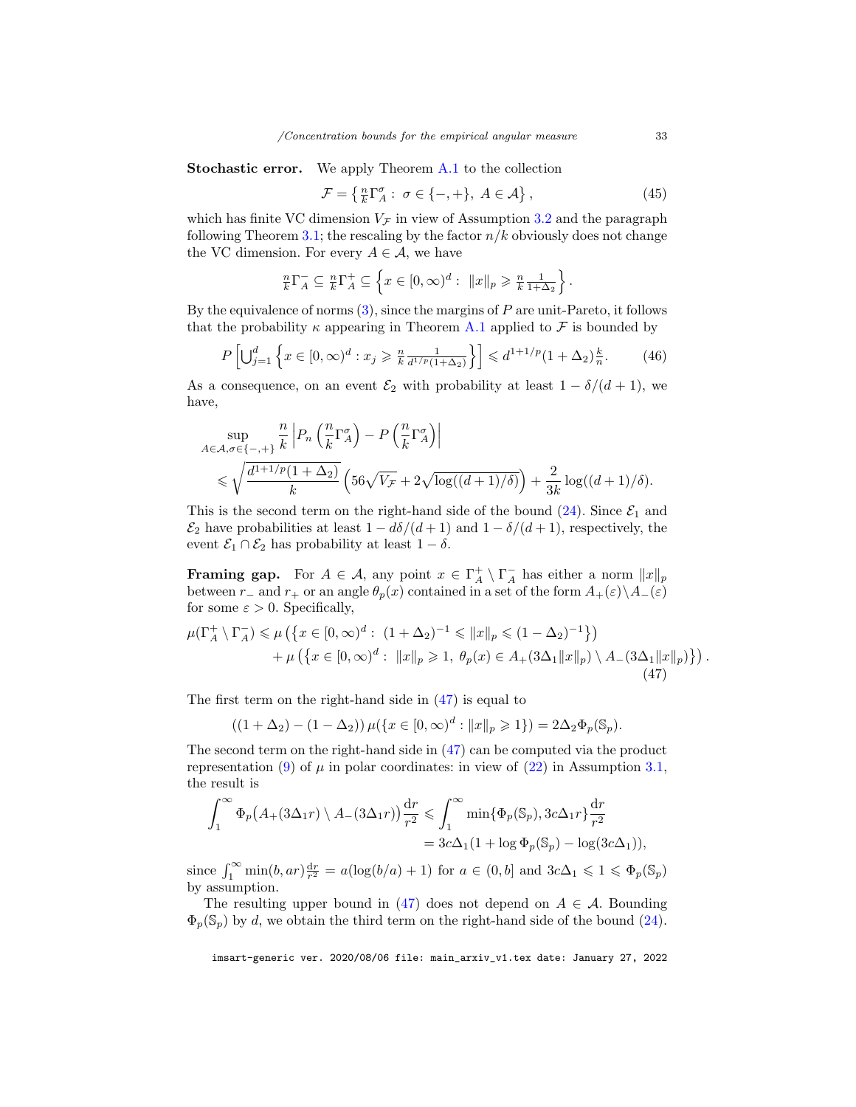Stochastic error. We apply Theorem [A.1](#page-24-0) to the collection

<span id="page-32-1"></span>
$$
\mathcal{F} = \left\{ \frac{n}{k} \Gamma_A^{\sigma} : \sigma \in \{-, +\}, A \in \mathcal{A} \right\},\tag{45}
$$

which has finite VC dimension  $V_{\mathcal{F}}$  in view of Assumption [3.2](#page-10-1) and the paragraph following Theorem [3.1;](#page-10-0) the rescaling by the factor  $n/k$  obviously does not change the VC dimension. For every  $A \in \mathcal{A}$ , we have

$$
\frac{n}{k}\Gamma_A^- \subseteq \frac{n}{k}\Gamma_A^+ \subseteq \left\{x \in [0,\infty)^d: \|x\|_p \geqslant \frac{n}{k}\frac{1}{1+\Delta_2}\right\}.
$$

By the equivalence of norms  $(3)$ , since the margins of P are unit-Pareto, it follows that the probability  $\kappa$  appearing in Theorem [A.1](#page-24-0) applied to  $\mathcal F$  is bounded by

<span id="page-32-2"></span>
$$
P\left[\bigcup_{j=1}^{d} \left\{ x \in [0,\infty)^{d} : x_j \geqslant \frac{n}{k} \frac{1}{d^{1/p}(1+\Delta_2)} \right\} \right] \leqslant d^{1+1/p} (1+\Delta_2) \frac{k}{n}.
$$
 (46)

As a consequence, on an event  $\mathcal{E}_2$  with probability at least  $1 - \delta/(d+1)$ , we have,

$$
\sup_{A \in \mathcal{A}, \sigma \in \{-,+\}} \frac{n}{k} \left| P_n \left( \frac{n}{k} \Gamma_A^{\sigma} \right) - P \left( \frac{n}{k} \Gamma_A^{\sigma} \right) \right|
$$
  
\$\leqslant \sqrt{\frac{d^{1+1/p} (1 + \Delta\_2)}{k} \left( 56\sqrt{V\_{\mathcal{F}}} + 2\sqrt{\log((d+1)/\delta)} \right) + \frac{2}{3k} \log((d+1)/\delta).

This is the second term on the right-hand side of the bound  $(24)$ . Since  $\mathcal{E}_1$  and  $\mathcal{E}_2$  have probabilities at least  $1 - d\delta/(d+1)$  and  $1 - \delta/(d+1)$ , respectively, the event  $\mathcal{E}_1 \cap \mathcal{E}_2$  has probability at least  $1 - \delta$ .

**Framing gap.** For  $A \in \mathcal{A}$ , any point  $x \in \Gamma_A^+ \setminus \Gamma_A^-$  has either a norm  $||x||_p$ between r<sub>−</sub> and r<sub>+</sub> or an angle  $\theta_p(x)$  contained in a set of the form  $A_+(\varepsilon)\setminus A_-(\varepsilon)$ for some  $\varepsilon > 0$ . Specifically,

<span id="page-32-0"></span>
$$
\mu(\Gamma_A^+ \setminus \Gamma_A^-) \le \mu\left(\left\{x \in [0,\infty)^d : (1 + \Delta_2)^{-1} \le \|x\|_p \le (1 - \Delta_2)^{-1}\right\}\right) \n+ \mu\left(\left\{x \in [0,\infty)^d : \|x\|_p \ge 1, \ \theta_p(x) \in A_+(3\Delta_1 \|x\|_p) \setminus A_-(3\Delta_1 \|x\|_p)\right\}\right).
$$
\n(47)

The first term on the right-hand side in [\(47\)](#page-32-0) is equal to

$$
((1 + \Delta_2) - (1 - \Delta_2)) \mu({x \in [0, \infty)^d : ||x||_p \ge 1}) = 2\Delta_2 \Phi_p(\mathbb{S}_p).
$$

The second term on the right-hand side in [\(47\)](#page-32-0) can be computed via the product representation [\(9\)](#page-6-2) of  $\mu$  in polar coordinates: in view of [\(22\)](#page-9-1) in Assumption [3.1,](#page-9-2) the result is

$$
\int_{1}^{\infty} \Phi_{p}\big(A_{+}(3\Delta_{1}r)\setminus A_{-}(3\Delta_{1}r)\big) \frac{dr}{r^{2}} \leq \int_{1}^{\infty} \min\{\Phi_{p}(\mathbb{S}_{p}), 3c\Delta_{1}r\} \frac{dr}{r^{2}}
$$

$$
= 3c\Delta_{1}(1 + \log \Phi_{p}(\mathbb{S}_{p}) - \log(3c\Delta_{1})),
$$

since  $\int_1^{\infty} \min(b, ar) \frac{dr}{r^2} = a(\log(b/a) + 1)$  for  $a \in (0, b]$  and  $3c\Delta_1 \leq 1 \leq \Phi_p(\mathbb{S}_p)$ by assumption.

The resulting upper bound in [\(47\)](#page-32-0) does not depend on  $A \in \mathcal{A}$ . Bounding  $\Phi_p(\mathbb{S}_p)$  by d, we obtain the third term on the right-hand side of the bound [\(24\)](#page-11-2).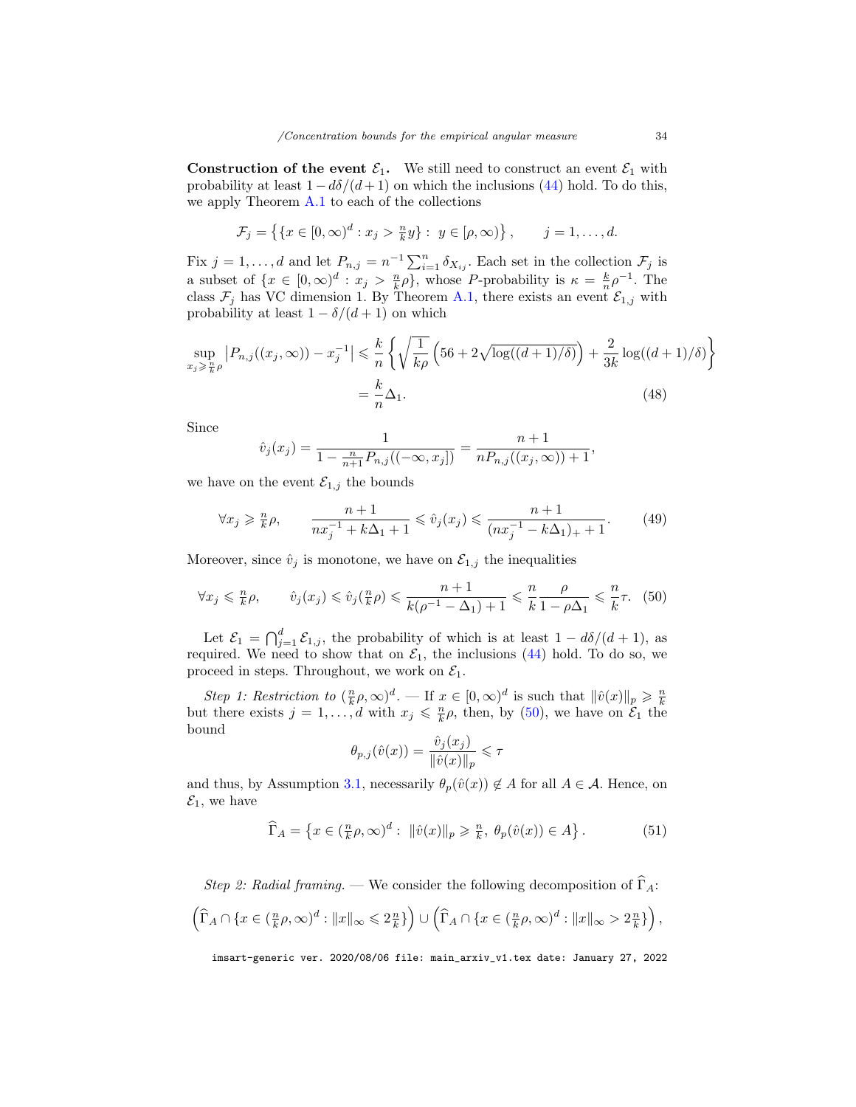**Construction of the event**  $\mathcal{E}_1$ **.** We still need to construct an event  $\mathcal{E}_1$  with probability at least  $1 - d\delta/(d+1)$  on which the inclusions [\(44\)](#page-31-1) hold. To do this, we apply Theorem [A.1](#page-24-0) to each of the collections

$$
\mathcal{F}_j = \left\{ \{ x \in [0, \infty)^d : x_j > \frac{n}{k} y \} : y \in [\rho, \infty) \right\}, \qquad j = 1, \dots, d.
$$

Fix  $j = 1, ..., d$  and let  $P_{n,j} = n^{-1} \sum_{i=1}^{n} \delta_{X_{ij}}$ . Each set in the collection  $\mathcal{F}_j$  is a subset of  $\{x \in [0, \infty)^d : x_j > \frac{n}{k}\rho\}$ , whose P-probability is  $\kappa = \frac{k}{n}\rho^{-1}$ . The class  $\mathcal{F}_j$  has VC dimension 1. By Theorem [A.1,](#page-24-0) there exists an event  $\mathcal{E}_{1,j}$  with probability at least  $1 - \delta/(d+1)$  on which

$$
\sup_{x_j \geq \frac{n}{k}\rho} \left| P_{n,j}((x_j, \infty)) - x_j^{-1} \right| \leq \frac{k}{n} \left\{ \sqrt{\frac{1}{k\rho} \left( 56 + 2\sqrt{\log((d+1)/\delta)} \right) + \frac{2}{3k} \log((d+1)/\delta) \right\}} = \frac{k}{n} \Delta_1.
$$
\n(48)

Since

<span id="page-33-1"></span>
$$
\hat{v}_j(x_j) = \frac{1}{1 - \frac{n}{n+1} P_{n,j}((-\infty, x_j])} = \frac{n+1}{n P_{n,j}((x_j, \infty)) + 1},
$$

we have on the event  $\mathcal{E}_{1,j}$  the bounds

<span id="page-33-2"></span>
$$
\forall x_j \geqslant \frac{n}{k} \rho, \qquad \frac{n+1}{nx_j^{-1} + k\Delta_1 + 1} \leqslant \hat{v}_j(x_j) \leqslant \frac{n+1}{(nx_j^{-1} - k\Delta_1)_+ + 1}.\tag{49}
$$

Moreover, since  $\hat{v}_j$  is monotone, we have on  $\mathcal{E}_{1,j}$  the inequalities

<span id="page-33-0"></span>
$$
\forall x_j \leq \frac{n}{k}\rho, \qquad \hat{v}_j(x_j) \leq \hat{v}_j(\frac{n}{k}\rho) \leq \frac{n+1}{k(\rho^{-1} - \Delta_1) + 1} \leq \frac{n}{k} \frac{\rho}{1 - \rho\Delta_1} \leq \frac{n}{k}\tau. \tag{50}
$$

Let  $\mathcal{E}_1 = \bigcap_{j=1}^d \mathcal{E}_{1,j}$ , the probability of which is at least  $1 - d\delta/(d+1)$ , as required. We need to show that on  $\mathcal{E}_1$ , the inclusions [\(44\)](#page-31-1) hold. To do so, we proceed in steps. Throughout, we work on  $\mathcal{E}_1$ .

Step 1: Restriction to  $(\frac{n}{k}\rho, \infty)^d$ . — If  $x \in [0, \infty)^d$  is such that  $\|\hat{v}(x)\|_p \geq \frac{n}{k}$ <br>but there exists  $j = 1, ..., d$  with  $x_j \leq \frac{n}{k}\rho$ , then, by [\(50\)](#page-33-0), we have on  $\mathcal{E}_1$  the bound

$$
\theta_{p,j}(\hat{v}(x)) = \frac{\hat{v}_j(x_j)}{\|\hat{v}(x)\|_p} \leq \tau
$$

and thus, by Assumption [3.1,](#page-9-2) necessarily  $\theta_p(\hat{v}(x)) \notin A$  for all  $A \in \mathcal{A}$ . Hence, on  $\mathcal{E}_1$ , we have

<span id="page-33-3"></span>
$$
\widehat{\Gamma}_A = \left\{ x \in \left( \frac{n}{k} \rho, \infty \right)^d : \ \|\hat{v}(x)\|_p \geq \frac{n}{k}, \ \theta_p(\hat{v}(x)) \in A \right\}.
$$
 (51)

Step 2: Radial framing. — We consider the following decomposition of  $\widehat{\Gamma}_A$ :

$$
\left(\widehat{\Gamma}_A \cap \{x \in (\frac{n}{k}\rho,\infty)^d : ||x||_{\infty} \leqslant 2\frac{n}{k}\}\right) \cup \left(\widehat{\Gamma}_A \cap \{x \in (\frac{n}{k}\rho,\infty)^d : ||x||_{\infty} > 2\frac{n}{k}\}\right),
$$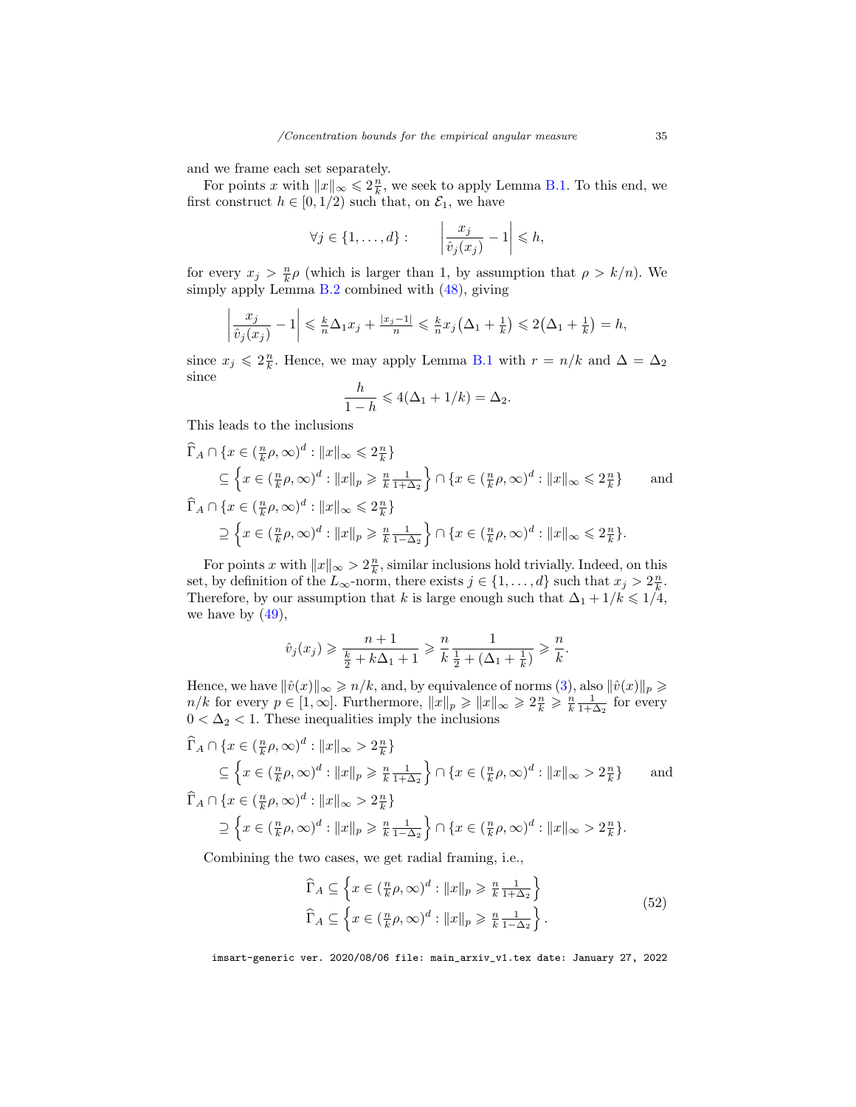and we frame each set separately.

For points x with  $||x||_{\infty} \leq 2\frac{n}{k}$ , we seek to apply Lemma [B.1.](#page-29-9) To this end, we first construct  $h\in[0,1/2)$  such that, on  $\mathcal{E}_1,$  we have

$$
\forall j \in \{1, \ldots, d\} : \qquad \left| \frac{x_j}{\hat{v}_j(x_j)} - 1 \right| \leq h,
$$

for every  $x_j > \frac{n}{k} \rho$  (which is larger than 1, by assumption that  $\rho > k/n$ ). We simply apply Lemma [B.2](#page-30-0) combined with [\(48\)](#page-33-1), giving

$$
\left|\frac{x_j}{\hat{v}_j(x_j)}-1\right| \leq \frac{k}{n}\Delta_1 x_j + \frac{|x_j-1|}{n} \leq \frac{k}{n}x_j\left(\Delta_1 + \frac{1}{k}\right) \leq 2\left(\Delta_1 + \frac{1}{k}\right) = h,
$$

since  $x_j \leqslant 2\frac{n}{k}$ . Hence, we may apply Lemma [B.1](#page-29-9) with  $r = n/k$  and  $\Delta = \Delta_2$ since

$$
\frac{h}{1-h} \leqslant 4(\Delta_1 + 1/k) = \Delta_2.
$$

This leads to the inclusions

$$
\begin{aligned}\n\widehat{\Gamma}_A \cap \{x \in (\frac{n}{k}\rho, \infty)^d : ||x||_{\infty} \leqslant 2\frac{n}{k}\} \\
&\subseteq \left\{x \in (\frac{n}{k}\rho, \infty)^d : ||x||_p \geqslant \frac{n}{k}\frac{1}{1+\Delta_2}\right\} \cap \left\{x \in (\frac{n}{k}\rho, \infty)^d : ||x||_{\infty} \leqslant 2\frac{n}{k}\right\} \qquad \text{and} \\
\widehat{\Gamma}_A \cap \{x \in (\frac{n}{k}\rho, \infty)^d : ||x||_{\infty} \leqslant 2\frac{n}{k}\} \\
&\supset \left\{x \in (\frac{n}{k}\rho, \infty)^d : ||x||_p \geqslant \frac{n}{k}\frac{1}{1-\Delta_2}\right\} \cap \left\{x \in (\frac{n}{k}\rho, \infty)^d : ||x||_{\infty} \leqslant 2\frac{n}{k}\right\}.\n\end{aligned}
$$

For points x with  $||x||_{\infty} > 2\frac{n}{k}$ , similar inclusions hold trivially. Indeed, on this set, by definition of the  $L_{\infty}$ -norm, there exists  $j \in \{1, ..., d\}$  such that  $x_j > 2\frac{n}{k}$ . Therefore, by our assumption that k is large enough such that  $\Delta_1 + 1/k \leq 1/4$ , we have by  $(49)$ ,

$$
\hat{v}_j(x_j) \geqslant \frac{n+1}{\frac{k}{2} + k\Delta_1 + 1} \geqslant \frac{n}{k} \frac{1}{\frac{1}{2} + (\Delta_1 + \frac{1}{k})} \geqslant \frac{n}{k}.
$$

Hence, we have  $\|\hat{v}(x)\|_{\infty} \geqslant n/k$ , and, by equivalence of norms [\(3\)](#page-3-2), also  $\|\hat{v}(x)\|_{p} \geqslant$  $n/k$  for every  $p \in [1,\infty]$ . Furthermore,  $||x||_p \ge ||x||_\infty \ge 2\frac{n}{k} \ge \frac{n}{k}\frac{1}{1+\Delta_2}$  for every  $0 < \Delta_2 < 1$ . These inequalities imply the inclusions

$$
\widehat{\Gamma}_A \cap \{x \in (\frac{n}{k}\rho, \infty)^d : ||x||_{\infty} > 2\frac{n}{k}\}
$$
\n
$$
\subseteq \left\{x \in (\frac{n}{k}\rho, \infty)^d : ||x||_{p} \ge \frac{n}{k}\frac{1}{1+\Delta_2}\right\} \cap \left\{x \in (\frac{n}{k}\rho, \infty)^d : ||x||_{\infty} > 2\frac{n}{k}\right\} \quad \text{and}
$$
\n
$$
\widehat{\Gamma}_A \cap \{x \in (\frac{n}{k}\rho, \infty)^d : ||x||_{\infty} > 2\frac{n}{k}\}
$$
\n
$$
\supseteq \left\{x \in (\frac{n}{k}\rho, \infty)^d : ||x||_{p} \ge \frac{n}{k}\frac{1}{1-\Delta_2}\right\} \cap \left\{x \in (\frac{n}{k}\rho, \infty)^d : ||x||_{\infty} > 2\frac{n}{k}\right\}.
$$

<span id="page-34-0"></span>Combining the two cases, we get radial framing, i.e.,

$$
\widehat{\Gamma}_A \subseteq \left\{ x \in \left( \frac{n}{k} \rho, \infty \right)^d : ||x||_p \geqslant \frac{n}{k} \frac{1}{1 + \Delta_2} \right\}
$$
\n
$$
\widehat{\Gamma}_A \subseteq \left\{ x \in \left( \frac{n}{k} \rho, \infty \right)^d : ||x||_p \geqslant \frac{n}{k} \frac{1}{1 - \Delta_2} \right\}.
$$
\n(52)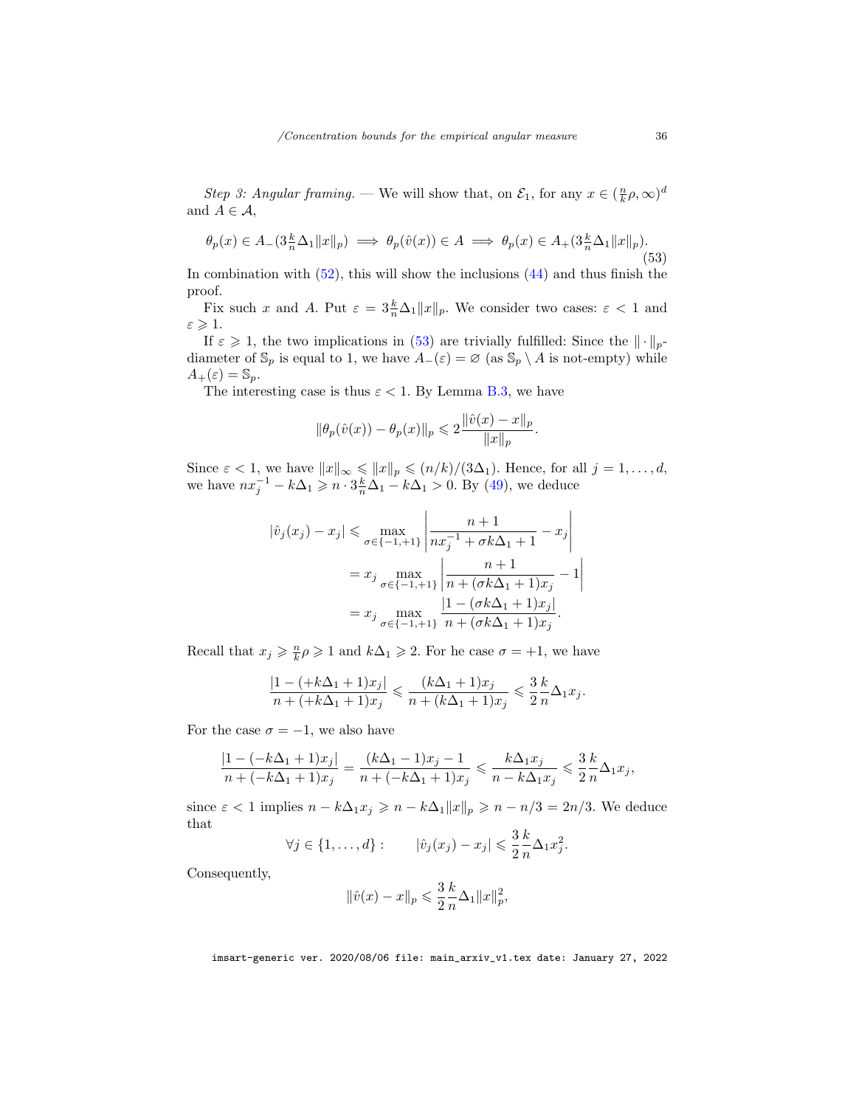Step 3: Angular framing. — We will show that, on  $\mathcal{E}_1$ , for any  $x \in (\frac{n}{k}\rho, \infty)^d$ and  $A \in \mathcal{A}$ ,

<span id="page-35-0"></span>
$$
\theta_p(x) \in A_-(3\frac{k}{n}\Delta_1 ||x||_p) \implies \theta_p(\hat{v}(x)) \in A \implies \theta_p(x) \in A_+(3\frac{k}{n}\Delta_1 ||x||_p). \tag{53}
$$

In combination with  $(52)$ , this will show the inclusions  $(44)$  and thus finish the proof.

Fix such x and A. Put  $\varepsilon = 3\frac{k}{n}\Delta_1 ||x||_p$ . We consider two cases:  $\varepsilon < 1$  and  $\varepsilon \geqslant 1$ .

If  $\varepsilon \geq 1$ , the two implications in [\(53\)](#page-35-0) are trivially fulfilled: Since the  $\|\cdot\|_p$ diameter of  $\mathbb{S}_p$  is equal to 1, we have  $A_-(\varepsilon) = \varnothing$  (as  $\mathbb{S}_p \setminus A$  is not-empty) while  $A_+(\varepsilon) = \mathbb{S}_p.$ 

The interesting case is thus  $\varepsilon < 1$ . By Lemma [B.3,](#page-30-1) we have

$$
\|\theta_p(\hat{v}(x)) - \theta_p(x)\|_p \leq 2 \frac{\|\hat{v}(x) - x\|_p}{\|x\|_p}.
$$

Since  $\varepsilon < 1$ , we have  $||x||_{\infty} \le ||x||_p \le (n/k)/(3\Delta_1)$ . Hence, for all  $j = 1, ..., d$ , we have  $nx_j^{-1} - k\Delta_1 \geqslant n \cdot 3\frac{k}{n}\Delta_1 - k\Delta_1 > 0$ . By [\(49\)](#page-33-2), we deduce

$$
|\hat{v}_j(x_j) - x_j| \le \max_{\sigma \in \{-1, +1\}} \left| \frac{n+1}{nx_j^{-1} + \sigma k \Delta_1 + 1} - x_j \right|
$$
  
=  $x_j \max_{\sigma \in \{-1, +1\}} \left| \frac{n+1}{n + (\sigma k \Delta_1 + 1)x_j} - 1 \right|$   
=  $x_j \max_{\sigma \in \{-1, +1\}} \frac{|1 - (\sigma k \Delta_1 + 1)x_j|}{n + (\sigma k \Delta_1 + 1)x_j}.$ 

Recall that  $x_j \geqslant \frac{n}{k} \rho \geqslant 1$  and  $k\Delta_1 \geqslant 2$ . For he case  $\sigma = +1$ , we have

$$
\frac{|1- (+k\Delta_1+1)x_j|}{n+ (+k\Delta_1+1)x_j} \leqslant \frac{(k\Delta_1+1)x_j}{n+ (k\Delta_1+1)x_j} \leqslant \frac{3}{2}\frac{k}{n}\Delta_1 x_j.
$$

For the case  $\sigma = -1$ , we also have

$$
\frac{|1-(-k\Delta_1+1)x_j|}{n+(-k\Delta_1+1)x_j}=\frac{(k\Delta_1-1)x_j-1}{n+(-k\Delta_1+1)x_j}\leqslant\frac{k\Delta_1x_j}{n-k\Delta_1x_j}\leqslant\frac{3}{2}\frac{k}{n}\Delta_1x_j,
$$

since  $\varepsilon < 1$  implies  $n - k\Delta_1 x_j \geqslant n - k\Delta_1 \|x\|_p \geqslant n - n/3 = 2n/3$ . We deduce that

$$
\forall j \in \{1, \ldots, d\} : \qquad |\hat{v}_j(x_j) - x_j| \leqslant \frac{3}{2} \frac{k}{n} \Delta_1 x_j^2.
$$

Consequently,

$$
\|\hat{v}(x) - x\|_p \leq \frac{3}{2} \frac{k}{n} \Delta_1 \|x\|_p^2,
$$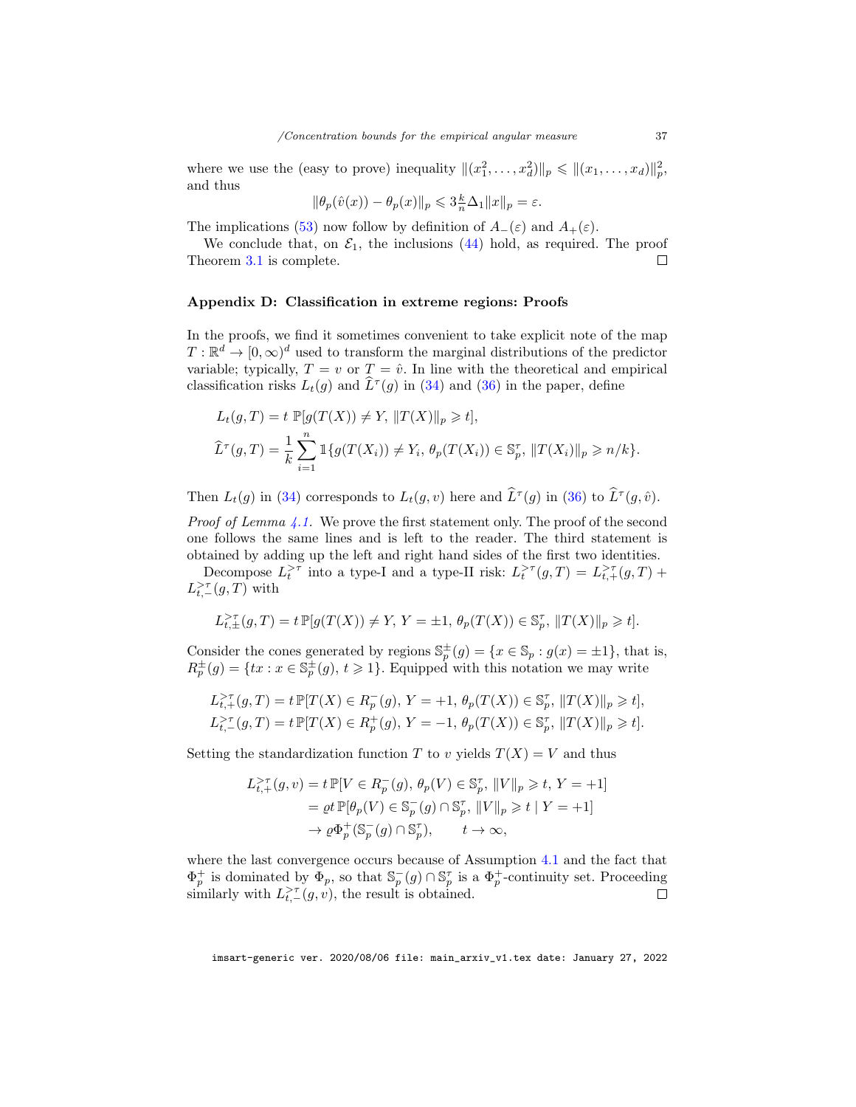where we use the (easy to prove) inequality  $||(x_1^2, ..., x_d^2)||_p \leq ||(x_1, ..., x_d)||_p^2$ , and thus

$$
\|\theta_p(\hat{v}(x))-\theta_p(x)\|_p\leqslant 3\frac{k}{n}\Delta_1\|x\|_p=\varepsilon.
$$

The implications [\(53\)](#page-35-0) now follow by definition of  $A_-(\varepsilon)$  and  $A_+(\varepsilon)$ .

We conclude that, on  $\mathcal{E}_1$ , the inclusions [\(44\)](#page-31-1) hold, as required. The proof Theorem [3.1](#page-10-0) is complete.  $\Box$ 

## <span id="page-36-0"></span>Appendix D: Classification in extreme regions: Proofs

In the proofs, we find it sometimes convenient to take explicit note of the map  $T: \mathbb{R}^d \to [0, \infty)^d$  used to transform the marginal distributions of the predictor variable; typically,  $T = v$  or  $T = \hat{v}$ . In line with the theoretical and empirical classification risks  $L_t(g)$  and  $\widehat{L}^{\tau}(g)$  in [\(34\)](#page-17-3) and [\(36\)](#page-18-2) in the paper, define

$$
L_t(g, T) = t \mathbb{P}[g(T(X)) \neq Y, ||T(X)||_p \geq t],
$$
  

$$
\widehat{L}^{\tau}(g, T) = \frac{1}{k} \sum_{i=1}^n \mathbb{1}\{g(T(X_i)) \neq Y_i, \theta_p(T(X_i)) \in \mathbb{S}_p^{\tau}, ||T(X_i)||_p \geq n/k\}.
$$

Then  $L_t(g)$  in [\(34\)](#page-17-3) corresponds to  $L_t(g, v)$  here and  $\hat{L}^{\tau}(g)$  in [\(36\)](#page-18-2) to  $\hat{L}^{\tau}(g, \hat{v})$ .

*Proof of Lemma [4.1.](#page-18-1)* We prove the first statement only. The proof of the second one follows the same lines and is left to the reader. The third statement is obtained by adding up the left and right hand sides of the first two identities.

Decompose  $L_t^{\geq \tau}$  into a type-I and a type-II risk:  $L_t^{\geq \tau}(g,T) = L_{t,+}^{\geq \tau}(g,T)$  +  $L_{t,-}^{>\tau}(g,T)$  with

$$
L^\gt_{t,\pm}(g,T)=t\,\mathbb{P}[g(T(X))\neq Y,\,Y=\pm 1,\,\theta_p(T(X))\in\mathbb{S}_p^\tau,\,\|T(X)\|_p\geqslant t].
$$

Consider the cones generated by regions  $\mathbb{S}_p^{\pm}(g) = \{x \in \mathbb{S}_p : g(x) = \pm 1\}$ , that is,  $R_p^{\pm}(g) = \{tx : x \in \mathbb{S}_p^{\pm}(g), t \geq 1\}.$  Equipped with this notation we may write

$$
L_{t,+}^{> \tau}(g,T) = t \mathbb{P}[T(X) \in R_{p}^{-}(g), Y = +1, \theta_{p}(T(X)) \in \mathbb{S}_{p}^{\tau}, ||T(X)||_{p} \geq t],
$$
  

$$
L_{t,-}^{> \tau}(g,T) = t \mathbb{P}[T(X) \in R_{p}^{+}(g), Y = -1, \theta_{p}(T(X)) \in \mathbb{S}_{p}^{\tau}, ||T(X)||_{p} \geq t].
$$

Setting the standardization function T to v yields  $T(X) = V$  and thus

$$
L_{t,+}^{> \tau}(g,v) = t \mathbb{P}[V \in R_p^-(g), \theta_p(V) \in \mathbb{S}_p^{\tau}, ||V||_p \geq t, Y = +1]
$$
  
=  $\varrho t \mathbb{P}[\theta_p(V) \in \mathbb{S}_p^-(g) \cap \mathbb{S}_p^{\tau}, ||V||_p \geq t | Y = +1]$   
 $\rightarrow \varrho \Phi_p^+(\mathbb{S}_p^-(g) \cap \mathbb{S}_p^{\tau}), \qquad t \rightarrow \infty,$ 

where the last convergence occurs because of Assumption [4.1](#page-18-0) and the fact that  $\Phi_p^+$  is dominated by  $\Phi_p$ , so that  $\mathbb{S}_p^-(g) \cap \mathbb{S}_p^{\tau}$  is a  $\Phi_p^+$ -continuity set. Proceeding similarly with  $L_{t,-}^{>\tau}(g, v)$ , the result is obtained.  $\Box$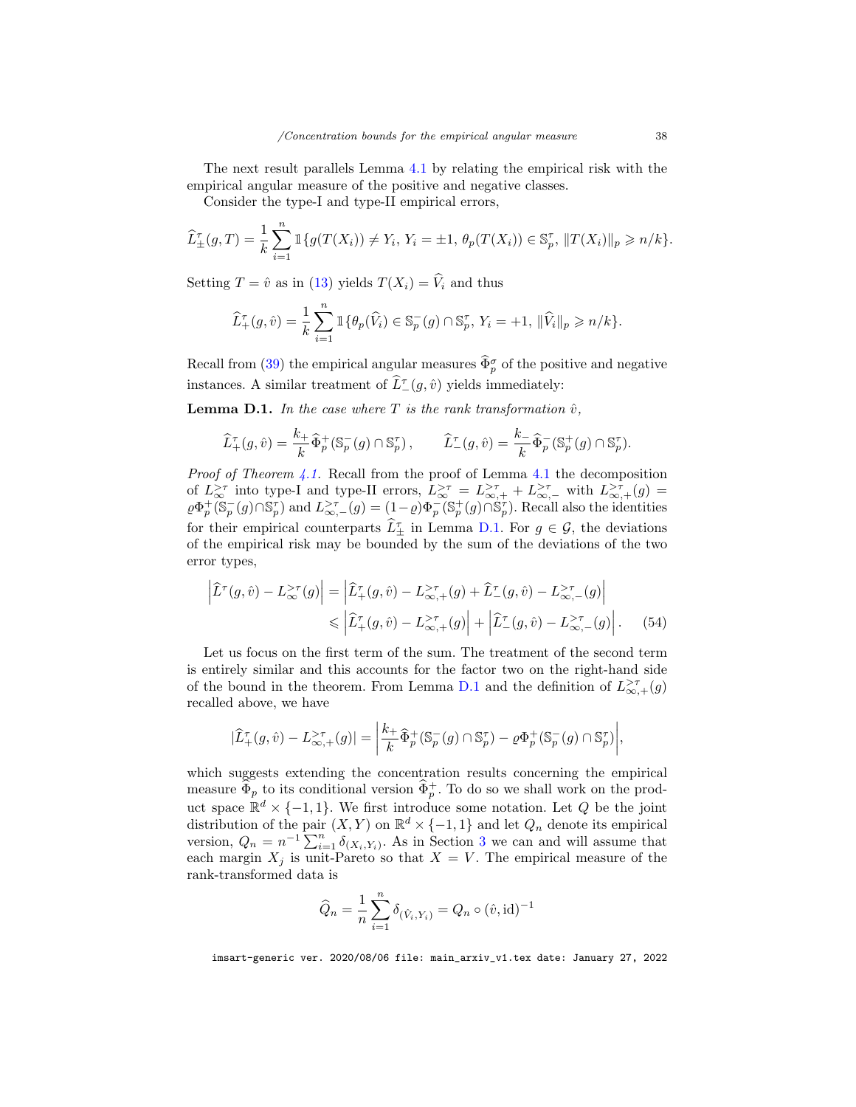The next result parallels Lemma [4.1](#page-18-1) by relating the empirical risk with the empirical angular measure of the positive and negative classes.

Consider the type-I and type-II empirical errors,

$$
\widehat{L}^{\tau}_{\pm}(g,T) = \frac{1}{k} \sum_{i=1}^{n} \mathbb{1}\{g(T(X_i)) \neq Y_i, Y_i = \pm 1, \, \theta_p(T(X_i)) \in \mathbb{S}_p^{\tau}, \, \|T(X_i)\|_p \geq n/k\}.
$$

Setting  $T = \hat{v}$  as in [\(13\)](#page-6-3) yields  $T(X_i) = \hat{V}_i$  and thus

$$
\widehat{L}_+^{\tau}(g,\widehat{v}) = \frac{1}{k} \sum_{i=1}^n \mathbbm{1}\{\theta_p(\widehat{V}_i) \in \mathbb{S}_p^-(g) \cap \mathbb{S}_p^{\tau}, Y_i = +1, \|\widehat{V}_i\|_p \geqslant n/k\}.
$$

Recall from [\(39\)](#page-19-3) the empirical angular measures  $\widehat{\Phi}_p^{\sigma}$  of the positive and negative instances. A similar treatment of  $\widehat{L}_{-}^{\tau}(g, \hat{v})$  yields immediately:

<span id="page-37-0"></span>**Lemma D.1.** In the case where T is the rank transformation  $\hat{v}$ ,

$$
\widehat{L}_+^{\tau}(g,\widehat{v}) = \frac{k_+}{k} \widehat{\Phi}_p^+(\mathbb{S}_p^-(g) \cap \mathbb{S}_p^{\tau}), \qquad \widehat{L}_-^{\tau}(g,\widehat{v}) = \frac{k_-}{k} \widehat{\Phi}_p^-(\mathbb{S}_p^+(g) \cap \mathbb{S}_p^{\tau}).
$$

*Proof of Theorem [4.1.](#page-19-0)* Recall from the proof of Lemma [4.1](#page-18-1) the decomposition of  $L_{\infty}^{>\tau}$  into type-I and type-II errors,  $L_{\infty}^{>\tau} = L_{\infty,+}^{>\tau} + L_{\infty,-}^{>\tau}$  with  $L_{\infty,+}^{>\tau}(g) =$  $\varrho \Phi_p^+ (\mathbb{S}_p^-(g) \cap \mathbb{S}_p^{\tau})$  and  $L^{\geq \tau}_{\infty,-}(g) = (1-\varrho) \Phi_p^- (\mathbb{S}_p^+(g) \cap \mathbb{S}_p^{\tau})$ . Recall also the identities for their empirical counterparts  $\widetilde{L}_{\pm}^{\tau}$  in Lemma [D.1.](#page-37-0) For  $g \in \mathcal{G}$ , the deviations of the empirical risk may be bounded by the sum of the deviations of the two error types,

$$
\left| \widehat{L}^{\tau}(g,\hat{v}) - L^{\geq \tau}_{\infty}(g) \right| = \left| \widehat{L}^{\tau}_{+}(g,\hat{v}) - L^{\geq \tau}_{\infty,+}(g) + \widehat{L}^{\tau}_{-}(g,\hat{v}) - L^{\geq \tau}_{\infty,-}(g) \right|
$$
  

$$
\leq \left| \widehat{L}^{\tau}_{+}(g,\hat{v}) - L^{\geq \tau}_{\infty,+}(g) \right| + \left| \widehat{L}^{\tau}_{-}(g,\hat{v}) - L^{\geq \tau}_{\infty,-}(g) \right|. \tag{54}
$$

Let us focus on the first term of the sum. The treatment of the second term is entirely similar and this accounts for the factor two on the right-hand side of the bound in the theorem. From Lemma [D.1](#page-37-0) and the definition of  $L_{\infty,+}^{>\tau}(g)$ recalled above, we have

<span id="page-37-1"></span>
$$
|\widehat{L}_+^{\tau}(g,\hat{v}) - L_{\infty,+}^{> \tau}(g)| = \left| \frac{k_+}{k} \widehat{\Phi}_p^+( \mathbb{S}_p^-(g) \cap \mathbb{S}_p^{\tau} ) - \varrho \Phi_p^+( \mathbb{S}_p^-(g) \cap \mathbb{S}_p^{\tau} ) \right|,
$$

which suggests extending the concentration results concerning the empirical measure  $\widehat{\Phi}_p$  to its conditional version  $\widehat{\Phi}_p^+$ . To do so we shall work on the product space  $\mathbb{R}^d \times \{-1,1\}$ . We first introduce some notation. Let Q be the joint distribution of the pair  $(X, Y)$  on  $\mathbb{R}^d \times \{-1, 1\}$  and let  $Q_n$  denote its empirical version,  $Q_n = n^{-1} \sum_{i=1}^n \delta_{(X_i, Y_i)}$ . As in Section [3](#page-7-0) we can and will assume that each margin  $X_j$  is unit-Pareto so that  $X = V$ . The empirical measure of the rank-transformed data is

$$
\widehat{Q}_n = \frac{1}{n} \sum_{i=1}^n \delta_{(\hat{V}_i, Y_i)} = Q_n \circ (\hat{v}, id)^{-1}
$$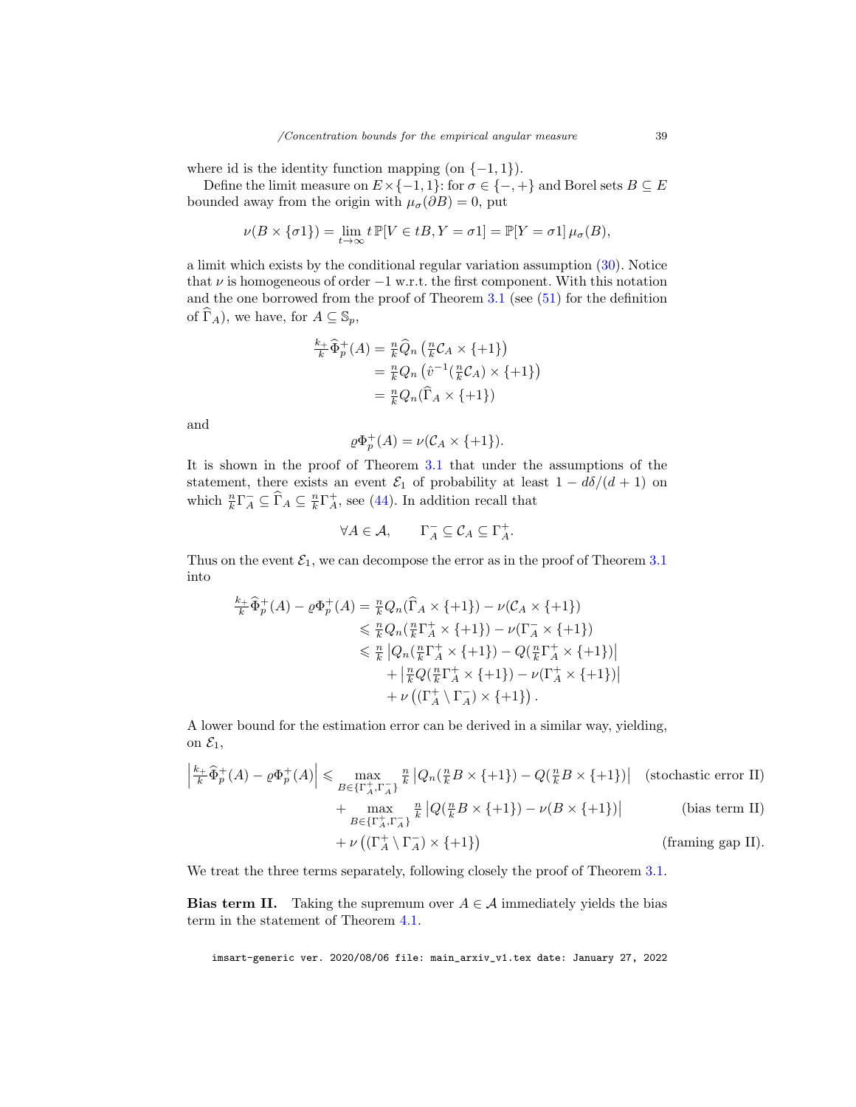where id is the identity function mapping (on  $\{-1, 1\}$ ).

Define the limit measure on  $E \times \{-1, 1\}$ : for  $\sigma \in \{-, +\}$  and Borel sets  $B \subseteq E$ bounded away from the origin with  $\mu_{\sigma}(\partial B) = 0$ , put

$$
\nu(B \times \{\sigma 1\}) = \lim_{t \to \infty} t \mathbb{P}[V \in tB, Y = \sigma 1] = \mathbb{P}[Y = \sigma 1] \mu_{\sigma}(B),
$$

a limit which exists by the conditional regular variation assumption [\(30\)](#page-16-1). Notice that  $\nu$  is homogeneous of order  $-1$  w.r.t. the first component. With this notation and the one borrowed from the proof of Theorem  $3.1$  (see  $(51)$ ) for the definition of  $\Gamma_A$ ), we have, for  $A \subseteq \mathbb{S}_p$ ,

$$
\frac{k_+}{k} \widehat{\Phi}_p^+(A) = \frac{n}{k} \widehat{Q}_n \left( \frac{n}{k} C_A \times \{ +1 \} \right)
$$
  
=  $\frac{n}{k} Q_n \left( \widehat{v}^{-1} \left( \frac{n}{k} C_A \right) \times \{ +1 \} \right)$   
=  $\frac{n}{k} Q_n \left( \widehat{\Gamma}_A \times \{ +1 \} \right)$ 

and

$$
\varrho\Phi_p^+(A) = \nu(\mathcal{C}_A \times \{+1\}).
$$

It is shown in the proof of Theorem [3.1](#page-10-0) that under the assumptions of the statement, there exists an event  $\mathcal{E}_1$  of probability at least  $1 - d\delta/(d+1)$  on which  $\frac{n}{k} \Gamma_A^- \subseteq \widehat{\Gamma}_A \subseteq \frac{n}{k} \Gamma_A^+$ , see [\(44\)](#page-31-1). In addition recall that

$$
\forall A \in \mathcal{A}, \qquad \Gamma_A^- \subseteq \mathcal{C}_A \subseteq \Gamma_A^+.
$$

Thus on the event  $\mathcal{E}_1$ , we can decompose the error as in the proof of Theorem [3.1](#page-10-0) into

$$
\frac{k_{+}}{k} \widehat{\Phi}_{p}^{+}(A) - \varrho \Phi_{p}^{+}(A) = \frac{n}{k} Q_{n}(\widehat{\Gamma}_{A} \times \{+1\}) - \nu(C_{A} \times \{+1\})
$$
\n
$$
\leq \frac{n}{k} Q_{n}(\frac{n}{k} \Gamma_{A}^{+} \times \{+1\}) - \nu(\Gamma_{A}^{-} \times \{+1\})
$$
\n
$$
\leq \frac{n}{k} |Q_{n}(\frac{n}{k} \Gamma_{A}^{+} \times \{+1\}) - Q(\frac{n}{k} \Gamma_{A}^{+} \times \{+1\})|
$$
\n
$$
+ |\frac{n}{k} Q(\frac{n}{k} \Gamma_{A}^{+} \times \{+1\}) - \nu(\Gamma_{A}^{+} \times \{+1\})|
$$
\n
$$
+ \nu((\Gamma_{A}^{+} \setminus \Gamma_{A}^{-}) \times \{+1\}).
$$

A lower bound for the estimation error can be derived in a similar way, yielding, on  $\mathcal{E}_1$ ,

$$
\left| \frac{k_+}{k} \widehat{\Phi}_p^+(A) - \varrho \Phi_p^+(A) \right| \leq \max_{B \in \{\Gamma_A^+, \Gamma_A^-\}} \frac{n}{k} \left| Q_n(\frac{n}{k} B \times \{+1\}) - Q(\frac{n}{k} B \times \{+1\}) \right| \quad \text{(stochastic error II)}
$$
\n
$$
+ \max_{B \in \{\Gamma_A^+, \Gamma_A^-\}} \frac{n}{k} \left| Q(\frac{n}{k} B \times \{+1\}) - \nu(B \times \{+1\}) \right| \quad \text{(bias term II)}
$$

$$
+ \nu \left( \left( \Gamma_A^+ \setminus \Gamma_A^- \right) \times \{ +1 \} \right) \tag{framing gap II}.
$$

We treat the three terms separately, following closely the proof of Theorem [3.1.](#page-10-0)

**Bias term II.** Taking the supremum over  $A \in \mathcal{A}$  immediately yields the bias term in the statement of Theorem [4.1.](#page-19-0)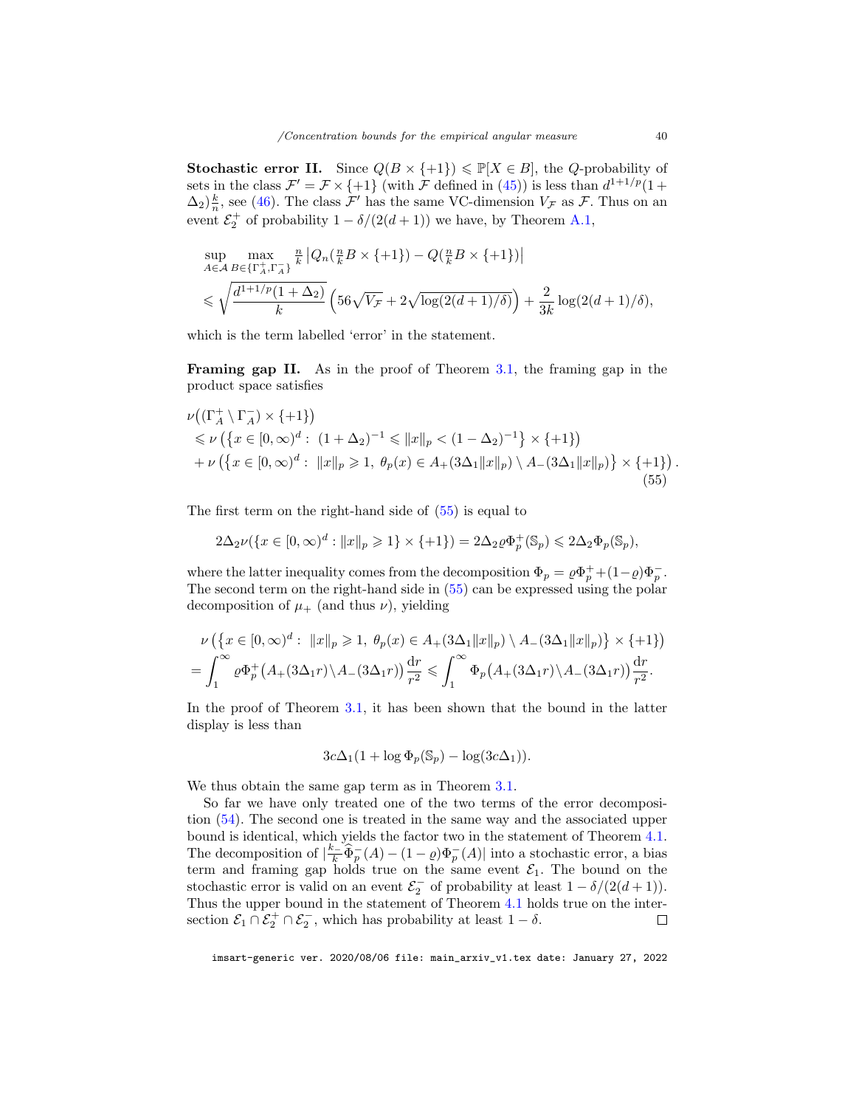**Stochastic error II.** Since  $Q(B \times \{+1\}) \leq \mathbb{P}[X \in B]$ , the *Q*-probability of sets in the class  $\mathcal{F}' = \mathcal{F} \times \{+1\}$  (with  $\mathcal F$  defined in [\(45\)](#page-32-1)) is less than  $d^{1+1/p}(1+$  $(\Delta_2) \frac{k}{n}$ , see [\(46\)](#page-32-2). The class  $\mathcal{F}'$  has the same VC-dimension  $V_{\mathcal{F}}$  as  $\mathcal{F}$ . Thus on an event  $\mathcal{E}_2^+$  of probability  $1 - \delta/(2(d+1))$  we have, by Theorem [A.1,](#page-24-0)

$$
\sup_{A \in \mathcal{A}} \max_{B \in \{\Gamma_A^+, \Gamma_A^-\}} \frac{1}{k} \left| Q_n\left(\frac{n}{k}B \times \{+1\}\right) - Q\left(\frac{n}{k}B \times \{+1\}\right) \right|
$$
  
\$\leq \sqrt{\frac{d^{1+1/p}(1+\Delta\_2)}{k} \left(56\sqrt{V\_{\mathcal{F}}} + 2\sqrt{\log(2(d+1)/\delta)}\right) + \frac{2}{3k} \log(2(d+1)/\delta),\$

which is the term labelled 'error' in the statement.

Framing gap II. As in the proof of Theorem [3.1,](#page-10-0) the framing gap in the product space satisfies

<span id="page-39-0"></span>
$$
\nu((\Gamma_A^+ \setminus \Gamma_A^-) \times \{+1\})
$$
  
\$\le \nu (\{x \in [0, \infty)^d : (1 + \Delta\_2)^{-1} \le ||x||\_p < (1 - \Delta\_2)^{-1}\} \times \{+1\})\$  
+  $\nu (\{x \in [0, \infty)^d : ||x||_p \ge 1, \ \theta_p(x) \in A_+(3\Delta_1 ||x||_p) \setminus A_-(3\Delta_1 ||x||_p)\} \times \{+1\})$$   
(55)

The first term on the right-hand side of [\(55\)](#page-39-0) is equal to

$$
2\Delta_2\nu(\{x\in[0,\infty)^d:||x||_p\geqslant1\}\times\{+1\})=2\Delta_2\varrho\Phi_p^+(\mathbb{S}_p)\leqslant2\Delta_2\Phi_p(\mathbb{S}_p),
$$

where the latter inequality comes from the decomposition  $\Phi_p = \rho \Phi_p^+ + (1 - \rho) \Phi_p^-$ . The second term on the right-hand side in [\(55\)](#page-39-0) can be expressed using the polar decomposition of  $\mu_+$  (and thus  $\nu$ ), yielding

$$
\nu\left(\left\{x\in[0,\infty)^d:\ \|x\|_p\geqslant 1,\ \theta_p(x)\in A_+(3\Delta_1\|x\|_p)\setminus A_-(3\Delta_1\|x\|_p)\right\}\times\{+1\}\right)
$$

$$
=\int_1^\infty\varrho\Phi_p^+\left(A_+(3\Delta_1r)\setminus A_-(3\Delta_1r)\right)\frac{\mathrm{d}r}{r^2}\leqslant \int_1^\infty\Phi_p\left(A_+(3\Delta_1r)\setminus A_-(3\Delta_1r)\right)\frac{\mathrm{d}r}{r^2}.
$$

In the proof of Theorem [3.1,](#page-10-0) it has been shown that the bound in the latter display is less than

$$
3c\Delta_1(1+\log \Phi_p(\mathbb{S}_p)-\log(3c\Delta_1)).
$$

We thus obtain the same gap term as in Theorem [3.1.](#page-10-0)

So far we have only treated one of the two terms of the error decomposition [\(54\)](#page-37-1). The second one is treated in the same way and the associated upper bound is identical, which yields the factor two in the statement of Theorem [4.1.](#page-19-0) The decomposition of  $\left|\frac{k}{k}\widehat{\Phi}_{p}^{-}(A)-(1-\varrho)\Phi_{p}^{-}(A)\right|$  into a stochastic error, a bias term and framing gap holds true on the same event  $\mathcal{E}_1$ . The bound on the stochastic error is valid on an event  $\mathcal{E}_2^-$  of probability at least  $1 - \delta/(2(d+1))$ . Thus the upper bound in the statement of Theorem [4.1](#page-19-0) holds true on the intersection  $\mathcal{E}_1 \cap \mathcal{E}_2^+ \cap \mathcal{E}_2^-$ , which has probability at least  $1 - \delta$ .  $\Box$ 

imsart-generic ver. 2020/08/06 file: main\_arxiv\_v1.tex date: January 27, 2022

.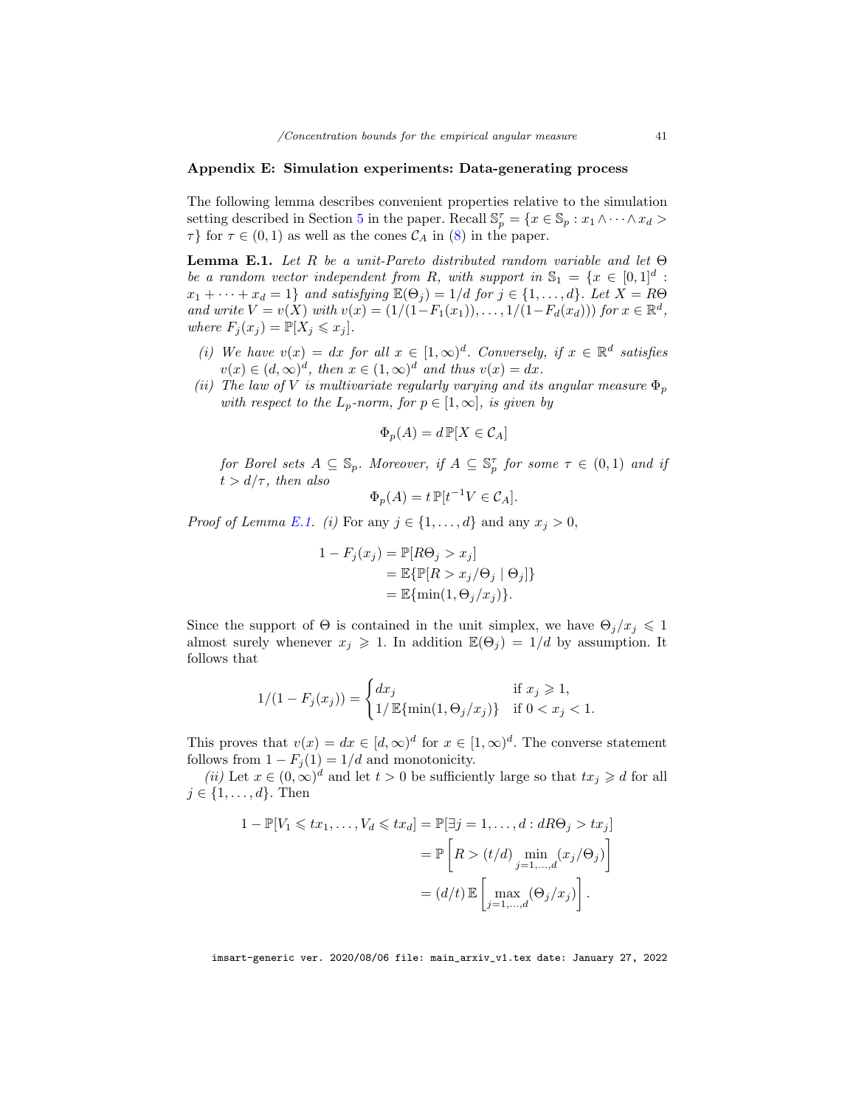## Appendix E: Simulation experiments: Data-generating process

The following lemma describes convenient properties relative to the simulation setting described in Section [5](#page-20-0) in the paper. Recall  $\mathbb{S}_p^{\tau} = \{x \in \mathbb{S}_p : x_1 \wedge \cdots \wedge x_d >$  $\tau$ } for  $\tau \in (0,1)$  as well as the cones  $\mathcal{C}_A$  in [\(8\)](#page-5-4) in the paper.

<span id="page-40-0"></span>**Lemma E.1.** Let R be a unit-Pareto distributed random variable and let  $\Theta$ be a random vector independent from R, with support in  $\mathbb{S}_1 = \{x \in [0,1]^d :$  $x_1 + \cdots + x_d = 1$  and satisfying  $\mathbb{E}(\Theta_j) = 1/d$  for  $j \in \{1, \ldots, d\}$ . Let  $X = R\Theta$ and write  $V = v(X)$  with  $v(x) = (1/(1 - F_1(x_1)), \ldots, 1/(1 - F_d(x_d)))$  for  $x \in \mathbb{R}^d$ , where  $F_i(x_i) = \mathbb{P}[X_i \leq x_i].$ 

- (i) We have  $v(x) = dx$  for all  $x \in [1,\infty)^d$ . Conversely, if  $x \in \mathbb{R}^d$  satisfies  $v(x) \in (d, \infty)^d$ , then  $x \in (1, \infty)^d$  and thus  $v(x) = dx$ .
- (ii) The law of V is multivariate regularly varying and its angular measure  $\Phi_p$ with respect to the  $L_p$ -norm, for  $p \in [1,\infty]$ , is given by

$$
\Phi_p(A) = d \, \mathbb{P}[X \in \mathcal{C}_A]
$$

for Borel sets  $A \subseteq \mathbb{S}_p$ . Moreover, if  $A \subseteq \mathbb{S}_p^{\tau}$  for some  $\tau \in (0,1)$  and if  $t > d/\tau$ , then also

$$
\Phi_p(A) = t \, \mathbb{P}[t^{-1}V \in \mathcal{C}_A].
$$

*Proof of Lemma [E.1.](#page-40-0)* (*i*) For any  $j \in \{1, ..., d\}$  and any  $x_j > 0$ ,

$$
1 - F_j(x_j) = \mathbb{P}[R\Theta_j > x_j]
$$
  
=  $\mathbb{E}\{\mathbb{P}[R > x_j/\Theta_j | \Theta_j]\}$   
=  $\mathbb{E}\{\min(1, \Theta_j/x_j)\}.$ 

Since the support of  $\Theta$  is contained in the unit simplex, we have  $\Theta_i/x_i \leq 1$ almost surely whenever  $x_j \geq 1$ . In addition  $\mathbb{E}(\Theta_j) = 1/d$  by assumption. It follows that

$$
1/(1 - F_j(x_j)) = \begin{cases} dx_j & \text{if } x_j \ge 1, \\ 1/\mathbb{E}\{\min(1, \Theta_j/x_j)\} & \text{if } 0 < x_j < 1. \end{cases}
$$

This proves that  $v(x) = dx \in [d, \infty)^d$  for  $x \in [1, \infty)^d$ . The converse statement follows from  $1 - F_j(1) = 1/d$  and monotonicity.

(ii) Let  $x \in (0, \infty)^d$  and let  $t > 0$  be sufficiently large so that  $tx_j \geq d$  for all  $j \in \{1, \ldots, d\}$ . Then

$$
1 - \mathbb{P}[V_1 \leqslant tx_1, \dots, V_d \leqslant tx_d] = \mathbb{P}[\exists j = 1, \dots, d : dR\Theta_j > tx_j]
$$

$$
= \mathbb{P}\left[R > (t/d) \min_{j=1,\dots,d} (x_j/\Theta_j)\right]
$$

$$
= (d/t) \mathbb{E}\left[\max_{j=1,\dots,d} (\Theta_j/x_j)\right].
$$